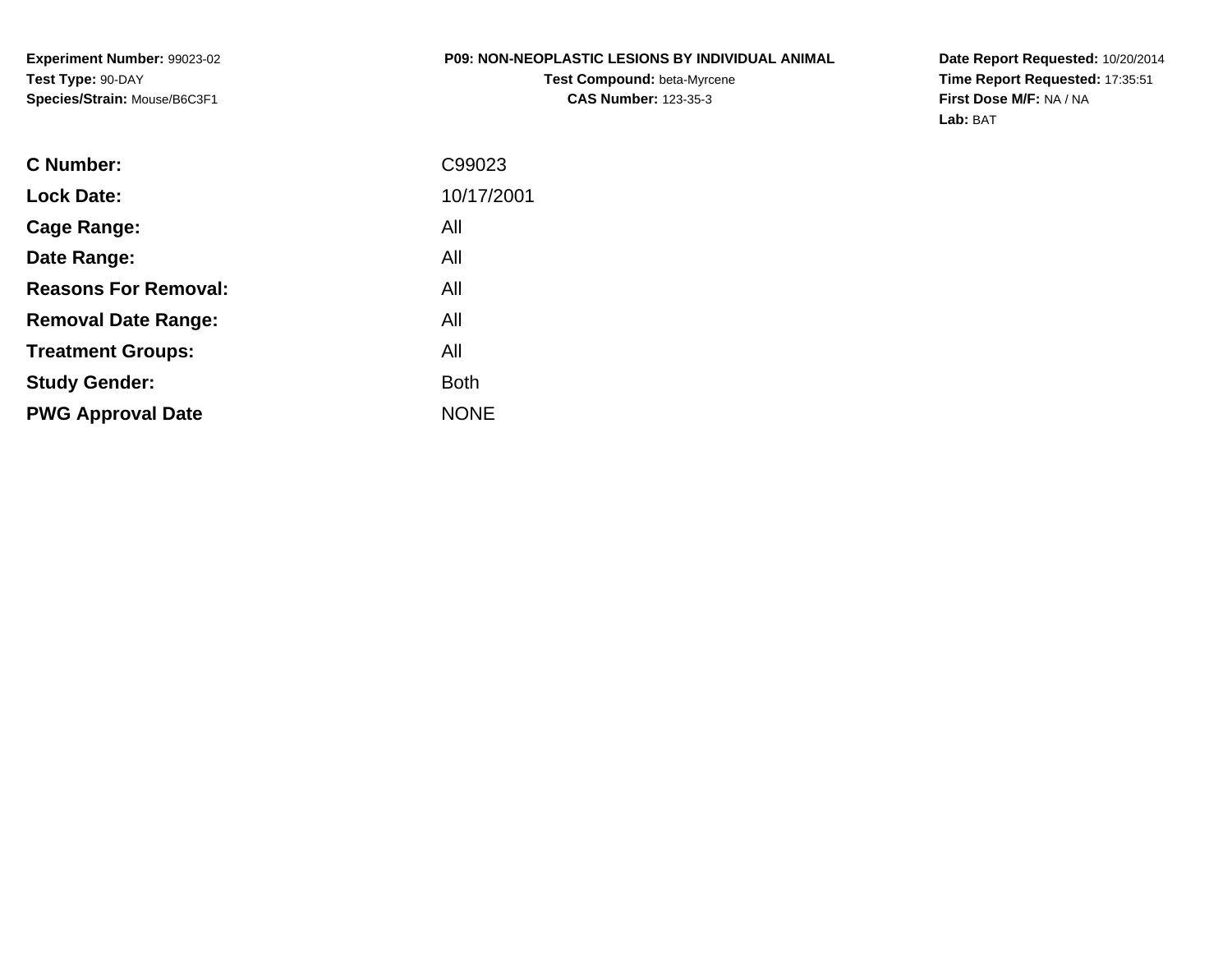**Experiment Number:** 99023-02**Test Type:** 90-DAY**Species/Strain:** Mouse/B6C3F1

#### **P09: NON-NEOPLASTIC LESIONS BY INDIVIDUAL ANIMAL**

**Test Compound:** beta-Myrcene**CAS Number:** 123-35-3

**Date Report Requested:** 10/20/2014 **Time Report Requested:** 17:35:51**First Dose M/F:** NA / NA**Lab:** BAT

| C99023      |
|-------------|
| 10/17/2001  |
| All         |
| All         |
| All         |
| All         |
| All         |
| <b>Both</b> |
| <b>NONE</b> |
|             |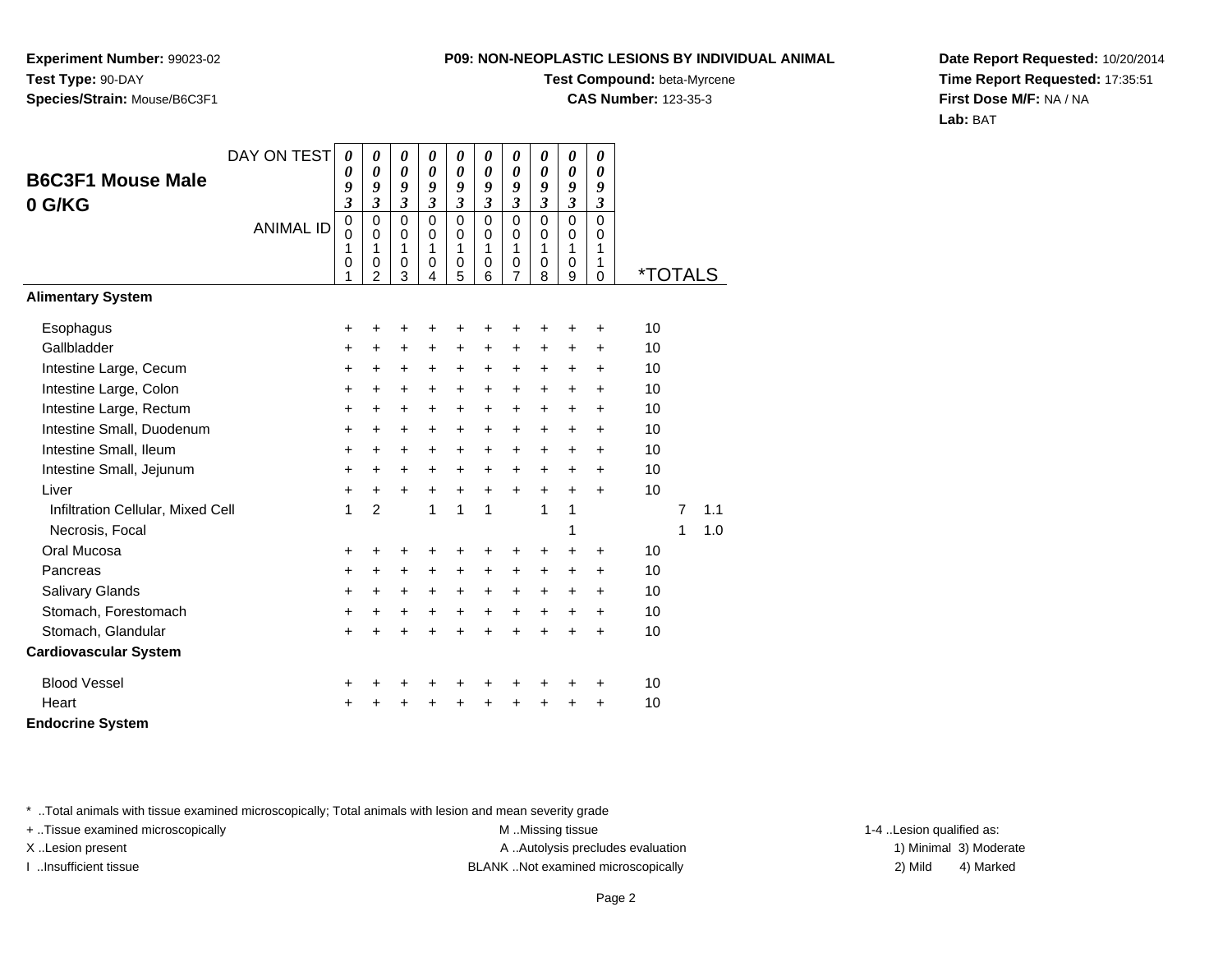**Experiment Number:** 99023-02**Test Type:** 90-DAY**Species/Strain:** Mouse/B6C3F1

## **Test Compound:** beta-Myrcene

**CAS Number:** 123-35-3

**Date Report Requested:** 10/20/2014**Time Report Requested:** 17:35:51**First Dose M/F:** NA / NA**Lab:** BAT

| <b>B6C3F1 Mouse Male</b><br>0 G/KG | DAY ON TEST      | $\boldsymbol{\theta}$<br>0<br>9<br>3<br>$\mathbf 0$ | 0<br>$\boldsymbol{\theta}$<br>9<br>$\mathfrak{z}$<br>$\mathbf 0$ | $\boldsymbol{\theta}$<br>$\boldsymbol{\theta}$<br>9<br>$\overline{\mathbf{3}}$<br>$\mathbf 0$ | 0<br>0<br>9<br>$\mathfrak{z}$<br>$\mathbf 0$ | 0<br>0<br>9<br>$\overline{\mathbf{3}}$<br>0 | $\boldsymbol{\theta}$<br>$\boldsymbol{\theta}$<br>9<br>$\mathfrak{z}$<br>$\Omega$ | $\boldsymbol{\theta}$<br>$\boldsymbol{\theta}$<br>9<br>$\overline{\mathbf{3}}$<br>$\Omega$ | 0<br>0<br>9<br>$\mathfrak{z}$<br>$\mathbf 0$ | 0<br>$\boldsymbol{\theta}$<br>9<br>$\mathfrak{z}$<br>$\mathbf 0$ | 0<br>0<br>9<br>$\mathfrak{z}$<br>$\Omega$ |                       |                |     |  |
|------------------------------------|------------------|-----------------------------------------------------|------------------------------------------------------------------|-----------------------------------------------------------------------------------------------|----------------------------------------------|---------------------------------------------|-----------------------------------------------------------------------------------|--------------------------------------------------------------------------------------------|----------------------------------------------|------------------------------------------------------------------|-------------------------------------------|-----------------------|----------------|-----|--|
|                                    | <b>ANIMAL ID</b> | 0<br>1<br>0<br>1                                    | $\mathbf 0$<br>1<br>0<br>2                                       | 0<br>1<br>0<br>3                                                                              | $\mathbf 0$<br>1<br>0<br>4                   | 0<br>1<br>$\boldsymbol{0}$<br>5             | $\mathbf 0$<br>1<br>0<br>6                                                        | $\mathbf 0$<br>1<br>$\mathbf 0$<br>$\overline{7}$                                          | $\pmb{0}$<br>1<br>0<br>8                     | $\pmb{0}$<br>1<br>$\mathbf 0$<br>9                               | $\mathbf 0$<br>1<br>1<br>$\Omega$         | <i><b>*TOTALS</b></i> |                |     |  |
| <b>Alimentary System</b>           |                  |                                                     |                                                                  |                                                                                               |                                              |                                             |                                                                                   |                                                                                            |                                              |                                                                  |                                           |                       |                |     |  |
| Esophagus                          |                  | $\pm$                                               | +                                                                | +                                                                                             | +                                            | +                                           | ٠                                                                                 | ٠                                                                                          |                                              | ٠                                                                | +                                         | 10                    |                |     |  |
| Gallbladder                        |                  | +                                                   | $\ddot{}$                                                        | +                                                                                             | $\pm$                                        | $\pm$                                       | +                                                                                 | $\ddot{}$                                                                                  | $\ddot{}$                                    | $\ddot{}$                                                        | +                                         | 10                    |                |     |  |
| Intestine Large, Cecum             |                  | $\ddot{}$                                           | $\ddot{}$                                                        | $\ddot{}$                                                                                     | $\ddot{}$                                    | $\ddot{}$                                   | $\ddot{}$                                                                         | $\ddot{}$                                                                                  | $\ddot{}$                                    | $\ddot{}$                                                        | $\ddot{}$                                 | 10                    |                |     |  |
| Intestine Large, Colon             |                  | +                                                   | +                                                                | +                                                                                             | +                                            | +                                           | +                                                                                 | +                                                                                          | $\ddot{}$                                    | +                                                                | +                                         | 10                    |                |     |  |
| Intestine Large, Rectum            |                  | +                                                   | $\ddot{}$                                                        | $\ddot{}$                                                                                     | +                                            | +                                           | $\ddot{}$                                                                         | $\ddot{}$                                                                                  | $\ddot{}$                                    | $\ddot{}$                                                        | +                                         | 10                    |                |     |  |
| Intestine Small, Duodenum          |                  | $\ddot{}$                                           | +                                                                | $\ddot{}$                                                                                     | $\ddot{}$                                    | $\ddot{}$                                   | $\ddot{}$                                                                         | $\ddot{}$                                                                                  | $+$                                          | $\ddot{}$                                                        | $\ddot{}$                                 | 10                    |                |     |  |
| Intestine Small, Ileum             |                  | +                                                   | $\ddot{}$                                                        | $\ddot{}$                                                                                     | $\ddot{}$                                    | +                                           | $\ddot{}$                                                                         | $\ddot{}$                                                                                  | $+$                                          | $\ddot{}$                                                        | $\ddot{}$                                 | 10                    |                |     |  |
| Intestine Small, Jejunum           |                  | +                                                   | +                                                                | +                                                                                             | $\ddot{}$                                    | +                                           | $\ddot{}$                                                                         | $\ddot{}$                                                                                  | $\ddot{}$                                    | +                                                                | $\ddot{}$                                 | 10                    |                |     |  |
| Liver                              |                  | +                                                   | +                                                                | $\ddot{}$                                                                                     | $\ddot{}$                                    | $\ddot{}$                                   | $\ddot{}$                                                                         | $\ddot{}$                                                                                  | $\ddot{}$                                    | $+$                                                              | $+$                                       | 10                    |                |     |  |
| Infiltration Cellular, Mixed Cell  |                  | 1                                                   | $\overline{2}$                                                   |                                                                                               | 1                                            | 1                                           | 1                                                                                 |                                                                                            | 1                                            | 1                                                                |                                           |                       | $\overline{7}$ | 1.1 |  |
| Necrosis, Focal                    |                  |                                                     |                                                                  |                                                                                               |                                              |                                             |                                                                                   |                                                                                            |                                              | 1                                                                |                                           |                       | 1              | 1.0 |  |
| Oral Mucosa                        |                  | $\ddot{}$                                           | +                                                                | +                                                                                             | +                                            | ٠                                           | +                                                                                 |                                                                                            | ÷                                            | ÷                                                                | $\ddot{}$                                 | 10                    |                |     |  |
| Pancreas                           |                  | +                                                   | $\ddot{}$                                                        | +                                                                                             | $\ddot{}$                                    | +                                           | $\ddot{}$                                                                         | $\ddot{}$                                                                                  | $\ddot{}$                                    | $\ddot{}$                                                        | +                                         | 10                    |                |     |  |
| Salivary Glands                    |                  | +                                                   | $\ddot{}$                                                        | $\ddot{}$                                                                                     | $\ddot{}$                                    | $\ddot{}$                                   | $\ddot{}$                                                                         | $\ddot{}$                                                                                  | $\ddot{}$                                    | $\ddot{}$                                                        | +                                         | 10                    |                |     |  |
| Stomach, Forestomach               |                  | $\ddot{}$                                           | +                                                                | +                                                                                             | +                                            | +                                           | $\ddot{}$                                                                         | $\ddot{}$                                                                                  | $\ddot{}$                                    | +                                                                | +                                         | 10                    |                |     |  |
| Stomach, Glandular                 |                  | $\ddot{}$                                           | Ŧ.                                                               | $\ddot{}$                                                                                     | $\ddot{}$                                    | $\ddot{}$                                   | $\ddot{}$                                                                         | $\ddot{}$                                                                                  | $\ddot{}$                                    | Ŧ.                                                               | $\ddot{}$                                 | 10                    |                |     |  |
| <b>Cardiovascular System</b>       |                  |                                                     |                                                                  |                                                                                               |                                              |                                             |                                                                                   |                                                                                            |                                              |                                                                  |                                           |                       |                |     |  |
| <b>Blood Vessel</b>                |                  | +                                                   | +                                                                | +                                                                                             | +                                            | +                                           | +                                                                                 | +                                                                                          | +                                            | +                                                                | +                                         | 10                    |                |     |  |
| Heart                              |                  | $\ddot{}$                                           |                                                                  | $\ddot{}$                                                                                     | $\ddot{}$                                    | $\ddot{}$                                   | Ŧ.                                                                                | $\ddot{}$                                                                                  | $\ddot{}$                                    | $\ddot{}$                                                        | $\ddot{}$                                 | 10                    |                |     |  |
| <b>Endocrine System</b>            |                  |                                                     |                                                                  |                                                                                               |                                              |                                             |                                                                                   |                                                                                            |                                              |                                                                  |                                           |                       |                |     |  |

\* ..Total animals with tissue examined microscopically; Total animals with lesion and mean severity grade

+ ..Tissue examined microscopically examined microscopically examined as:  $M$  ..Missing tissue 1-4 ..Lesion qualified as: X..Lesion present **A ..Autolysis precludes evaluation** A ..Autolysis precludes evaluation 1) Minimal 3) Moderate

I ..Insufficient tissue BLANK ..Not examined microscopically 2) Mild 4) Marked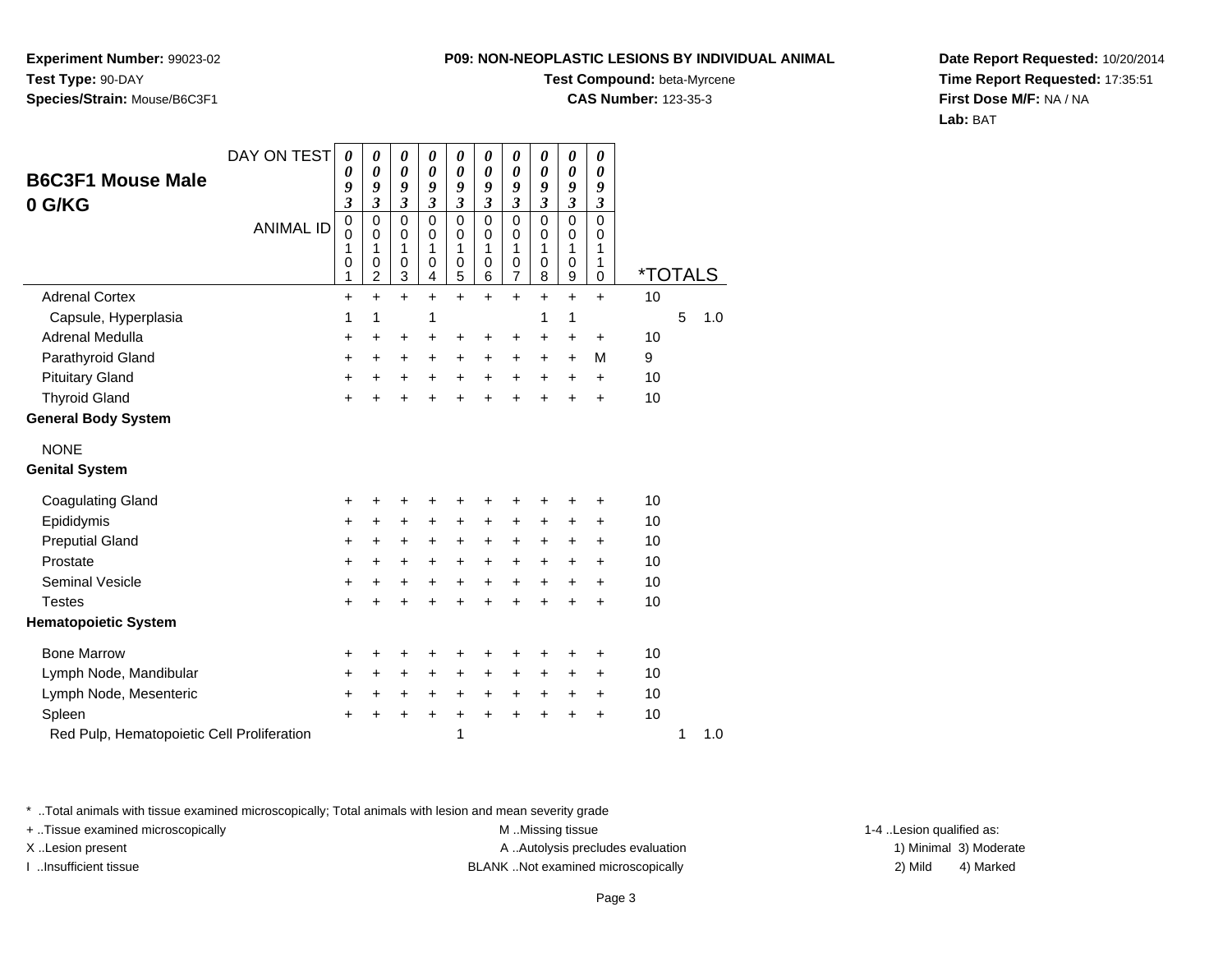**Experiment Number:** 99023-02**Test Type:** 90-DAY**Species/Strain:** Mouse/B6C3F1

### **Test Compound:** beta-Myrcene

**CAS Number:** 123-35-3

**Date Report Requested:** 10/20/2014**Time Report Requested:** 17:35:51**First Dose M/F:** NA / NA**Lab:** BAT

| <b>B6C3F1 Mouse Male</b><br>0 G/KG         | DAY ON TEST<br><b>ANIMAL ID</b> | 0<br>0<br>9<br>$\overline{\mathbf{3}}$<br>$\mathbf 0$<br>$\mathbf 0$<br>1<br>0<br>1 | 0<br>$\boldsymbol{\theta}$<br>9<br>3<br>$\mathbf 0$<br>$\mathbf 0$<br>1<br>0<br>$\overline{c}$ | $\boldsymbol{\theta}$<br>$\boldsymbol{\theta}$<br>9<br>$\mathfrak{z}$<br>$\mathbf 0$<br>$\mathbf 0$<br>1<br>$\mathbf 0$<br>3 | 0<br>$\boldsymbol{\theta}$<br>9<br>$\boldsymbol{\mathfrak{z}}$<br>$\mathbf 0$<br>0<br>1<br>0<br>4 | $\boldsymbol{\theta}$<br>$\boldsymbol{\theta}$<br>9<br>$\mathfrak{z}$<br>$\mathbf 0$<br>0<br>1<br>$\pmb{0}$<br>5 | 0<br>$\boldsymbol{\theta}$<br>9<br>$\mathfrak{z}$<br>$\mathbf 0$<br>0<br>1<br>$\mathbf 0$<br>$\,6$ | $\boldsymbol{\theta}$<br>$\boldsymbol{\theta}$<br>9<br>$\mathfrak{z}$<br>$\mathbf 0$<br>0<br>1<br>0<br>$\overline{7}$ | 0<br>0<br>9<br>$\mathfrak{z}$<br>$\mathbf 0$<br>0<br>1<br>0<br>8 | $\pmb{\theta}$<br>$\boldsymbol{\theta}$<br>9<br>$\mathfrak{z}$<br>$\mathbf 0$<br>$\mathbf 0$<br>1<br>$\,0\,$<br>$\boldsymbol{9}$ | 0<br>0<br>9<br>$\boldsymbol{\mathfrak{z}}$<br>$\mathbf 0$<br>0<br>1<br>1<br>0 | <i><b>*TOTALS</b></i> |   |     |
|--------------------------------------------|---------------------------------|-------------------------------------------------------------------------------------|------------------------------------------------------------------------------------------------|------------------------------------------------------------------------------------------------------------------------------|---------------------------------------------------------------------------------------------------|------------------------------------------------------------------------------------------------------------------|----------------------------------------------------------------------------------------------------|-----------------------------------------------------------------------------------------------------------------------|------------------------------------------------------------------|----------------------------------------------------------------------------------------------------------------------------------|-------------------------------------------------------------------------------|-----------------------|---|-----|
| <b>Adrenal Cortex</b>                      |                                 | +                                                                                   | $\ddot{}$                                                                                      | $\ddot{}$                                                                                                                    | $\ddot{}$                                                                                         | $\ddot{}$                                                                                                        | $+$                                                                                                | $\ddot{}$                                                                                                             | $\ddot{}$                                                        | $\ddot{}$                                                                                                                        | $\ddot{}$                                                                     | 10                    |   |     |
| Capsule, Hyperplasia                       |                                 | 1                                                                                   | 1                                                                                              |                                                                                                                              | 1                                                                                                 |                                                                                                                  |                                                                                                    |                                                                                                                       | 1                                                                | 1                                                                                                                                |                                                                               |                       | 5 | 1.0 |
| Adrenal Medulla                            |                                 | +                                                                                   | $\ddot{}$                                                                                      | +                                                                                                                            | +                                                                                                 | +                                                                                                                | +                                                                                                  | $\ddot{}$                                                                                                             | $\ddot{}$                                                        | +                                                                                                                                | +                                                                             | 10                    |   |     |
| Parathyroid Gland                          |                                 | +                                                                                   | +                                                                                              | $\ddot{}$                                                                                                                    | $\ddot{}$                                                                                         | $\ddot{}$                                                                                                        | $\ddot{}$                                                                                          | $\ddot{}$                                                                                                             | $\ddot{}$                                                        | $\ddot{}$                                                                                                                        | М                                                                             | 9                     |   |     |
| <b>Pituitary Gland</b>                     |                                 | $\ddot{}$                                                                           | $\ddot{}$                                                                                      | $\ddot{}$                                                                                                                    | $\ddot{}$                                                                                         | $\ddot{}$                                                                                                        | $\ddot{}$                                                                                          | $\ddot{}$                                                                                                             | $\ddot{}$                                                        | $\ddot{}$                                                                                                                        | $\ddot{}$                                                                     | 10                    |   |     |
| <b>Thyroid Gland</b>                       |                                 | $\ddot{}$                                                                           | +                                                                                              | $\ddot{}$                                                                                                                    | $\ddot{}$                                                                                         | $\ddot{}$                                                                                                        |                                                                                                    | $\ddot{}$                                                                                                             | $\ddot{}$                                                        | $\ddot{}$                                                                                                                        | +                                                                             | 10                    |   |     |
| <b>General Body System</b>                 |                                 |                                                                                     |                                                                                                |                                                                                                                              |                                                                                                   |                                                                                                                  |                                                                                                    |                                                                                                                       |                                                                  |                                                                                                                                  |                                                                               |                       |   |     |
| <b>NONE</b><br><b>Genital System</b>       |                                 |                                                                                     |                                                                                                |                                                                                                                              |                                                                                                   |                                                                                                                  |                                                                                                    |                                                                                                                       |                                                                  |                                                                                                                                  |                                                                               |                       |   |     |
| <b>Coagulating Gland</b>                   |                                 | +                                                                                   | +                                                                                              | +                                                                                                                            | +                                                                                                 | +                                                                                                                | +                                                                                                  | +                                                                                                                     | +                                                                | +                                                                                                                                | +                                                                             | 10                    |   |     |
| Epididymis                                 |                                 | $\ddot{}$                                                                           | $\ddot{}$                                                                                      | $\ddot{}$                                                                                                                    | $\ddot{}$                                                                                         | $\ddot{}$                                                                                                        | $\ddot{}$                                                                                          | $\ddot{}$                                                                                                             | $\ddot{}$                                                        | +                                                                                                                                | $\ddot{}$                                                                     | 10                    |   |     |
| <b>Preputial Gland</b>                     |                                 | +                                                                                   | +                                                                                              | +                                                                                                                            | +                                                                                                 | $\ddot{}$                                                                                                        | +                                                                                                  | $\ddot{}$                                                                                                             | +                                                                | +                                                                                                                                | +                                                                             | 10                    |   |     |
| Prostate                                   |                                 | $\ddot{}$                                                                           | +                                                                                              | $\ddot{}$                                                                                                                    | $\ddot{}$                                                                                         | $\ddot{}$                                                                                                        | $\ddot{}$                                                                                          | $\ddot{}$                                                                                                             | $\ddot{}$                                                        | $\ddot{}$                                                                                                                        | $\ddot{}$                                                                     | 10                    |   |     |
| <b>Seminal Vesicle</b>                     |                                 | +                                                                                   | +                                                                                              | +                                                                                                                            | $\ddot{}$                                                                                         | $\ddot{}$                                                                                                        | $+$                                                                                                | $\ddot{}$                                                                                                             | $\ddot{}$                                                        | $\ddot{}$                                                                                                                        | +                                                                             | 10                    |   |     |
| <b>Testes</b>                              |                                 | $\ddot{}$                                                                           | +                                                                                              | $\ddot{}$                                                                                                                    | $\ddot{}$                                                                                         | $\ddot{}$                                                                                                        | $\ddot{}$                                                                                          | $\ddot{}$                                                                                                             | ÷                                                                | $\ddot{}$                                                                                                                        | $\ddot{}$                                                                     | 10                    |   |     |
| <b>Hematopoietic System</b>                |                                 |                                                                                     |                                                                                                |                                                                                                                              |                                                                                                   |                                                                                                                  |                                                                                                    |                                                                                                                       |                                                                  |                                                                                                                                  |                                                                               |                       |   |     |
| <b>Bone Marrow</b>                         |                                 | +                                                                                   | +                                                                                              | +                                                                                                                            | +                                                                                                 | +                                                                                                                | +                                                                                                  | +                                                                                                                     | +                                                                | +                                                                                                                                | +                                                                             | 10                    |   |     |
| Lymph Node, Mandibular                     |                                 | +                                                                                   | +                                                                                              | +                                                                                                                            | +                                                                                                 | +                                                                                                                | +                                                                                                  | +                                                                                                                     | +                                                                | +                                                                                                                                | +                                                                             | 10                    |   |     |
| Lymph Node, Mesenteric                     |                                 | +                                                                                   | $\ddot{}$                                                                                      | $\ddot{}$                                                                                                                    | $\ddot{}$                                                                                         | $\ddot{}$                                                                                                        | $\ddot{}$                                                                                          | $\ddot{}$                                                                                                             | $\ddot{}$                                                        | +                                                                                                                                | $\ddot{}$                                                                     | 10                    |   |     |
| Spleen                                     |                                 | $\ddot{}$                                                                           | +                                                                                              | +                                                                                                                            | +                                                                                                 | $\ddot{}$                                                                                                        | $\ddot{}$                                                                                          | $\ddot{}$                                                                                                             | ÷                                                                | +                                                                                                                                | $\ddot{}$                                                                     | 10                    |   |     |
| Red Pulp, Hematopoietic Cell Proliferation |                                 |                                                                                     |                                                                                                |                                                                                                                              |                                                                                                   | 1                                                                                                                |                                                                                                    |                                                                                                                       |                                                                  |                                                                                                                                  |                                                                               |                       | 1 | 1.0 |

\* ..Total animals with tissue examined microscopically; Total animals with lesion and mean severity grade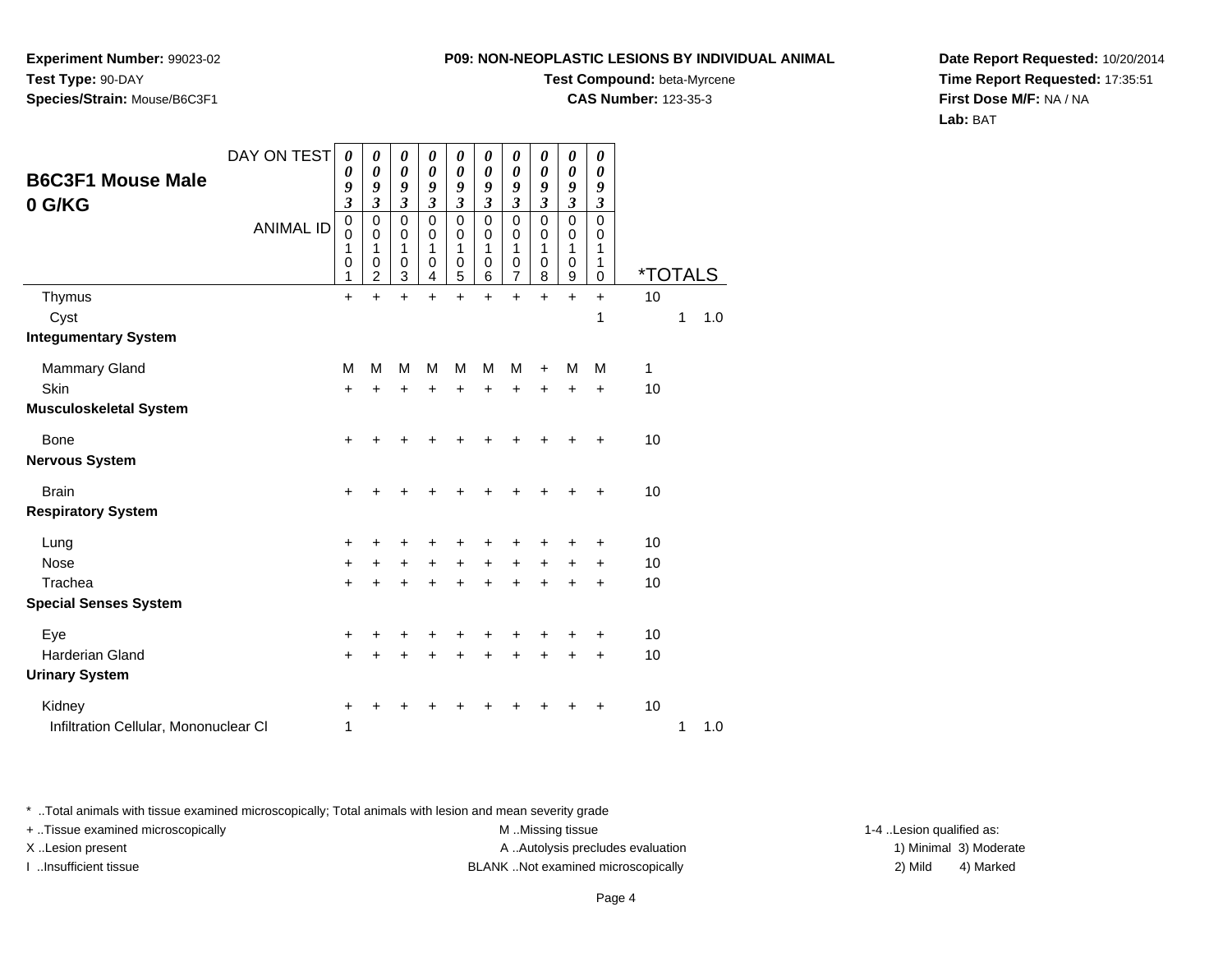**Experiment Number:** 99023-02**Test Type:** 90-DAY**Species/Strain:** Mouse/B6C3F1

### **Test Compound:** beta-Myrcene

**CAS Number:** 123-35-3

**Date Report Requested:** 10/20/2014**Time Report Requested:** 17:35:51**First Dose M/F:** NA / NA**Lab:** BAT

| <b>B6C3F1 Mouse Male</b><br>0 G/KG    | DAY ON TEST<br><b>ANIMAL ID</b> | $\boldsymbol{\theta}$<br>$\boldsymbol{\theta}$<br>9<br>$\mathfrak{z}$<br>$\mathbf 0$<br>0<br>1<br>$\pmb{0}$ | 0<br>0<br>9<br>3<br>0<br>0<br>1<br>0 | 0<br>0<br>9<br>$\mathfrak{z}$<br>$\mathbf 0$<br>0<br>1<br>0 | 0<br>0<br>9<br>3<br>$\mathbf 0$<br>0<br>1<br>0 | 0<br>0<br>9<br>3<br>$\mathsf 0$<br>0<br>$\mathbf{1}$<br>0 | 0<br>$\boldsymbol{\theta}$<br>9<br>$\overline{\mathbf{3}}$<br>$\mathbf 0$<br>0<br>1<br>$\mathbf 0$ | 0<br>$\boldsymbol{\theta}$<br>9<br>$\mathfrak{z}$<br>$\mathbf 0$<br>0<br>1<br>0 | 0<br>$\boldsymbol{\theta}$<br>9<br>3<br>$\mathbf 0$<br>0<br>1<br>0 | 0<br>$\boldsymbol{\theta}$<br>9<br>$\mathfrak{z}$<br>$\mathbf 0$<br>0<br>1<br>$\mathbf 0$ | 0<br>0<br>9<br>$\boldsymbol{\beta}$<br>$\mathbf 0$<br>0<br>1<br>1 |                       |   |     |
|---------------------------------------|---------------------------------|-------------------------------------------------------------------------------------------------------------|--------------------------------------|-------------------------------------------------------------|------------------------------------------------|-----------------------------------------------------------|----------------------------------------------------------------------------------------------------|---------------------------------------------------------------------------------|--------------------------------------------------------------------|-------------------------------------------------------------------------------------------|-------------------------------------------------------------------|-----------------------|---|-----|
|                                       |                                 | 1                                                                                                           | $\overline{c}$                       | 3                                                           | 4                                              | 5                                                         | 6                                                                                                  | $\overline{7}$                                                                  | 8                                                                  | $\boldsymbol{9}$                                                                          | 0                                                                 | <i><b>*TOTALS</b></i> |   |     |
| Thymus                                |                                 | $\ddot{}$                                                                                                   | $\ddot{}$                            | $\ddot{}$                                                   | ÷                                              | $\ddot{}$                                                 | $\ddot{}$                                                                                          | $\ddot{}$                                                                       | $\ddot{}$                                                          | $\ddot{}$                                                                                 | $\ddot{}$                                                         | 10                    |   |     |
| Cyst                                  |                                 |                                                                                                             |                                      |                                                             |                                                |                                                           |                                                                                                    |                                                                                 |                                                                    |                                                                                           | 1                                                                 |                       | 1 | 1.0 |
| <b>Integumentary System</b>           |                                 |                                                                                                             |                                      |                                                             |                                                |                                                           |                                                                                                    |                                                                                 |                                                                    |                                                                                           |                                                                   |                       |   |     |
| <b>Mammary Gland</b>                  |                                 | M                                                                                                           | M                                    | M                                                           | M                                              | M                                                         | M                                                                                                  | М                                                                               | $\ddot{}$                                                          | M                                                                                         | M                                                                 | 1                     |   |     |
| Skin                                  |                                 | $\ddot{}$                                                                                                   | +                                    | $\pm$                                                       | +                                              | +                                                         | +                                                                                                  | +                                                                               | +                                                                  | ٠                                                                                         | $\ddot{}$                                                         | 10                    |   |     |
| <b>Musculoskeletal System</b>         |                                 |                                                                                                             |                                      |                                                             |                                                |                                                           |                                                                                                    |                                                                                 |                                                                    |                                                                                           |                                                                   |                       |   |     |
| Bone                                  |                                 | +                                                                                                           |                                      |                                                             |                                                |                                                           |                                                                                                    |                                                                                 |                                                                    |                                                                                           |                                                                   | 10                    |   |     |
| <b>Nervous System</b>                 |                                 |                                                                                                             |                                      |                                                             |                                                |                                                           |                                                                                                    |                                                                                 |                                                                    |                                                                                           |                                                                   |                       |   |     |
| <b>Brain</b>                          |                                 | $\ddot{}$                                                                                                   |                                      | +                                                           |                                                |                                                           |                                                                                                    |                                                                                 |                                                                    |                                                                                           |                                                                   | 10                    |   |     |
| <b>Respiratory System</b>             |                                 |                                                                                                             |                                      |                                                             |                                                |                                                           |                                                                                                    |                                                                                 |                                                                    |                                                                                           |                                                                   |                       |   |     |
| Lung                                  |                                 | +                                                                                                           |                                      | ٠                                                           |                                                |                                                           |                                                                                                    |                                                                                 |                                                                    |                                                                                           | ٠                                                                 | 10                    |   |     |
| Nose                                  |                                 | $\ddot{}$                                                                                                   | +                                    | $+$                                                         | $\ddot{}$                                      | $\ddot{}$                                                 | $\ddot{}$                                                                                          | $\ddot{}$                                                                       | $\ddot{}$                                                          | $\ddot{}$                                                                                 | +                                                                 | 10                    |   |     |
| Trachea                               |                                 | $\ddot{}$                                                                                                   | +                                    | +                                                           | +                                              | +                                                         | +                                                                                                  | $\ddot{}$                                                                       | ÷                                                                  |                                                                                           | +                                                                 | 10                    |   |     |
| <b>Special Senses System</b>          |                                 |                                                                                                             |                                      |                                                             |                                                |                                                           |                                                                                                    |                                                                                 |                                                                    |                                                                                           |                                                                   |                       |   |     |
| Eye                                   |                                 | $\ddot{}$                                                                                                   | +                                    | ٠                                                           | +                                              | +                                                         |                                                                                                    |                                                                                 |                                                                    |                                                                                           | +                                                                 | 10                    |   |     |
| Harderian Gland                       |                                 | $\ddot{}$                                                                                                   |                                      | ٠                                                           | +                                              | +                                                         | +                                                                                                  | +                                                                               | +                                                                  | $\ddot{}$                                                                                 | $\ddot{}$                                                         | 10                    |   |     |
| <b>Urinary System</b>                 |                                 |                                                                                                             |                                      |                                                             |                                                |                                                           |                                                                                                    |                                                                                 |                                                                    |                                                                                           |                                                                   |                       |   |     |
| Kidney                                |                                 | +                                                                                                           |                                      |                                                             |                                                |                                                           |                                                                                                    |                                                                                 |                                                                    |                                                                                           | ٠                                                                 | 10                    |   |     |
| Infiltration Cellular, Mononuclear CI |                                 | 1                                                                                                           |                                      |                                                             |                                                |                                                           |                                                                                                    |                                                                                 |                                                                    |                                                                                           |                                                                   |                       | 1 | 1.0 |

\* ..Total animals with tissue examined microscopically; Total animals with lesion and mean severity grade

+ ..Tissue examined microscopically M ...Missing tissue 1-4 ... M ...Missing tissue

X..Lesion present **A ..Autolysis precludes evaluation** A ..Autolysis precludes evaluation 1) Minimal 3) Moderate I ..Insufficient tissue BLANK ..Not examined microscopically 2) Mild 4) Marked

1-4 ..Lesion qualified as: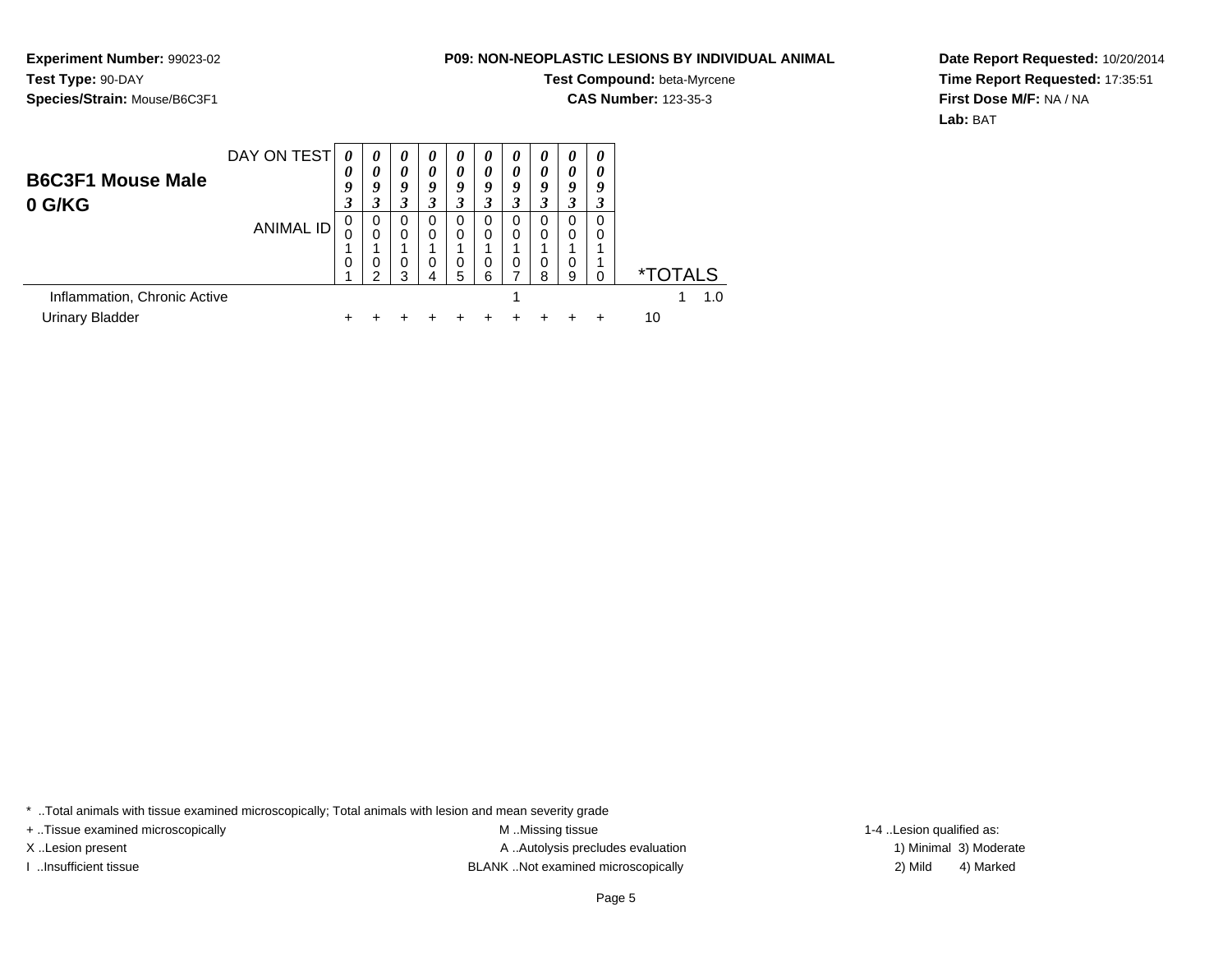**Experiment Number:** 99023-02**Test Type:** 90-DAY**Species/Strain:** Mouse/B6C3F1

# **Test Compound:** beta-Myrcene

**CAS Number:** 123-35-3

**Date Report Requested:** 10/20/2014**Time Report Requested:** 17:35:51**First Dose M/F:** NA / NA**Lab:** BAT

|                                    | DAY ON TEST | 0<br>0   | $\boldsymbol{\theta}$<br>0 | 0<br>$\boldsymbol{\theta}$ | $\boldsymbol{\theta}$<br>0 | $\boldsymbol{\theta}$<br>0 | $\boldsymbol{v}$<br>0 | $\boldsymbol{\theta}$<br>0 | $\boldsymbol{\theta}$<br>$\boldsymbol{\theta}$ | 0<br>0 | $\boldsymbol{\theta}$<br>$\boldsymbol{\theta}$ |                       |
|------------------------------------|-------------|----------|----------------------------|----------------------------|----------------------------|----------------------------|-----------------------|----------------------------|------------------------------------------------|--------|------------------------------------------------|-----------------------|
| <b>B6C3F1 Mouse Male</b><br>0 G/KG |             | 9<br>3   | 9                          | 9<br>3                     | Q                          | 9<br>3                     | о                     | 9<br>3                     | Q                                              | 9      | 9<br>3                                         |                       |
|                                    | ANIMAL ID   | 0        | 0<br>$\Omega$              | 0<br>$\Omega$              | 0<br>0                     | 0<br>0                     | 0<br>0                | 0<br>0                     | 0<br>0                                         | 0      | 0                                              |                       |
|                                    |             | $\Omega$ | 0<br>ົ                     | 0<br>З                     | 0<br>4                     | 0<br>5                     | 0<br>6                | 0<br>⇁                     | 0<br>8                                         | 9      |                                                | <i><b>*TOTALS</b></i> |
| Inflammation, Chronic Active       |             |          |                            |                            |                            |                            |                       |                            |                                                |        |                                                | 1.0                   |
| Urinary Bladder                    |             |          |                            |                            |                            |                            |                       |                            |                                                |        |                                                | 10                    |

\* ..Total animals with tissue examined microscopically; Total animals with lesion and mean severity grade

+ ..Tissue examined microscopically examined microscopically examined as:  $M$  ..Missing tissue 1-4 ..Lesion qualified as:

X..Lesion present **A ..Autolysis precludes evaluation** A ..Autolysis precludes evaluation 1) Minimal 3) Moderate I ..Insufficient tissue BLANK ..Not examined microscopically 2) Mild 4) Marked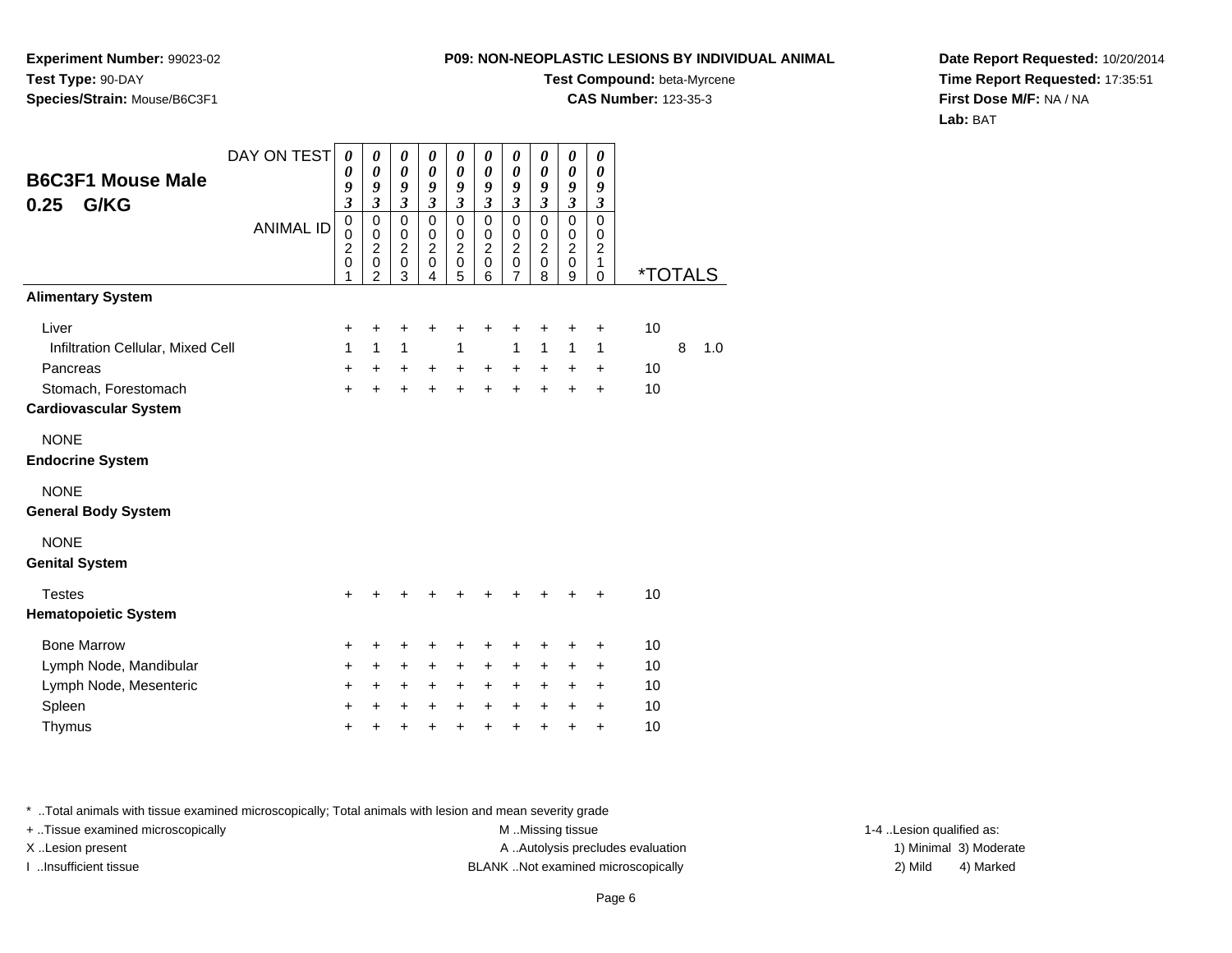**Experiment Number:** 99023-02**Test Type:** 90-DAY**Species/Strain:** Mouse/B6C3F1

# **Test Compound:** beta-Myrcene

**CAS Number:** 123-35-3

**Date Report Requested:** 10/20/2014**Time Report Requested:** 17:35:51**First Dose M/F:** NA / NA**Lab:** BAT

| <b>B6C3F1 Mouse Male</b><br>G/KG<br>0.25               | DAY ON TEST<br><b>ANIMAL ID</b> | 0<br>0<br>9<br>3<br>$\mathbf 0$         | $\boldsymbol{\theta}$<br>0<br>9<br>$\mathfrak{z}$<br>$\mathbf 0$ | 0<br>$\boldsymbol{\theta}$<br>9<br>$\mathfrak{z}$<br>$\mathbf 0$ | 0<br>$\boldsymbol{\theta}$<br>9<br>$\mathfrak{z}$<br>$\mathbf 0$ | 0<br>0<br>9<br>$\mathfrak{z}$<br>$\pmb{0}$        | 0<br>0<br>9<br>$\mathfrak{z}$<br>0                    | 0<br>$\boldsymbol{\theta}$<br>9<br>$\mathfrak{z}$<br>$\pmb{0}$ | 0<br>0<br>9<br>$\mathfrak{z}$<br>$\mathbf 0$ | 0<br>$\boldsymbol{\theta}$<br>9<br>$\mathfrak{z}$<br>$\mathbf 0$ | $\boldsymbol{\theta}$<br>0<br>9<br>3<br>$\Omega$ |                       |   |     |
|--------------------------------------------------------|---------------------------------|-----------------------------------------|------------------------------------------------------------------|------------------------------------------------------------------|------------------------------------------------------------------|---------------------------------------------------|-------------------------------------------------------|----------------------------------------------------------------|----------------------------------------------|------------------------------------------------------------------|--------------------------------------------------|-----------------------|---|-----|
|                                                        |                                 | $\mathbf 0$<br>$\overline{2}$<br>0<br>1 | $\mathbf 0$<br>$\overline{c}$<br>$\mathbf 0$<br>$\overline{2}$   | $\mathbf 0$<br>$\overline{2}$<br>$\mathbf 0$<br>3                | $\mathbf 0$<br>$\overline{2}$<br>$\mathbf 0$<br>4                | $\mathbf 0$<br>$\overline{2}$<br>$\mathbf 0$<br>5 | $\boldsymbol{0}$<br>$\frac{5}{2}$<br>$\mathbf 0$<br>6 | $\mathbf 0$<br>$\overline{2}$<br>$\mathbf 0$<br>7              | 0<br>$\boldsymbol{2}$<br>$\mathbf 0$<br>8    | $\mathbf 0$<br>$\boldsymbol{2}$<br>$\mathbf 0$<br>9              | $\Omega$<br>$\overline{c}$<br>1<br>$\mathbf 0$   | <i><b>*TOTALS</b></i> |   |     |
| <b>Alimentary System</b>                               |                                 |                                         |                                                                  |                                                                  |                                                                  |                                                   |                                                       |                                                                |                                              |                                                                  |                                                  |                       |   |     |
| Liver<br>Infiltration Cellular, Mixed Cell<br>Pancreas |                                 | +<br>1<br>+                             | +<br>1<br>$\ddot{}$                                              | +<br>1<br>$\ddot{}$                                              | +<br>$\ddot{}$                                                   | +<br>1<br>$\ddot{}$                               | +<br>$\ddot{}$                                        | +<br>1<br>$\ddot{}$                                            | +<br>1<br>$\ddot{}$                          | +<br>1<br>$\ddot{}$                                              | +<br>1<br>$\ddot{}$                              | 10<br>10              | 8 | 1.0 |
| Stomach, Forestomach<br><b>Cardiovascular System</b>   |                                 | $\ddot{}$                               | $\ddot{}$                                                        | $\ddot{}$                                                        | $\ddot{}$                                                        | $\ddot{}$                                         | $\ddot{}$                                             | $\ddot{}$                                                      | $\ddot{}$                                    | $\ddot{}$                                                        | $\ddot{}$                                        | 10                    |   |     |
| <b>NONE</b><br><b>Endocrine System</b>                 |                                 |                                         |                                                                  |                                                                  |                                                                  |                                                   |                                                       |                                                                |                                              |                                                                  |                                                  |                       |   |     |
| <b>NONE</b><br><b>General Body System</b>              |                                 |                                         |                                                                  |                                                                  |                                                                  |                                                   |                                                       |                                                                |                                              |                                                                  |                                                  |                       |   |     |
| <b>NONE</b><br><b>Genital System</b>                   |                                 |                                         |                                                                  |                                                                  |                                                                  |                                                   |                                                       |                                                                |                                              |                                                                  |                                                  |                       |   |     |
| <b>Testes</b><br><b>Hematopoietic System</b>           |                                 | +                                       |                                                                  | ٠                                                                | +                                                                | +                                                 | +                                                     | ٠                                                              | +                                            | ٠                                                                | ٠                                                | 10                    |   |     |
| <b>Bone Marrow</b>                                     |                                 | +                                       | +                                                                | +                                                                | +                                                                | +                                                 | +                                                     | $\ddot{}$                                                      | +                                            | +                                                                | +                                                | 10                    |   |     |
| Lymph Node, Mandibular                                 |                                 | +                                       | $\pm$                                                            | +                                                                | +                                                                | $\ddot{}$                                         | +                                                     | $\ddot{}$                                                      | +                                            | +                                                                | +                                                | 10                    |   |     |
| Lymph Node, Mesenteric                                 |                                 | +                                       | +                                                                | +                                                                | +                                                                | $\ddot{}$                                         | +                                                     | +                                                              | +                                            | +                                                                | +                                                | 10                    |   |     |
| Spleen<br>Thymus                                       |                                 | +<br>٠                                  | $\ddot{}$<br>+                                                   | +<br>+                                                           | +<br>+                                                           | $\ddot{}$<br>+                                    | $\ddot{}$<br>$\ddot{}$                                | $\ddot{}$<br>$\ddot{}$                                         | $\ddot{}$<br>+                               | +<br>+                                                           | $\ddot{}$<br>$\ddot{}$                           | 10<br>10              |   |     |

\* ..Total animals with tissue examined microscopically; Total animals with lesion and mean severity grade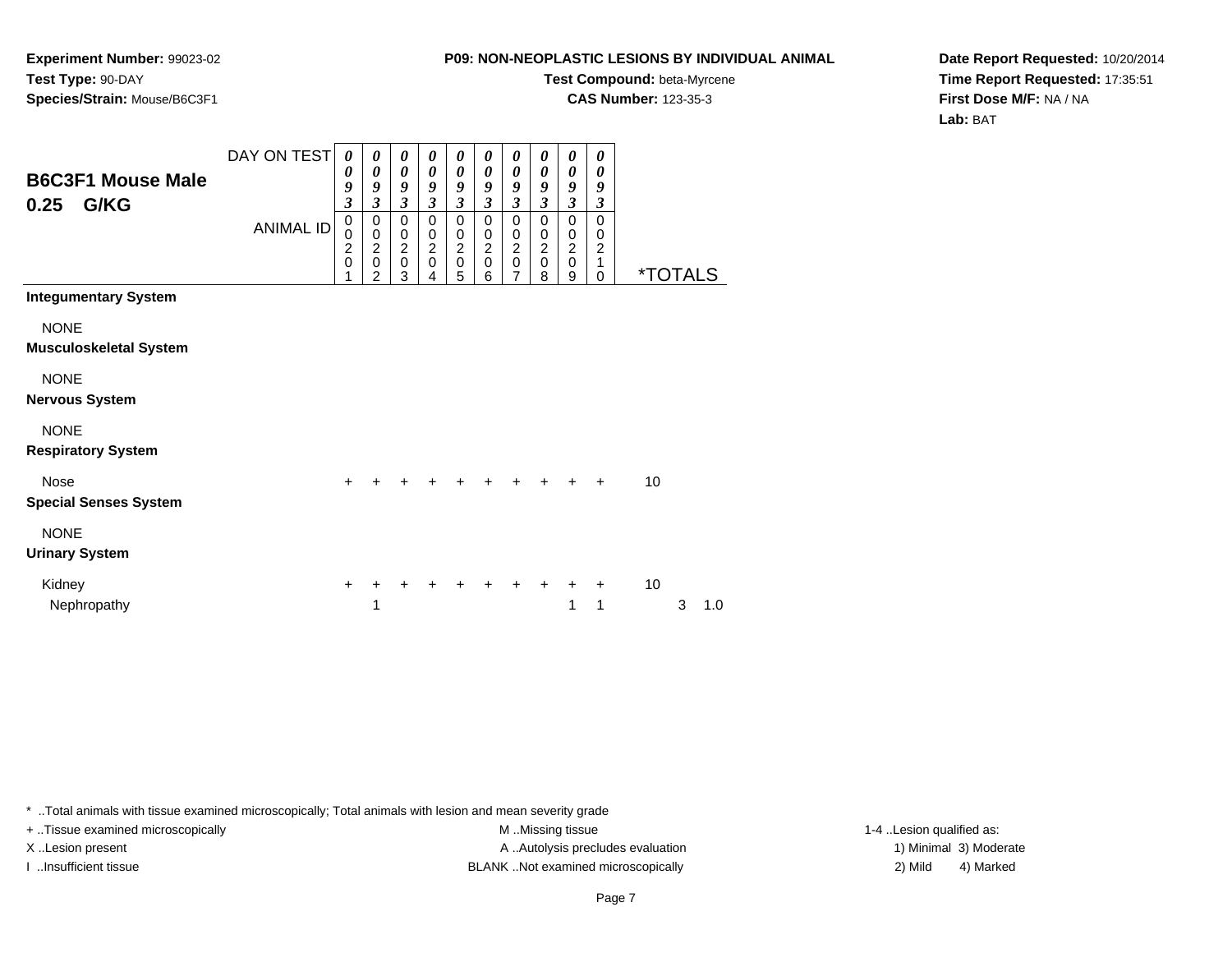**Experiment Number:** 99023-02**Test Type:** 90-DAY**Species/Strain:** Mouse/B6C3F1

#### **Test Compound:** beta-Myrcene**CAS Number:** 123-35-3

**Date Report Requested:** 10/20/2014**Time Report Requested:** 17:35:51**First Dose M/F:** NA / NA**Lab:** BAT

| <b>B6C3F1 Mouse Male</b><br>G/KG<br>0.25     | DAY ON TEST<br><b>ANIMAL ID</b> | 0<br>$\boldsymbol{\theta}$<br>9<br>$\overline{\mathbf{3}}$<br>$\mathbf 0$<br>0<br>$\frac{2}{0}$<br>1 | 0<br>$\boldsymbol{\theta}$<br>9<br>$\mathfrak{z}$<br>$\mathbf 0$<br>$\pmb{0}$<br>$\frac{2}{0}$<br>$\overline{2}$ | 0<br>$\boldsymbol{\theta}$<br>9<br>$\mathfrak{z}$<br>$\pmb{0}$<br>$\mathbf 0$<br>$\frac{2}{0}$<br>3 | 0<br>$\boldsymbol{\theta}$<br>9<br>$\mathfrak{z}$<br>$\mathbf 0$<br>$\mathbf 0$<br>$^2_{\rm 0}$<br>4 | 0<br>$\boldsymbol{\theta}$<br>9<br>$\mathfrak{z}$<br>$\mathbf 0$<br>$\pmb{0}$<br>$\frac{2}{0}$<br>5 | 0<br>$\boldsymbol{\theta}$<br>9<br>$\mathfrak{z}$<br>0<br>0<br>$\frac{2}{0}$<br>6 | 0<br>$\boldsymbol{\theta}$<br>9<br>$\overline{\mathbf{3}}$<br>0<br>$\mathbf 0$<br>$\frac{2}{0}$<br>$\overline{7}$ | 0<br>$\boldsymbol{\theta}$<br>9<br>$\mathfrak{z}$<br>$\mathbf 0$<br>$\mathbf 0$<br>$^2_{\rm 0}$<br>8 | 0<br>$\boldsymbol{\theta}$<br>9<br>$\mathfrak{z}$<br>$\mathbf 0$<br>$\pmb{0}$<br>$\frac{2}{0}$<br>9 | 0<br>0<br>9<br>$\mathfrak{z}$<br>$\mathbf 0$<br>$\mathbf 0$<br>$\boldsymbol{2}$<br>$\mathbf{1}$<br>0 |    | <i><b>*TOTALS</b></i> |     |
|----------------------------------------------|---------------------------------|------------------------------------------------------------------------------------------------------|------------------------------------------------------------------------------------------------------------------|-----------------------------------------------------------------------------------------------------|------------------------------------------------------------------------------------------------------|-----------------------------------------------------------------------------------------------------|-----------------------------------------------------------------------------------|-------------------------------------------------------------------------------------------------------------------|------------------------------------------------------------------------------------------------------|-----------------------------------------------------------------------------------------------------|------------------------------------------------------------------------------------------------------|----|-----------------------|-----|
| <b>Integumentary System</b>                  |                                 |                                                                                                      |                                                                                                                  |                                                                                                     |                                                                                                      |                                                                                                     |                                                                                   |                                                                                                                   |                                                                                                      |                                                                                                     |                                                                                                      |    |                       |     |
| <b>NONE</b><br><b>Musculoskeletal System</b> |                                 |                                                                                                      |                                                                                                                  |                                                                                                     |                                                                                                      |                                                                                                     |                                                                                   |                                                                                                                   |                                                                                                      |                                                                                                     |                                                                                                      |    |                       |     |
| <b>NONE</b><br><b>Nervous System</b>         |                                 |                                                                                                      |                                                                                                                  |                                                                                                     |                                                                                                      |                                                                                                     |                                                                                   |                                                                                                                   |                                                                                                      |                                                                                                     |                                                                                                      |    |                       |     |
| <b>NONE</b><br><b>Respiratory System</b>     |                                 |                                                                                                      |                                                                                                                  |                                                                                                     |                                                                                                      |                                                                                                     |                                                                                   |                                                                                                                   |                                                                                                      |                                                                                                     |                                                                                                      |    |                       |     |
| <b>Nose</b><br><b>Special Senses System</b>  |                                 | $\ddot{}$                                                                                            |                                                                                                                  |                                                                                                     |                                                                                                      |                                                                                                     |                                                                                   |                                                                                                                   | $\ddot{}$                                                                                            | $\ddot{}$                                                                                           | $+$                                                                                                  | 10 |                       |     |
| <b>NONE</b><br><b>Urinary System</b>         |                                 |                                                                                                      |                                                                                                                  |                                                                                                     |                                                                                                      |                                                                                                     |                                                                                   |                                                                                                                   |                                                                                                      |                                                                                                     |                                                                                                      |    |                       |     |
| Kidney<br>Nephropathy                        |                                 | $\ddot{}$                                                                                            | 1                                                                                                                |                                                                                                     |                                                                                                      |                                                                                                     |                                                                                   |                                                                                                                   |                                                                                                      | 1                                                                                                   | 1                                                                                                    | 10 | 3                     | 1.0 |

\* ..Total animals with tissue examined microscopically; Total animals with lesion and mean severity grade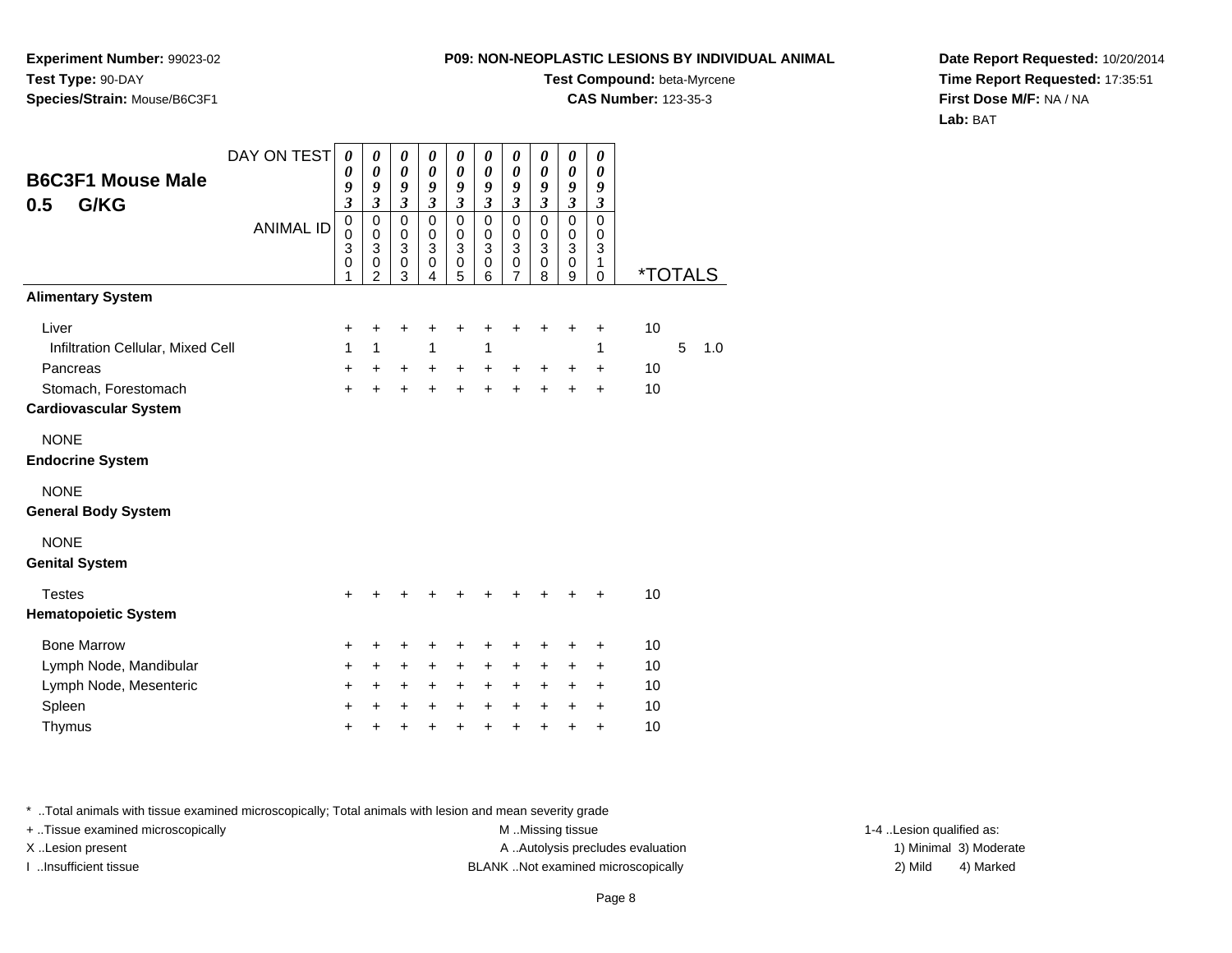**Experiment Number:** 99023-02**Test Type:** 90-DAY**Species/Strain:** Mouse/B6C3F1

# **Test Compound:** beta-Myrcene

**CAS Number:** 123-35-3

**Date Report Requested:** 10/20/2014**Time Report Requested:** 17:35:51**First Dose M/F:** NA / NA**Lab:** BAT

| DAY ON TEST<br><b>B6C3F1 Mouse Male</b><br>G/KG<br>0.5<br><b>ANIMAL ID</b> | $\boldsymbol{\theta}$<br>$\boldsymbol{\theta}$<br>9<br>3<br>$\mathbf 0$<br>$\mathbf 0$<br>$\mathbf{3}$ | 0<br>$\boldsymbol{\theta}$<br>9<br>3<br>$\mathbf 0$<br>$\mathbf 0$<br>$\ensuremath{\mathsf{3}}$ | 0<br>$\boldsymbol{\theta}$<br>9<br>$\mathfrak{z}$<br>$\mathbf 0$<br>$\mathbf 0$<br>$\sqrt{3}$ | 0<br>$\boldsymbol{\theta}$<br>9<br>$\boldsymbol{\beta}$<br>$\mathbf 0$<br>$\mathbf 0$<br>3 | 0<br>$\boldsymbol{\theta}$<br>9<br>$\mathfrak{z}$<br>$\mathbf 0$<br>$\pmb{0}$<br>$\ensuremath{\mathsf{3}}$ | 0<br>$\boldsymbol{\theta}$<br>9<br>$\mathfrak{z}$<br>$\mathbf 0$<br>$\mathbf 0$<br>$\ensuremath{\mathsf{3}}$ | 0<br>0<br>9<br>$\boldsymbol{\mathfrak{z}}$<br>$\mathsf 0$<br>0<br>$\ensuremath{\mathsf{3}}$ | 0<br>0<br>9<br>$\mathfrak{z}$<br>$\mathbf 0$<br>0<br>$\ensuremath{\mathsf{3}}$ | $\pmb{\theta}$<br>$\boldsymbol{\theta}$<br>9<br>$\boldsymbol{\mathfrak{z}}$<br>$\mathsf 0$<br>$\mathbf 0$<br>3 | 0<br>$\theta$<br>9<br>$\boldsymbol{\beta}$<br>$\Omega$<br>0<br>3 |                       |   |     |
|----------------------------------------------------------------------------|--------------------------------------------------------------------------------------------------------|-------------------------------------------------------------------------------------------------|-----------------------------------------------------------------------------------------------|--------------------------------------------------------------------------------------------|------------------------------------------------------------------------------------------------------------|--------------------------------------------------------------------------------------------------------------|---------------------------------------------------------------------------------------------|--------------------------------------------------------------------------------|----------------------------------------------------------------------------------------------------------------|------------------------------------------------------------------|-----------------------|---|-----|
|                                                                            | 0<br>1                                                                                                 | 0<br>$\overline{2}$                                                                             | 0<br>3                                                                                        | 0<br>4                                                                                     | $\pmb{0}$<br>5                                                                                             | 0<br>6                                                                                                       | 0<br>7                                                                                      | 0<br>8                                                                         | 0<br>9                                                                                                         | 1<br>$\mathbf 0$                                                 | <i><b>*TOTALS</b></i> |   |     |
| <b>Alimentary System</b>                                                   |                                                                                                        |                                                                                                 |                                                                                               |                                                                                            |                                                                                                            |                                                                                                              |                                                                                             |                                                                                |                                                                                                                |                                                                  |                       |   |     |
| Liver                                                                      | +                                                                                                      | +                                                                                               | +                                                                                             | +                                                                                          | +                                                                                                          | +                                                                                                            | +                                                                                           | +                                                                              | +                                                                                                              | $\ddot{}$                                                        | 10                    |   |     |
| Infiltration Cellular, Mixed Cell                                          | 1                                                                                                      | $\mathbf{1}$                                                                                    |                                                                                               | 1                                                                                          |                                                                                                            | 1                                                                                                            |                                                                                             |                                                                                |                                                                                                                | 1                                                                |                       | 5 | 1.0 |
| Pancreas                                                                   | +                                                                                                      | +                                                                                               | $\ddot{}$                                                                                     | +                                                                                          | $\ddot{}$                                                                                                  | $\ddot{}$                                                                                                    | +                                                                                           | $\ddot{}$                                                                      | +                                                                                                              | +                                                                | 10                    |   |     |
| Stomach, Forestomach<br><b>Cardiovascular System</b>                       | $\ddot{}$                                                                                              | $\ddot{}$                                                                                       | $\ddot{}$                                                                                     | $\ddot{}$                                                                                  | $\pm$                                                                                                      | $\ddot{}$                                                                                                    | $\ddot{}$                                                                                   | $\ddot{}$                                                                      | +                                                                                                              | $\ddot{}$                                                        | 10                    |   |     |
| <b>NONE</b><br><b>Endocrine System</b>                                     |                                                                                                        |                                                                                                 |                                                                                               |                                                                                            |                                                                                                            |                                                                                                              |                                                                                             |                                                                                |                                                                                                                |                                                                  |                       |   |     |
| <b>NONE</b><br><b>General Body System</b>                                  |                                                                                                        |                                                                                                 |                                                                                               |                                                                                            |                                                                                                            |                                                                                                              |                                                                                             |                                                                                |                                                                                                                |                                                                  |                       |   |     |
| <b>NONE</b><br><b>Genital System</b>                                       |                                                                                                        |                                                                                                 |                                                                                               |                                                                                            |                                                                                                            |                                                                                                              |                                                                                             |                                                                                |                                                                                                                |                                                                  |                       |   |     |
| <b>Testes</b><br><b>Hematopoietic System</b>                               | +                                                                                                      | +                                                                                               | +                                                                                             | +                                                                                          | +                                                                                                          | +                                                                                                            | +                                                                                           | +                                                                              | +                                                                                                              | +                                                                | 10                    |   |     |
| <b>Bone Marrow</b>                                                         | +                                                                                                      | +                                                                                               | +                                                                                             | +                                                                                          | +                                                                                                          | +                                                                                                            | +                                                                                           | +                                                                              | +                                                                                                              | +                                                                | 10                    |   |     |
| Lymph Node, Mandibular                                                     | +                                                                                                      | +                                                                                               | +                                                                                             | +                                                                                          | +                                                                                                          | +                                                                                                            | $\ddot{}$                                                                                   | +                                                                              | +                                                                                                              | $\ddot{}$                                                        | 10                    |   |     |
| Lymph Node, Mesenteric                                                     | +                                                                                                      | +                                                                                               | +                                                                                             | +                                                                                          | +                                                                                                          | +                                                                                                            | +                                                                                           | +                                                                              | +                                                                                                              | +                                                                | 10                    |   |     |
| Spleen                                                                     | +                                                                                                      | +                                                                                               | $\ddot{}$                                                                                     | $\ddot{}$                                                                                  | $\ddot{}$                                                                                                  | $\ddot{}$                                                                                                    | $\ddot{}$                                                                                   | $\ddot{}$                                                                      | +                                                                                                              | $\ddot{}$                                                        | 10                    |   |     |
| Thymus                                                                     | ÷                                                                                                      | +                                                                                               | +                                                                                             | +                                                                                          | $\pm$                                                                                                      | $\pm$                                                                                                        | $\pm$                                                                                       | +                                                                              | +                                                                                                              | $\ddot{}$                                                        | 10                    |   |     |

\* ..Total animals with tissue examined microscopically; Total animals with lesion and mean severity grade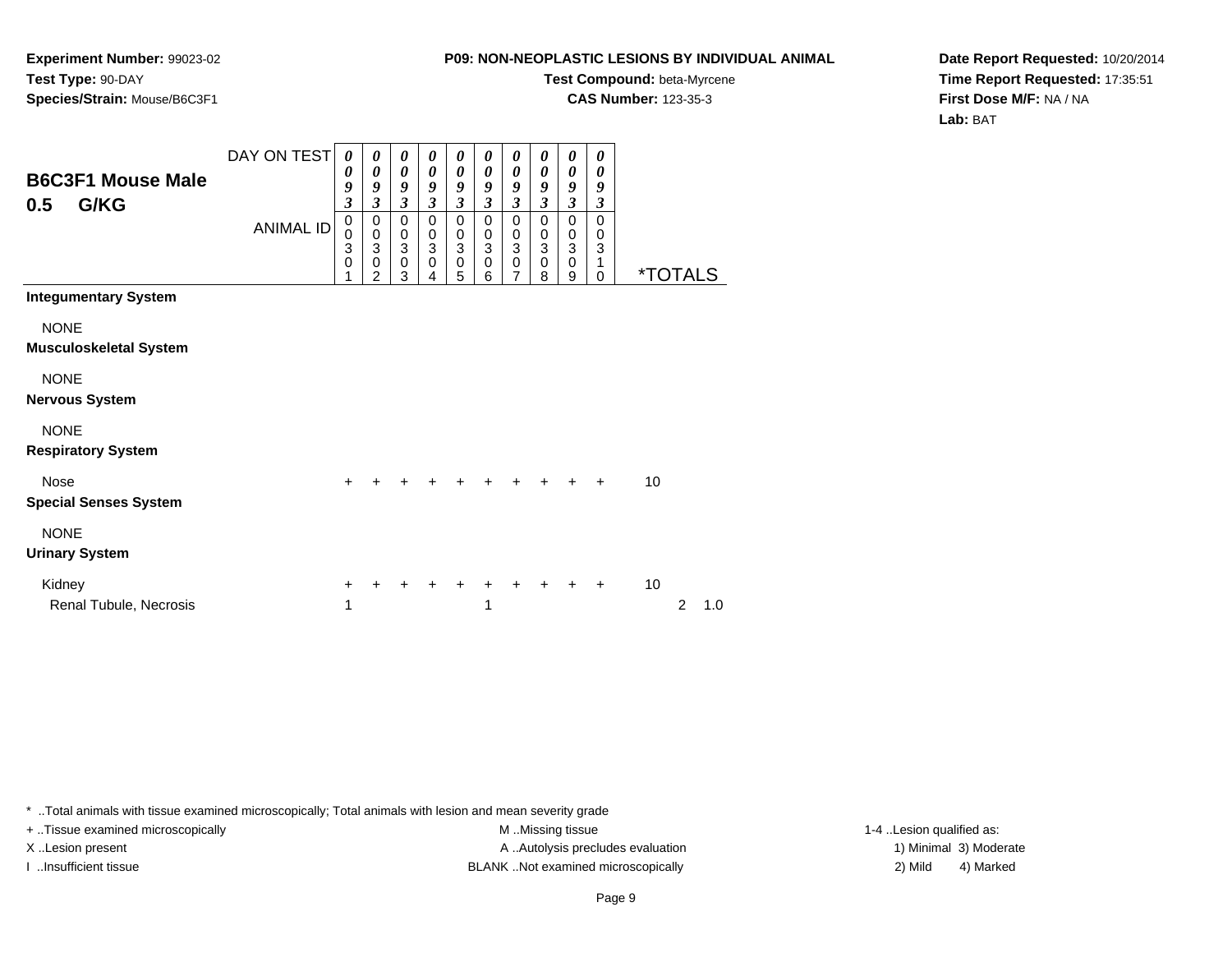**Experiment Number:** 99023-02**Test Type:** 90-DAY**Species/Strain:** Mouse/B6C3F1

# **Test Compound:** beta-Myrcene

**CAS Number:** 123-35-3

**Date Report Requested:** 10/20/2014**Time Report Requested:** 17:35:51**First Dose M/F:** NA / NA**Lab:** BAT

| <b>B6C3F1 Mouse Male</b><br>G/KG<br>0.5      | DAY ON TEST<br><b>ANIMAL ID</b> | $\boldsymbol{\theta}$<br>0<br>9<br>$\overline{\mathbf{3}}$<br>$\pmb{0}$<br>$\mathbf 0$<br>3 | $\boldsymbol{\theta}$<br>$\boldsymbol{\theta}$<br>9<br>$\mathfrak{z}$<br>$\mathbf 0$<br>$\pmb{0}$<br>$\overline{3}$ | 0<br>$\pmb{\theta}$<br>$\boldsymbol{g}$<br>$\mathfrak{z}$<br>$\pmb{0}$<br>$\begin{smallmatrix}0\\3\end{smallmatrix}$ | 0<br>$\boldsymbol{\theta}$<br>9<br>$\mathfrak{z}$<br>$\mathbf 0$<br>$\,0\,$<br>$\overline{3}$ | 0<br>$\boldsymbol{\theta}$<br>9<br>$\mathfrak{z}$<br>$\mathbf 0$<br>$\,0\,$<br>$\ensuremath{\mathsf{3}}$ | 0<br>$\boldsymbol{\theta}$<br>9<br>$\mathfrak{z}$<br>$\mathbf 0$<br>$\pmb{0}$<br>$\mathbf{3}$ | 0<br>$\boldsymbol{\theta}$<br>9<br>$\boldsymbol{\mathfrak{z}}$<br>$\pmb{0}$<br>$\,0\,$<br>$\overline{3}$ | 0<br>0<br>9<br>$\mathfrak{z}$<br>$\mathbf 0$<br>$\pmb{0}$<br>3 | 0<br>0<br>9<br>$\overline{\mathbf{3}}$<br>$\mathbf 0$<br>$\,0\,$<br>$\overline{3}$ | 0<br>0<br>9<br>$\boldsymbol{\beta}$<br>$\mathbf 0$<br>0<br>3 |                       |                |     |
|----------------------------------------------|---------------------------------|---------------------------------------------------------------------------------------------|---------------------------------------------------------------------------------------------------------------------|----------------------------------------------------------------------------------------------------------------------|-----------------------------------------------------------------------------------------------|----------------------------------------------------------------------------------------------------------|-----------------------------------------------------------------------------------------------|----------------------------------------------------------------------------------------------------------|----------------------------------------------------------------|------------------------------------------------------------------------------------|--------------------------------------------------------------|-----------------------|----------------|-----|
|                                              |                                 | $\mathbf 0$                                                                                 | $\mathbf 0$<br>$\overline{2}$                                                                                       | $\mathsf 0$<br>3                                                                                                     | $\mathbf 0$<br>4                                                                              | $\mathbf 0$<br>5                                                                                         | $\mathbf 0$<br>6                                                                              | $\pmb{0}$<br>$\overline{7}$                                                                              | 0<br>8                                                         | 0<br>9                                                                             | 1<br>0                                                       | <i><b>*TOTALS</b></i> |                |     |
| <b>Integumentary System</b>                  |                                 |                                                                                             |                                                                                                                     |                                                                                                                      |                                                                                               |                                                                                                          |                                                                                               |                                                                                                          |                                                                |                                                                                    |                                                              |                       |                |     |
| <b>NONE</b><br><b>Musculoskeletal System</b> |                                 |                                                                                             |                                                                                                                     |                                                                                                                      |                                                                                               |                                                                                                          |                                                                                               |                                                                                                          |                                                                |                                                                                    |                                                              |                       |                |     |
| <b>NONE</b><br><b>Nervous System</b>         |                                 |                                                                                             |                                                                                                                     |                                                                                                                      |                                                                                               |                                                                                                          |                                                                                               |                                                                                                          |                                                                |                                                                                    |                                                              |                       |                |     |
| <b>NONE</b><br><b>Respiratory System</b>     |                                 |                                                                                             |                                                                                                                     |                                                                                                                      |                                                                                               |                                                                                                          |                                                                                               |                                                                                                          |                                                                |                                                                                    |                                                              |                       |                |     |
| <b>Nose</b><br><b>Special Senses System</b>  |                                 | $+$                                                                                         | $\div$                                                                                                              |                                                                                                                      |                                                                                               | ٠                                                                                                        | $\ddot{}$                                                                                     | ÷                                                                                                        | ÷                                                              | ÷                                                                                  | $\ddot{+}$                                                   | 10                    |                |     |
| <b>NONE</b><br><b>Urinary System</b>         |                                 |                                                                                             |                                                                                                                     |                                                                                                                      |                                                                                               |                                                                                                          |                                                                                               |                                                                                                          |                                                                |                                                                                    |                                                              |                       |                |     |
| Kidney<br>Renal Tubule, Necrosis             |                                 | +<br>1                                                                                      |                                                                                                                     |                                                                                                                      |                                                                                               |                                                                                                          | 1                                                                                             |                                                                                                          |                                                                |                                                                                    | $\ddot{}$                                                    | 10                    | $\overline{c}$ | 1.0 |

\* ..Total animals with tissue examined microscopically; Total animals with lesion and mean severity grade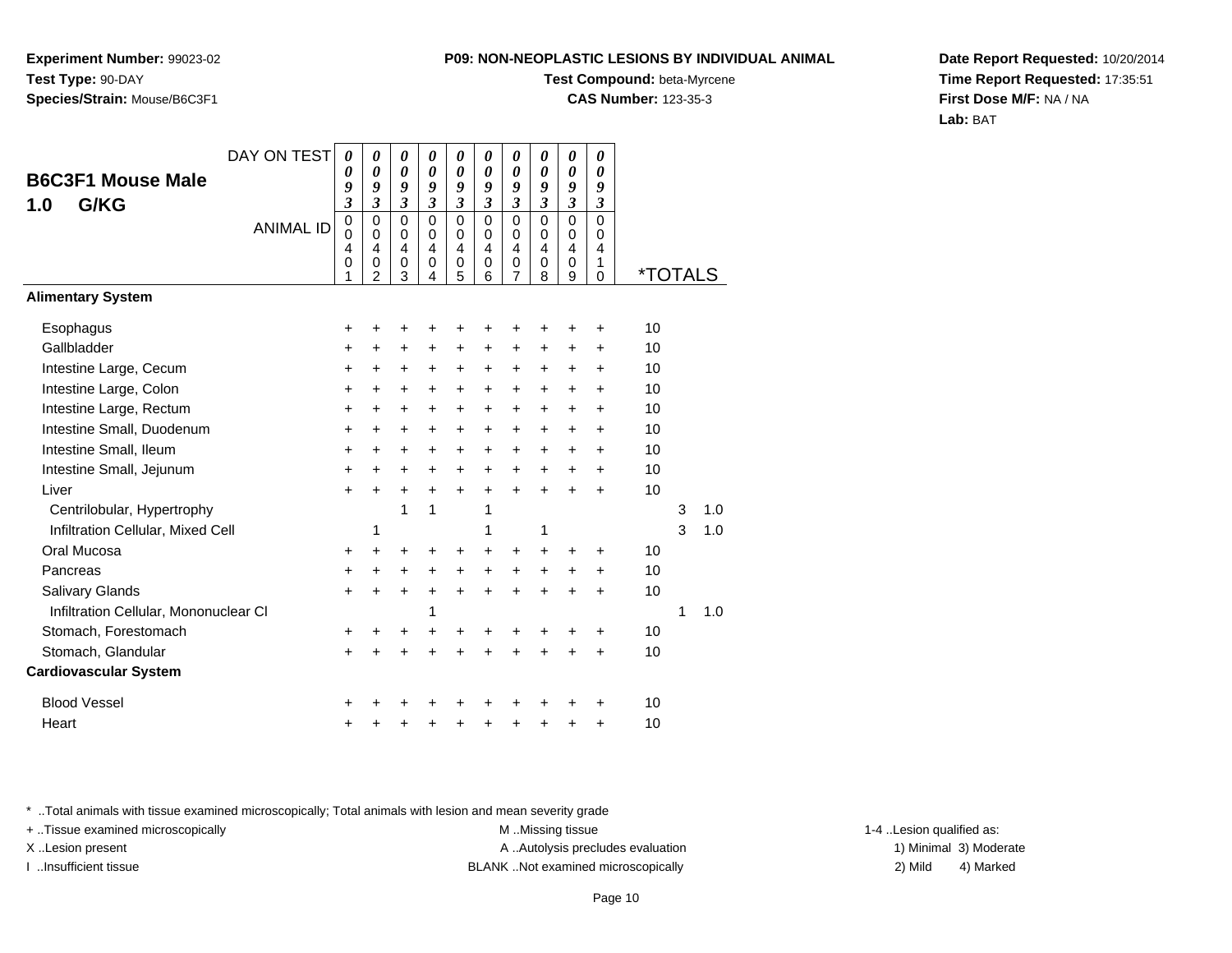**Experiment Number:** 99023-02**Test Type:** 90-DAY**Species/Strain:** Mouse/B6C3F1

### **Test Compound:** beta-Myrcene

**CAS Number:** 123-35-3

**Date Report Requested:** 10/20/2014**Time Report Requested:** 17:35:51**First Dose M/F:** NA / NA**Lab:** BAT

| DAY ON TEST                           | 0                                              | 0                                             | 0                                                    | 0                                                                | 0                                                   | 0                                                                | 0                                                      | 0                                                      | 0                                      | 0                                          |                       |   |     |
|---------------------------------------|------------------------------------------------|-----------------------------------------------|------------------------------------------------------|------------------------------------------------------------------|-----------------------------------------------------|------------------------------------------------------------------|--------------------------------------------------------|--------------------------------------------------------|----------------------------------------|--------------------------------------------|-----------------------|---|-----|
| <b>B6C3F1 Mouse Male</b>              | 0<br>9                                         | $\boldsymbol{\theta}$<br>9                    | $\boldsymbol{\theta}$<br>9                           | $\boldsymbol{\theta}$<br>9                                       | 0<br>9                                              | $\boldsymbol{\theta}$<br>9                                       | 0<br>9                                                 | 0<br>9                                                 | $\boldsymbol{\theta}$<br>9             | $\boldsymbol{\theta}$<br>9                 |                       |   |     |
| G/KG<br>1.0                           | $\overline{\mathbf{3}}$                        | $\overline{\mathbf{3}}$                       | $\mathfrak{z}$                                       | $\overline{\mathbf{3}}$                                          | $\overline{\mathbf{3}}$                             | $\mathfrak{z}$                                                   | $\mathfrak{z}$                                         | $\mathfrak{z}$                                         | $\mathfrak{z}$                         | $\boldsymbol{\beta}$                       |                       |   |     |
| <b>ANIMAL ID</b>                      | $\mathbf 0$<br>$\mathbf 0$<br>4<br>$\mathbf 0$ | $\Omega$<br>$\Omega$<br>4<br>$\mathbf 0$<br>2 | $\mathbf 0$<br>0<br>$\overline{4}$<br>$\pmb{0}$<br>3 | $\mathbf 0$<br>$\mathbf 0$<br>$\overline{4}$<br>$\mathbf 0$<br>4 | $\mathbf 0$<br>$\mathbf 0$<br>4<br>$\mathbf 0$<br>5 | $\mathbf 0$<br>$\mathbf 0$<br>$\overline{4}$<br>$\mathbf 0$<br>6 | $\mathbf 0$<br>0<br>$\overline{4}$<br>$\mathbf 0$<br>7 | $\mathbf 0$<br>0<br>$\overline{4}$<br>$\mathsf 0$<br>8 | $\Omega$<br>0<br>4<br>$\mathbf 0$<br>9 | $\mathbf{0}$<br>0<br>4<br>1<br>$\mathbf 0$ | <i><b>*TOTALS</b></i> |   |     |
| <b>Alimentary System</b>              |                                                |                                               |                                                      |                                                                  |                                                     |                                                                  |                                                        |                                                        |                                        |                                            |                       |   |     |
| Esophagus                             | +                                              | +                                             | +                                                    | +                                                                | +                                                   | +                                                                | +                                                      | +                                                      | +                                      | +                                          | 10                    |   |     |
| Gallbladder                           | $\ddot{}$                                      | $\ddot{}$                                     | $\ddot{}$                                            | $\ddot{}$                                                        | +                                                   | $\ddot{}$                                                        | +                                                      | $\ddot{}$                                              | $\ddot{}$                              | $\ddot{}$                                  | 10                    |   |     |
| Intestine Large, Cecum                | +                                              | $\pm$                                         | $+$                                                  | $\ddot{}$                                                        | $\ddot{}$                                           | +                                                                | $\ddot{}$                                              | $\ddot{}$                                              | $\ddot{}$                              | $\ddot{}$                                  | 10                    |   |     |
| Intestine Large, Colon                | $\ddot{}$                                      | $\ddot{}$                                     | $\ddot{}$                                            | $\ddot{}$                                                        | $\ddot{}$                                           | $\ddot{}$                                                        | $\ddot{}$                                              | +                                                      | $\ddot{}$                              | $\ddot{}$                                  | 10                    |   |     |
| Intestine Large, Rectum               | $\ddot{}$                                      | +                                             | +                                                    | +                                                                | +                                                   | $\ddot{}$                                                        | +                                                      | +                                                      | +                                      | +                                          | 10                    |   |     |
| Intestine Small, Duodenum             | $\ddot{}$                                      | +                                             | $\ddot{}$                                            | $\ddot{}$                                                        | $\ddot{}$                                           | $\ddot{}$                                                        | $\ddot{}$                                              | $\ddot{}$                                              | $\ddot{}$                              | $\ddot{}$                                  | 10                    |   |     |
| Intestine Small, Ileum                | +                                              | +                                             | $\ddot{}$                                            | $\ddot{}$                                                        | $\ddot{}$                                           | $\ddot{}$                                                        | $\ddot{}$                                              | $\ddot{}$                                              | $\ddot{}$                              | $\ddot{}$                                  | 10                    |   |     |
| Intestine Small, Jejunum              | +                                              | $\div$                                        | $\pm$                                                | $\ddot{}$                                                        | $\ddot{}$                                           | $\ddot{}$                                                        | +                                                      | $\ddot{}$                                              | +                                      | +                                          | 10                    |   |     |
| Liver                                 | $\ddot{}$                                      | $\ddot{}$                                     | $\pm$                                                | $\ddot{}$                                                        | $\ddot{}$                                           | $\ddot{}$                                                        | $\ddot{}$                                              | $\ddot{}$                                              | $\ddot{}$                              | ÷                                          | 10                    |   |     |
| Centrilobular, Hypertrophy            |                                                |                                               | 1                                                    | 1                                                                |                                                     | 1                                                                |                                                        |                                                        |                                        |                                            |                       | 3 | 1.0 |
| Infiltration Cellular, Mixed Cell     |                                                | 1                                             |                                                      |                                                                  |                                                     | 1                                                                |                                                        | 1                                                      |                                        |                                            |                       | 3 | 1.0 |
| Oral Mucosa                           | +                                              | +                                             | ٠                                                    | ÷                                                                | +                                                   | +                                                                | +                                                      | +                                                      | +                                      | $\ddot{}$                                  | 10                    |   |     |
| Pancreas                              | +                                              | $\ddot{}$                                     | $\ddot{}$                                            | $\ddot{}$                                                        | $\ddot{}$                                           | $\ddot{}$                                                        | $\ddot{}$                                              | $\ddot{}$                                              | +                                      | +                                          | 10                    |   |     |
| Salivary Glands                       | $\ddot{}$                                      | $\ddot{}$                                     | $\ddot{}$                                            | $\ddot{}$                                                        | $\ddot{}$                                           | $\ddot{}$                                                        | $\ddot{}$                                              | $\ddot{}$                                              | $\ddot{}$                              | $\ddot{}$                                  | 10                    |   |     |
| Infiltration Cellular, Mononuclear CI |                                                |                                               |                                                      | 1                                                                |                                                     |                                                                  |                                                        |                                                        |                                        |                                            |                       | 1 | 1.0 |
| Stomach, Forestomach                  | +                                              |                                               |                                                      | +                                                                | +                                                   | +                                                                | +                                                      | +                                                      | +                                      | +                                          | 10                    |   |     |
| Stomach, Glandular                    | +                                              |                                               |                                                      |                                                                  | +                                                   | $\ddot{}$                                                        | +                                                      | +                                                      |                                        | $\ddot{}$                                  | 10                    |   |     |
| <b>Cardiovascular System</b>          |                                                |                                               |                                                      |                                                                  |                                                     |                                                                  |                                                        |                                                        |                                        |                                            |                       |   |     |
| <b>Blood Vessel</b>                   | +                                              |                                               |                                                      |                                                                  |                                                     |                                                                  |                                                        |                                                        |                                        | +                                          | 10                    |   |     |
| Heart                                 | +                                              |                                               |                                                      |                                                                  | +                                                   | +                                                                | +                                                      | +                                                      | +                                      | +                                          | 10                    |   |     |

\* ..Total animals with tissue examined microscopically; Total animals with lesion and mean severity grade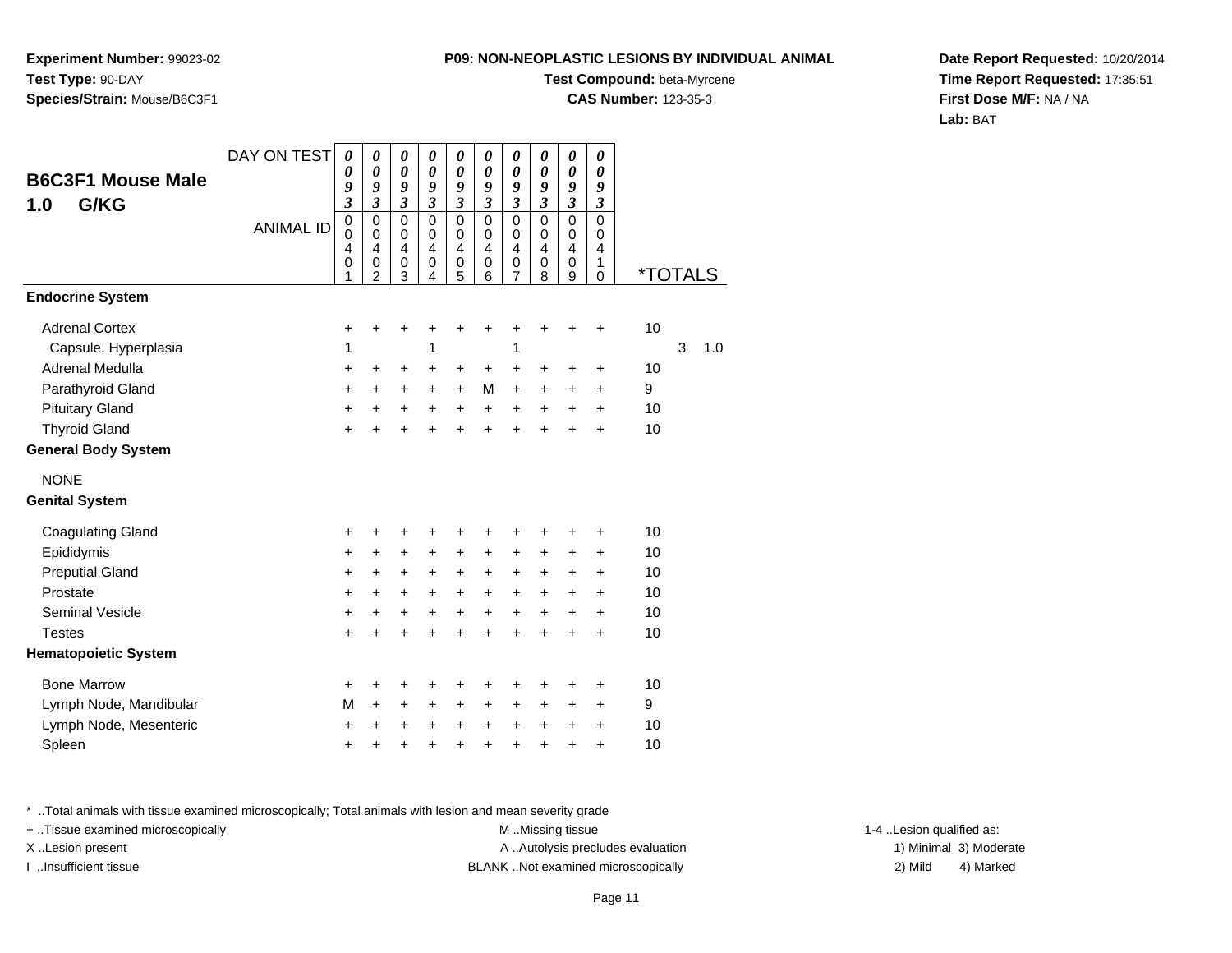**Experiment Number:** 99023-02**Test Type:** 90-DAY**Species/Strain:** Mouse/B6C3F1

### **Test Compound:** beta-Myrcene

**CAS Number:** 123-35-3

**Date Report Requested:** 10/20/2014**Time Report Requested:** 17:35:51**First Dose M/F:** NA / NA**Lab:** BAT

| <b>B6C3F1 Mouse Male</b><br>G/KG<br>1.0 | DAY ON TEST<br><b>ANIMAL ID</b> | 0<br>0<br>9<br>$\overline{\mathbf{3}}$<br>$\mathbf 0$<br>$\mathbf 0$<br>$\overline{4}$<br>0 | 0<br>0<br>9<br>$\overline{\mathbf{3}}$<br>$\pmb{0}$<br>$\mathbf 0$<br>$\overline{4}$<br>$\pmb{0}$ | 0<br>$\boldsymbol{\theta}$<br>9<br>$\overline{\mathbf{3}}$<br>$\mathbf 0$<br>$\mathbf 0$<br>4<br>$\boldsymbol{0}$ | 0<br>$\boldsymbol{\theta}$<br>9<br>$\mathfrak{z}$<br>$\mathbf 0$<br>$\mathbf 0$<br>$\overline{4}$<br>0 | 0<br>$\boldsymbol{\theta}$<br>9<br>$\mathfrak{z}$<br>$\mathbf 0$<br>$\mathbf 0$<br>$\overline{4}$<br>$\boldsymbol{0}$ | 0<br>0<br>9<br>$\overline{\mathbf{3}}$<br>$\mathbf 0$<br>$\mathbf 0$<br>$\overline{4}$<br>0 | 0<br>$\boldsymbol{\theta}$<br>9<br>$\mathfrak{z}$<br>$\pmb{0}$<br>$\mathbf 0$<br>4<br>$\,0\,$ | 0<br>$\boldsymbol{\theta}$<br>9<br>$\overline{\mathbf{3}}$<br>$\mathbf 0$<br>$\mathbf 0$<br>4<br>0 | 0<br>$\boldsymbol{\theta}$<br>9<br>$\overline{\mathbf{3}}$<br>$\mathbf 0$<br>$\mathbf 0$<br>$\overline{4}$<br>$\pmb{0}$ | 0<br>0<br>9<br>$\mathfrak{z}$<br>$\mathbf 0$<br>0<br>4<br>1 |                       |   |     |
|-----------------------------------------|---------------------------------|---------------------------------------------------------------------------------------------|---------------------------------------------------------------------------------------------------|-------------------------------------------------------------------------------------------------------------------|--------------------------------------------------------------------------------------------------------|-----------------------------------------------------------------------------------------------------------------------|---------------------------------------------------------------------------------------------|-----------------------------------------------------------------------------------------------|----------------------------------------------------------------------------------------------------|-------------------------------------------------------------------------------------------------------------------------|-------------------------------------------------------------|-----------------------|---|-----|
|                                         |                                 | 1                                                                                           | $\overline{2}$                                                                                    | 3                                                                                                                 | 4                                                                                                      | 5                                                                                                                     | 6                                                                                           | $\overline{7}$                                                                                | 8                                                                                                  | 9                                                                                                                       | $\mathbf 0$                                                 | <i><b>*TOTALS</b></i> |   |     |
| <b>Endocrine System</b>                 |                                 |                                                                                             |                                                                                                   |                                                                                                                   |                                                                                                        |                                                                                                                       |                                                                                             |                                                                                               |                                                                                                    |                                                                                                                         |                                                             |                       |   |     |
| <b>Adrenal Cortex</b>                   |                                 | $\ddot{}$                                                                                   | $\ddot{}$                                                                                         | $\ddot{}$                                                                                                         | $\ddot{}$                                                                                              | $\ddot{}$                                                                                                             | $\ddot{}$                                                                                   | $\ddot{}$                                                                                     | +                                                                                                  | $\ddot{}$                                                                                                               | $\ddot{}$                                                   | 10                    |   |     |
| Capsule, Hyperplasia                    |                                 | 1                                                                                           |                                                                                                   |                                                                                                                   | 1                                                                                                      |                                                                                                                       |                                                                                             | 1                                                                                             |                                                                                                    |                                                                                                                         |                                                             |                       | 3 | 1.0 |
| Adrenal Medulla                         |                                 | +                                                                                           | +                                                                                                 | +                                                                                                                 | +                                                                                                      | +                                                                                                                     | +                                                                                           | +                                                                                             | +                                                                                                  | +                                                                                                                       | +                                                           | 10                    |   |     |
| Parathyroid Gland                       |                                 | +                                                                                           | $\ddot{}$                                                                                         | +                                                                                                                 | $\ddot{}$                                                                                              | $\ddot{}$                                                                                                             | M                                                                                           | $\ddot{}$                                                                                     | +                                                                                                  | $\ddot{}$                                                                                                               | $\ddot{}$                                                   | 9                     |   |     |
| <b>Pituitary Gland</b>                  |                                 | +                                                                                           | $\ddot{}$                                                                                         | $\ddot{}$                                                                                                         | $\ddot{}$                                                                                              | $\ddot{}$                                                                                                             | $\ddot{}$                                                                                   | $\ddot{}$                                                                                     | $\ddot{}$                                                                                          | $\ddot{}$                                                                                                               | $\ddot{}$                                                   | 10                    |   |     |
| <b>Thyroid Gland</b>                    |                                 | $\ddot{}$                                                                                   | $\ddot{}$                                                                                         | $\ddot{}$                                                                                                         | $\ddot{}$                                                                                              | $\ddot{}$                                                                                                             | $\ddot{}$                                                                                   | $\ddot{}$                                                                                     | $\ddot{}$                                                                                          | $\ddot{}$                                                                                                               | $\ddot{}$                                                   | 10                    |   |     |
| <b>General Body System</b>              |                                 |                                                                                             |                                                                                                   |                                                                                                                   |                                                                                                        |                                                                                                                       |                                                                                             |                                                                                               |                                                                                                    |                                                                                                                         |                                                             |                       |   |     |
| <b>NONE</b>                             |                                 |                                                                                             |                                                                                                   |                                                                                                                   |                                                                                                        |                                                                                                                       |                                                                                             |                                                                                               |                                                                                                    |                                                                                                                         |                                                             |                       |   |     |
| <b>Genital System</b>                   |                                 |                                                                                             |                                                                                                   |                                                                                                                   |                                                                                                        |                                                                                                                       |                                                                                             |                                                                                               |                                                                                                    |                                                                                                                         |                                                             |                       |   |     |
| <b>Coagulating Gland</b>                |                                 | +                                                                                           | +                                                                                                 | +                                                                                                                 | +                                                                                                      | +                                                                                                                     | +                                                                                           | +                                                                                             | +                                                                                                  | +                                                                                                                       | +                                                           | 10                    |   |     |
| Epididymis                              |                                 | +                                                                                           | +                                                                                                 | +                                                                                                                 | +                                                                                                      | +                                                                                                                     | +                                                                                           | +                                                                                             | +                                                                                                  | $\ddot{}$                                                                                                               | $\ddot{}$                                                   | 10                    |   |     |
| <b>Preputial Gland</b>                  |                                 | $\ddot{}$                                                                                   | $\ddot{}$                                                                                         | $\ddot{}$                                                                                                         | $\ddot{}$                                                                                              | $\ddot{}$                                                                                                             | $\ddot{}$                                                                                   | $\ddot{}$                                                                                     | $\ddot{}$                                                                                          | $\ddot{}$                                                                                                               | $\ddot{}$                                                   | 10                    |   |     |
| Prostate                                |                                 | +                                                                                           | +                                                                                                 | +                                                                                                                 | +                                                                                                      | $\ddot{}$                                                                                                             | +                                                                                           | $\ddot{}$                                                                                     | $\ddot{}$                                                                                          | $\ddot{}$                                                                                                               | $\ddot{}$                                                   | 10                    |   |     |
| <b>Seminal Vesicle</b>                  |                                 | +                                                                                           | +                                                                                                 | +                                                                                                                 | +                                                                                                      | $\ddot{}$                                                                                                             | +                                                                                           | $\ddot{}$                                                                                     | +                                                                                                  | $\ddot{}$                                                                                                               | $\ddot{}$                                                   | 10                    |   |     |
| <b>Testes</b>                           |                                 | $\ddot{}$                                                                                   | $\ddot{}$                                                                                         | $\ddot{}$                                                                                                         | $\ddot{}$                                                                                              | $\ddot{}$                                                                                                             | $\ddot{}$                                                                                   | $\ddot{}$                                                                                     | $\ddot{}$                                                                                          | $\ddot{}$                                                                                                               | $\ddot{}$                                                   | 10                    |   |     |
| <b>Hematopoietic System</b>             |                                 |                                                                                             |                                                                                                   |                                                                                                                   |                                                                                                        |                                                                                                                       |                                                                                             |                                                                                               |                                                                                                    |                                                                                                                         |                                                             |                       |   |     |
| <b>Bone Marrow</b>                      |                                 | +                                                                                           | +                                                                                                 | +                                                                                                                 | +                                                                                                      | +                                                                                                                     | +                                                                                           | +                                                                                             | +                                                                                                  | +                                                                                                                       | +                                                           | 10                    |   |     |
| Lymph Node, Mandibular                  |                                 | M                                                                                           | $\ddot{}$                                                                                         | +                                                                                                                 | +                                                                                                      | +                                                                                                                     | +                                                                                           | +                                                                                             | +                                                                                                  | $\ddot{}$                                                                                                               | +                                                           | 9                     |   |     |
| Lymph Node, Mesenteric                  |                                 | +                                                                                           | +                                                                                                 | +                                                                                                                 | +                                                                                                      | $\ddot{}$                                                                                                             | +                                                                                           | +                                                                                             | +                                                                                                  | $\ddot{}$                                                                                                               | $\ddot{}$                                                   | 10                    |   |     |
| Spleen                                  |                                 | +                                                                                           | +                                                                                                 | +                                                                                                                 | +                                                                                                      | +                                                                                                                     | $\ddot{}$                                                                                   | $\ddot{}$                                                                                     | $\ddot{}$                                                                                          | $\ddot{}$                                                                                                               | $\ddot{}$                                                   | 10                    |   |     |

\* ..Total animals with tissue examined microscopically; Total animals with lesion and mean severity grade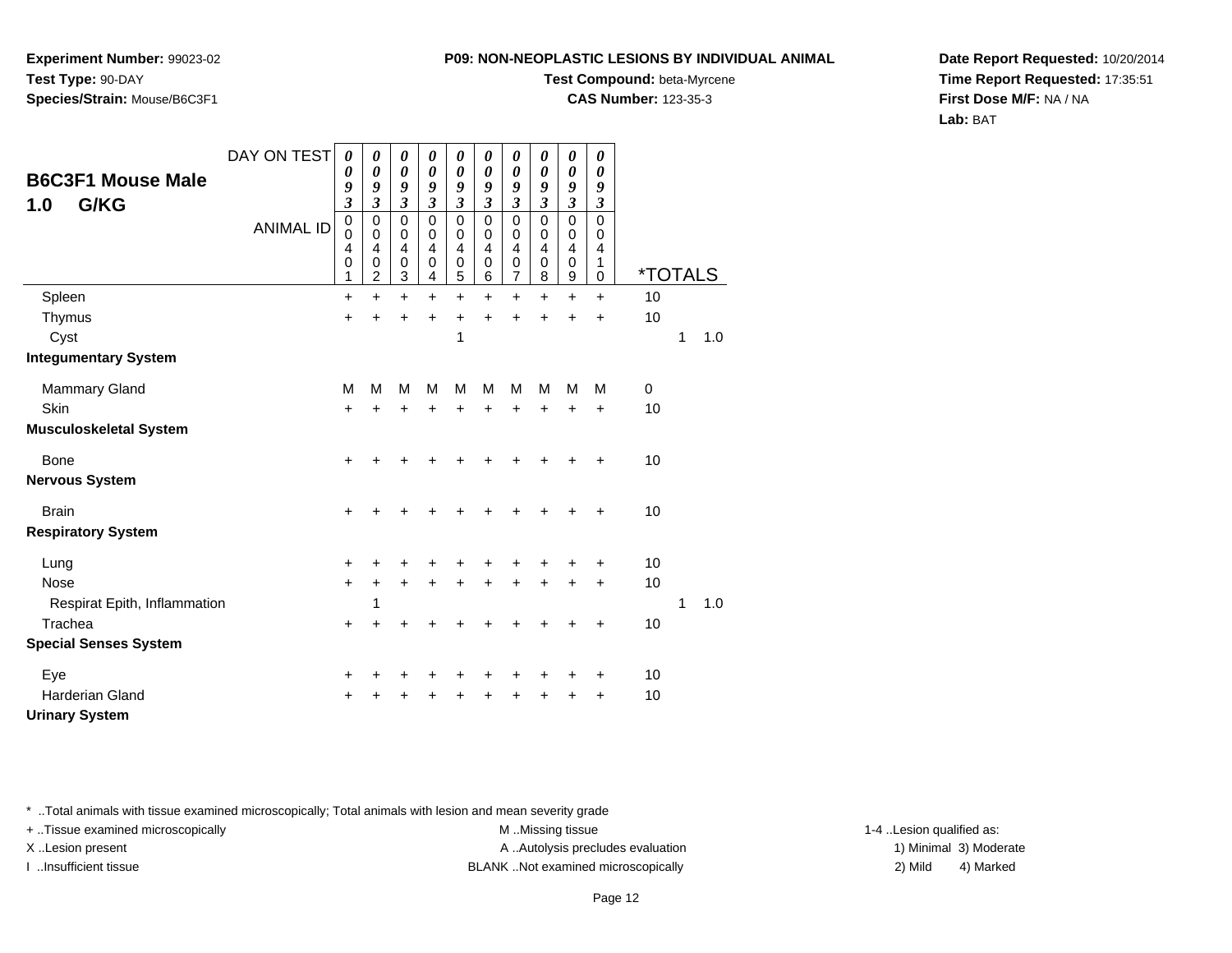**Experiment Number:** 99023-02**Test Type:** 90-DAY**Species/Strain:** Mouse/B6C3F1

#### **Test Compound:** beta-Myrcene

**CAS Number:** 123-35-3

**Date Report Requested:** 10/20/2014**Time Report Requested:** 17:35:51**First Dose M/F:** NA / NA**Lab:** BAT

| <b>B6C3F1 Mouse Male</b>      | DAY ON TEST      | 0<br>0<br>9                                                | 0<br>$\boldsymbol{\theta}$<br>9                                          | 0<br>0<br>9                                               | 0<br>0<br>9                                                     | 0<br>0<br>9                          | 0<br>$\boldsymbol{\theta}$<br>9                                                  | 0<br>0<br>9                                                          | 0<br>0<br>9                                                                   | 0<br>$\boldsymbol{\theta}$<br>9                                | 0<br>0<br>9                                    |                       |   |     |
|-------------------------------|------------------|------------------------------------------------------------|--------------------------------------------------------------------------|-----------------------------------------------------------|-----------------------------------------------------------------|--------------------------------------|----------------------------------------------------------------------------------|----------------------------------------------------------------------|-------------------------------------------------------------------------------|----------------------------------------------------------------|------------------------------------------------|-----------------------|---|-----|
| G/KG<br>1.0                   | <b>ANIMAL ID</b> | $\overline{\mathbf{3}}$<br>$\mathbf 0$<br>0<br>4<br>0<br>1 | $\mathfrak{z}$<br>$\mathbf 0$<br>$\mathbf 0$<br>$\overline{4}$<br>0<br>2 | $\mathfrak{z}$<br>$\pmb{0}$<br>$\mathbf 0$<br>4<br>0<br>3 | $\mathfrak{z}$<br>$\mathbf 0$<br>$\pmb{0}$<br>4<br>$\,0\,$<br>4 | 3<br>$\mathbf 0$<br>0<br>4<br>0<br>5 | $\mathfrak{z}$<br>$\mathbf 0$<br>$\mathbf 0$<br>$\overline{4}$<br>$\pmb{0}$<br>6 | $\boldsymbol{\beta}$<br>$\mathbf 0$<br>0<br>$\overline{4}$<br>0<br>7 | $\boldsymbol{\mathfrak{z}}$<br>$\mathbf 0$<br>0<br>4<br>$\boldsymbol{0}$<br>8 | $\mathfrak{z}$<br>0<br>$\mathbf 0$<br>$\overline{4}$<br>0<br>9 | 3<br>$\mathbf 0$<br>$\mathbf 0$<br>4<br>1<br>0 | <i><b>*TOTALS</b></i> |   |     |
| Spleen                        |                  | $\ddot{}$                                                  | $\ddot{}$                                                                | $\ddot{}$                                                 | $\ddot{}$                                                       | $\ddot{}$                            | $\ddot{}$                                                                        | $\ddot{}$                                                            | $\ddot{}$                                                                     | $\ddot{}$                                                      | $\ddot{}$                                      | 10                    |   |     |
| Thymus                        |                  | $\ddot{}$                                                  | $\ddot{}$                                                                | $\ddot{}$                                                 | $\ddot{}$                                                       | $\ddot{}$                            | $\ddot{}$                                                                        | $\ddot{}$                                                            | $\ddot{}$                                                                     | $\ddot{}$                                                      | $\ddot{}$                                      | 10                    |   |     |
| Cyst                          |                  |                                                            |                                                                          |                                                           |                                                                 | 1                                    |                                                                                  |                                                                      |                                                                               |                                                                |                                                |                       | 1 | 1.0 |
| <b>Integumentary System</b>   |                  |                                                            |                                                                          |                                                           |                                                                 |                                      |                                                                                  |                                                                      |                                                                               |                                                                |                                                |                       |   |     |
| <b>Mammary Gland</b>          |                  | M                                                          | M                                                                        | M                                                         | M                                                               | M                                    | M                                                                                | M                                                                    | M                                                                             | M                                                              | М                                              | $\mathbf 0$           |   |     |
| Skin                          |                  | $\ddot{}$                                                  | $\ddot{}$                                                                | +                                                         | $\ddot{}$                                                       | $\ddot{}$                            | $\ddot{}$                                                                        | $\ddot{}$                                                            | $\ddot{}$                                                                     | $\ddot{}$                                                      | $\ddot{}$                                      | 10                    |   |     |
| <b>Musculoskeletal System</b> |                  |                                                            |                                                                          |                                                           |                                                                 |                                      |                                                                                  |                                                                      |                                                                               |                                                                |                                                |                       |   |     |
| <b>Bone</b>                   |                  | +                                                          |                                                                          |                                                           |                                                                 |                                      |                                                                                  |                                                                      |                                                                               |                                                                | +                                              | 10                    |   |     |
| <b>Nervous System</b>         |                  |                                                            |                                                                          |                                                           |                                                                 |                                      |                                                                                  |                                                                      |                                                                               |                                                                |                                                |                       |   |     |
| <b>Brain</b>                  |                  | +                                                          | +                                                                        |                                                           |                                                                 |                                      |                                                                                  |                                                                      |                                                                               | +                                                              | +                                              | 10                    |   |     |
| <b>Respiratory System</b>     |                  |                                                            |                                                                          |                                                           |                                                                 |                                      |                                                                                  |                                                                      |                                                                               |                                                                |                                                |                       |   |     |
| Lung                          |                  | +                                                          |                                                                          |                                                           |                                                                 |                                      |                                                                                  |                                                                      |                                                                               |                                                                | +                                              | 10                    |   |     |
| <b>Nose</b>                   |                  | $\ddot{}$                                                  | +                                                                        | +                                                         | +                                                               | +                                    | $\ddot{}$                                                                        | +                                                                    | +                                                                             | $\ddot{}$                                                      | $\ddot{}$                                      | 10                    |   |     |
| Respirat Epith, Inflammation  |                  |                                                            | 1                                                                        |                                                           |                                                                 |                                      |                                                                                  |                                                                      |                                                                               |                                                                |                                                |                       | 1 | 1.0 |
| Trachea                       |                  | $\ddot{}$                                                  | +                                                                        |                                                           |                                                                 |                                      |                                                                                  |                                                                      |                                                                               |                                                                | +                                              | 10                    |   |     |
| <b>Special Senses System</b>  |                  |                                                            |                                                                          |                                                           |                                                                 |                                      |                                                                                  |                                                                      |                                                                               |                                                                |                                                |                       |   |     |
| Eye                           |                  | +                                                          | +                                                                        | +                                                         | +                                                               | +                                    | +                                                                                |                                                                      | +                                                                             | +                                                              | +                                              | 10                    |   |     |
| <b>Harderian Gland</b>        |                  | ٠                                                          |                                                                          |                                                           | +                                                               |                                      |                                                                                  |                                                                      |                                                                               | +                                                              | $\ddot{}$                                      | 10                    |   |     |
| <b>Urinary System</b>         |                  |                                                            |                                                                          |                                                           |                                                                 |                                      |                                                                                  |                                                                      |                                                                               |                                                                |                                                |                       |   |     |

\* ..Total animals with tissue examined microscopically; Total animals with lesion and mean severity grade

+ ..Tissue examined microscopically examined microscopically examined as:  $M$  ..Missing tissue 1-4 ..Lesion qualified as: X..Lesion present **A ..Autolysis precludes evaluation** A ..Autolysis precludes evaluation 1) Minimal 3) Moderate

I ..Insufficient tissue BLANK ..Not examined microscopically 2) Mild 4) Marked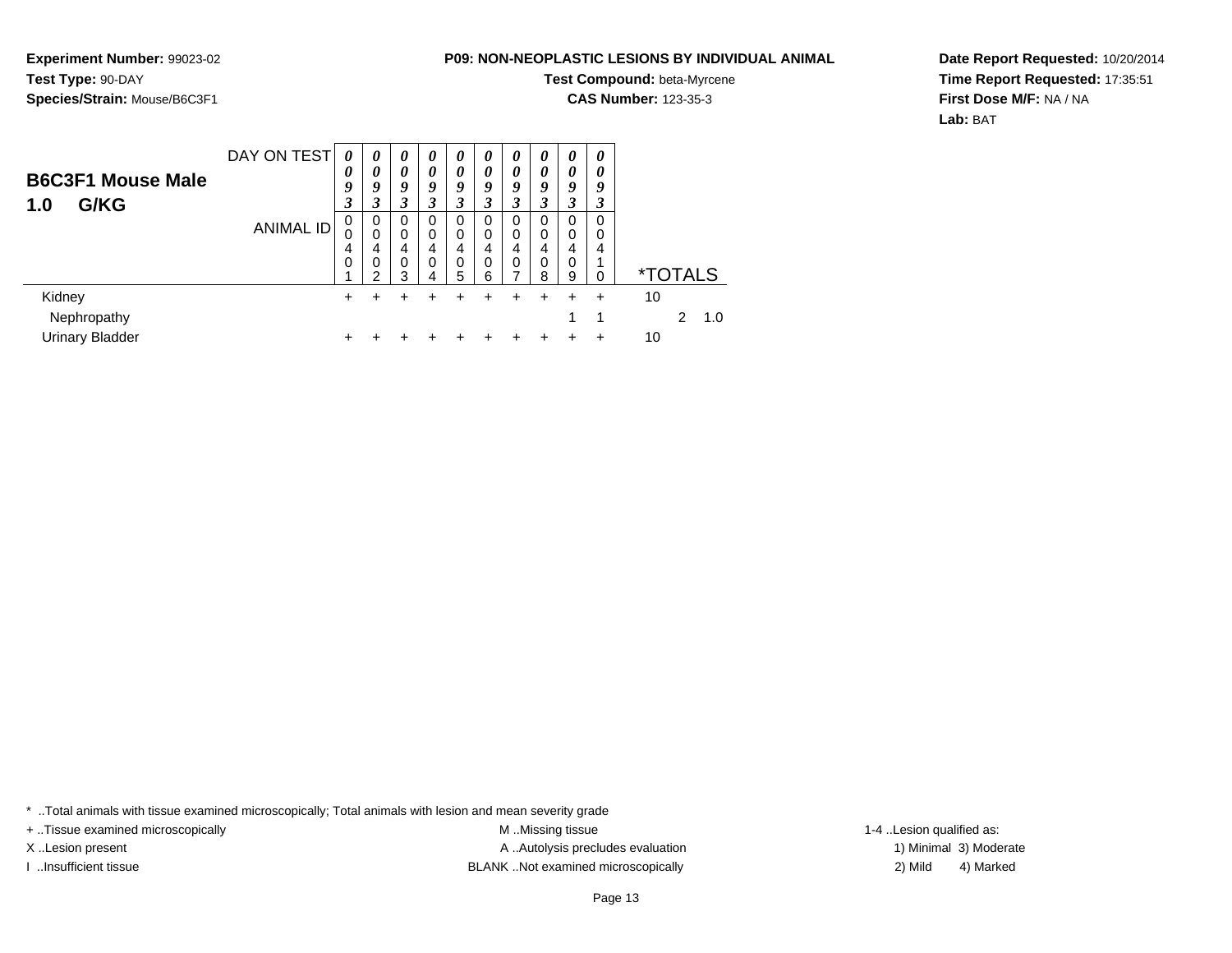**Experiment Number:** 99023-02**Test Type:** 90-DAY**Species/Strain:** Mouse/B6C3F1

# **Test Compound:** beta-Myrcene

**CAS Number:** 123-35-3

**Date Report Requested:** 10/20/2014**Time Report Requested:** 17:35:51**First Dose M/F:** NA / NA**Lab:** BAT

| <b>B6C3F1 Mouse Male</b><br>G/KG<br>1.0         | DAY ON TEST      | 0<br>0<br>9<br>3 | 0<br>0<br>9<br>3      | $\boldsymbol{\theta}$<br>0<br>9<br>$\boldsymbol{\beta}$ | 0<br>0<br>9<br>3             | 0<br>$\boldsymbol{\theta}$<br>9<br>3 | 0<br>$\theta$<br>9<br>3 | 0<br>$\boldsymbol{\theta}$<br>9<br>3 | 0<br>0<br>9<br>3      | 0<br>0<br>9<br>3             | 0<br>0<br>9<br>3 |                       |               |     |
|-------------------------------------------------|------------------|------------------|-----------------------|---------------------------------------------------------|------------------------------|--------------------------------------|-------------------------|--------------------------------------|-----------------------|------------------------------|------------------|-----------------------|---------------|-----|
|                                                 | <b>ANIMAL ID</b> | 0<br>0<br>4<br>0 | 0<br>0<br>4<br>0<br>⌒ | 0<br>0<br>4<br>0<br>3                                   | 0<br>$\Omega$<br>4<br>0<br>4 | 0<br>0<br>4<br>0<br>5                | 0<br>0<br>4<br>0<br>6   | 0<br>0<br>4<br>0<br>⇁                | 0<br>0<br>4<br>0<br>8 | 0<br>$\Omega$<br>4<br>0<br>9 | 0<br>0<br>4<br>0 | <i><b>*TOTALS</b></i> |               |     |
| Kidney<br>Nephropathy<br><b>Urinary Bladder</b> |                  | ٠                |                       | +                                                       |                              |                                      |                         |                                      |                       | 1                            | 1                | 10<br>10              | $\mathcal{P}$ | 1.0 |

\* ..Total animals with tissue examined microscopically; Total animals with lesion and mean severity grade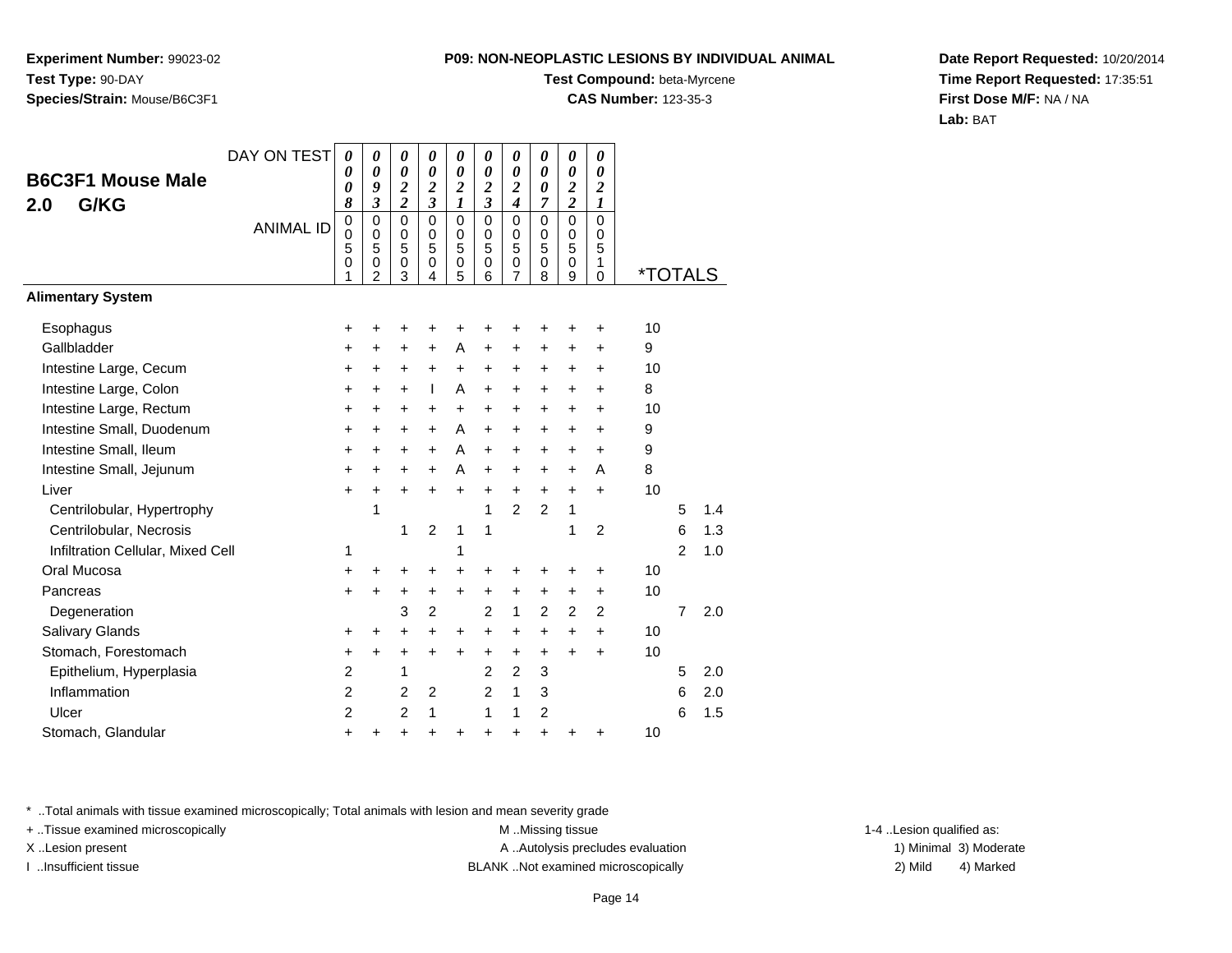**Experiment Number:** 99023-02**Test Type:** 90-DAY**Species/Strain:** Mouse/B6C3F1

### **Test Compound:** beta-Myrcene

**CAS Number:** 123-35-3

**Date Report Requested:** 10/20/2014**Time Report Requested:** 17:35:51**First Dose M/F:** NA / NA**Lab:** BAT

| <b>B6C3F1 Mouse Male</b>          | DAY ON TEST      | 0<br>0<br>0                                       | 0<br>0<br>9                                                                       | 0<br>$\boldsymbol{\theta}$<br>$\frac{2}{2}$ | 0<br>0<br>$\overline{\mathbf{c}}$                | 0<br>$\boldsymbol{\theta}$<br>$\overline{\mathbf{c}}$ | 0<br>$\boldsymbol{\theta}$<br>$\boldsymbol{2}$                       | $\boldsymbol{\theta}$<br>$\boldsymbol{\theta}$<br>$\overline{\mathbf{c}}$ | 0<br>$\boldsymbol{\theta}$<br>$\boldsymbol{\theta}$ | 0<br>0<br>$\boldsymbol{2}$                                    | 0<br>0<br>$\boldsymbol{2}$                                           |                       |                |     |
|-----------------------------------|------------------|---------------------------------------------------|-----------------------------------------------------------------------------------|---------------------------------------------|--------------------------------------------------|-------------------------------------------------------|----------------------------------------------------------------------|---------------------------------------------------------------------------|-----------------------------------------------------|---------------------------------------------------------------|----------------------------------------------------------------------|-----------------------|----------------|-----|
| G/KG<br>2.0                       | <b>ANIMAL ID</b> | 8<br>$\mathbf 0$<br>$\overline{0}$<br>5<br>0<br>1 | $\overline{\mathbf{3}}$<br>$\mathbf 0$<br>$\mathbf 0$<br>5<br>0<br>$\overline{2}$ | $\overline{0}$<br>0<br>5<br>0<br>3          | $\overline{\mathbf{3}}$<br>0<br>0<br>5<br>0<br>4 | $\boldsymbol{l}$<br>$\mathbf 0$<br>0<br>5<br>0<br>5   | $\overline{\mathbf{3}}$<br>$\mathbf 0$<br>0<br>5<br>$\mathbf 0$<br>6 | $\boldsymbol{4}$<br>$\mathbf 0$<br>0<br>5<br>$\mathbf 0$<br>7             | 7<br>$\mathbf 0$<br>0<br>5<br>$\mathbf 0$<br>8      | $\overline{\mathbf{c}}$<br>$\overline{0}$<br>0<br>5<br>0<br>9 | $\boldsymbol{l}$<br>$\mathbf 0$<br>$\mathbf 0$<br>5<br>1<br>$\Omega$ | <i><b>*TOTALS</b></i> |                |     |
| <b>Alimentary System</b>          |                  |                                                   |                                                                                   |                                             |                                                  |                                                       |                                                                      |                                                                           |                                                     |                                                               |                                                                      |                       |                |     |
| Esophagus                         |                  | +                                                 | +                                                                                 | +                                           | +                                                | +                                                     |                                                                      |                                                                           |                                                     |                                                               | +                                                                    | 10                    |                |     |
| Gallbladder                       |                  | +                                                 | +                                                                                 | +                                           | +                                                | A                                                     | $\ddot{}$                                                            | +                                                                         | ÷                                                   | $\ddot{}$                                                     | +                                                                    | 9                     |                |     |
| Intestine Large, Cecum            |                  | $\ddot{}$                                         | $\ddot{}$                                                                         | +                                           | $\ddot{}$                                        | $\ddot{}$                                             | $\ddot{}$                                                            | +                                                                         | $\ddot{}$                                           | +                                                             | $\ddot{}$                                                            | 10                    |                |     |
| Intestine Large, Colon            |                  | +                                                 | $\ddot{}$                                                                         | $\ddot{}$                                   | L                                                | A                                                     | $\ddot{}$                                                            | $\ddot{}$                                                                 | $\ddot{}$                                           | $\ddot{}$                                                     | $\ddot{}$                                                            | 8                     |                |     |
| Intestine Large, Rectum           |                  | $\ddot{}$                                         | $\ddot{}$                                                                         | $\ddot{}$                                   | +                                                | $\ddot{}$                                             | +                                                                    | $\ddot{}$                                                                 | $\ddot{}$                                           | $\ddot{}$                                                     | $\ddot{}$                                                            | 10                    |                |     |
| Intestine Small, Duodenum         |                  | $\ddot{}$                                         | $\pm$                                                                             | $\pm$                                       | $\ddot{}$                                        | A                                                     | $\ddot{}$                                                            | $\ddot{}$                                                                 | $\ddot{}$                                           | +                                                             | $\ddot{}$                                                            | 9                     |                |     |
| Intestine Small, Ileum            |                  | +                                                 | +                                                                                 | +                                           | $\ddot{}$                                        | A                                                     | $\ddot{}$                                                            | $\ddot{}$                                                                 | $\ddot{}$                                           | +                                                             | $\ddot{}$                                                            | 9                     |                |     |
| Intestine Small, Jejunum          |                  | +                                                 | $\pm$                                                                             | +                                           | $\ddot{}$                                        | A                                                     | $\ddot{}$                                                            | $\ddot{}$                                                                 | $\ddot{}$                                           | $\ddot{}$                                                     | A                                                                    | 8                     |                |     |
| Liver                             |                  | $\ddot{}$                                         | $\ddot{}$                                                                         | $\ddot{}$                                   | $\ddot{}$                                        | $\ddot{}$                                             | $\ddot{}$                                                            | $\ddot{}$                                                                 | $\ddot{}$                                           | $\ddot{}$                                                     | $\ddot{}$                                                            | 10                    |                |     |
| Centrilobular, Hypertrophy        |                  |                                                   | 1                                                                                 |                                             |                                                  |                                                       | 1                                                                    | 2                                                                         | $\overline{2}$                                      | 1                                                             |                                                                      |                       | 5              | 1.4 |
| Centrilobular, Necrosis           |                  |                                                   |                                                                                   | 1                                           | $\overline{2}$                                   | 1                                                     | 1                                                                    |                                                                           |                                                     | 1                                                             | 2                                                                    |                       | 6              | 1.3 |
| Infiltration Cellular, Mixed Cell |                  | 1                                                 |                                                                                   |                                             |                                                  | 1                                                     |                                                                      |                                                                           |                                                     |                                                               |                                                                      |                       | $\overline{2}$ | 1.0 |
| Oral Mucosa                       |                  | +                                                 | +                                                                                 | +                                           | +                                                | $\ddot{}$                                             | +                                                                    | +                                                                         | +                                                   | +                                                             | +                                                                    | 10                    |                |     |
| Pancreas                          |                  | +                                                 | +                                                                                 | +                                           | +                                                | $\ddot{}$                                             | +                                                                    | +                                                                         | $\ddot{}$                                           | +                                                             | +                                                                    | 10                    |                |     |
| Degeneration                      |                  |                                                   |                                                                                   | 3                                           | $\overline{2}$                                   |                                                       | $\overline{2}$                                                       | $\mathbf{1}$                                                              | $\overline{2}$                                      | $\overline{2}$                                                | $\overline{2}$                                                       |                       | $\overline{7}$ | 2.0 |
| <b>Salivary Glands</b>            |                  | +                                                 | $\pm$                                                                             | $\ddot{}$                                   | $\ddot{}$                                        | $\ddot{}$                                             | $\ddot{}$                                                            | $\ddot{}$                                                                 | $\ddot{}$                                           | +                                                             | $\ddot{}$                                                            | 10                    |                |     |
| Stomach, Forestomach              |                  | +                                                 | $\pm$                                                                             | +                                           | +                                                | +                                                     | +                                                                    | $\ddot{}$                                                                 | $\ddot{}$                                           | $\ddot{}$                                                     | $\ddot{}$                                                            | 10                    |                |     |
| Epithelium, Hyperplasia           |                  | 2                                                 |                                                                                   | 1                                           |                                                  |                                                       | 2                                                                    | 2                                                                         | 3                                                   |                                                               |                                                                      |                       | 5              | 2.0 |
| Inflammation                      |                  | $\overline{2}$                                    |                                                                                   | 2                                           | $\overline{2}$                                   |                                                       | $\overline{2}$                                                       | 1                                                                         | 3                                                   |                                                               |                                                                      |                       | 6              | 2.0 |
| Ulcer                             |                  | 2                                                 |                                                                                   | 2                                           | 1                                                |                                                       | 1                                                                    | 1                                                                         | $\overline{2}$                                      |                                                               |                                                                      |                       | 6              | 1.5 |
| Stomach, Glandular                |                  | +                                                 | ٠                                                                                 | +                                           | +                                                | +                                                     | +                                                                    | $\ddot{}$                                                                 | $\ddot{}$                                           | ┿                                                             | ٠                                                                    | 10                    |                |     |
|                                   |                  |                                                   |                                                                                   |                                             |                                                  |                                                       |                                                                      |                                                                           |                                                     |                                                               |                                                                      |                       |                |     |

\* ..Total animals with tissue examined microscopically; Total animals with lesion and mean severity grade

+ ..Tissue examined microscopically examined microscopically examined as: M ..Missing tissue 1-4 ..Lesion qualified as:

X..Lesion present **A ..Autolysis precludes evaluation** A ..Autolysis precludes evaluation 1) Minimal 3) Moderate I ..Insufficient tissue BLANK ..Not examined microscopically 2) Mild 4) Marked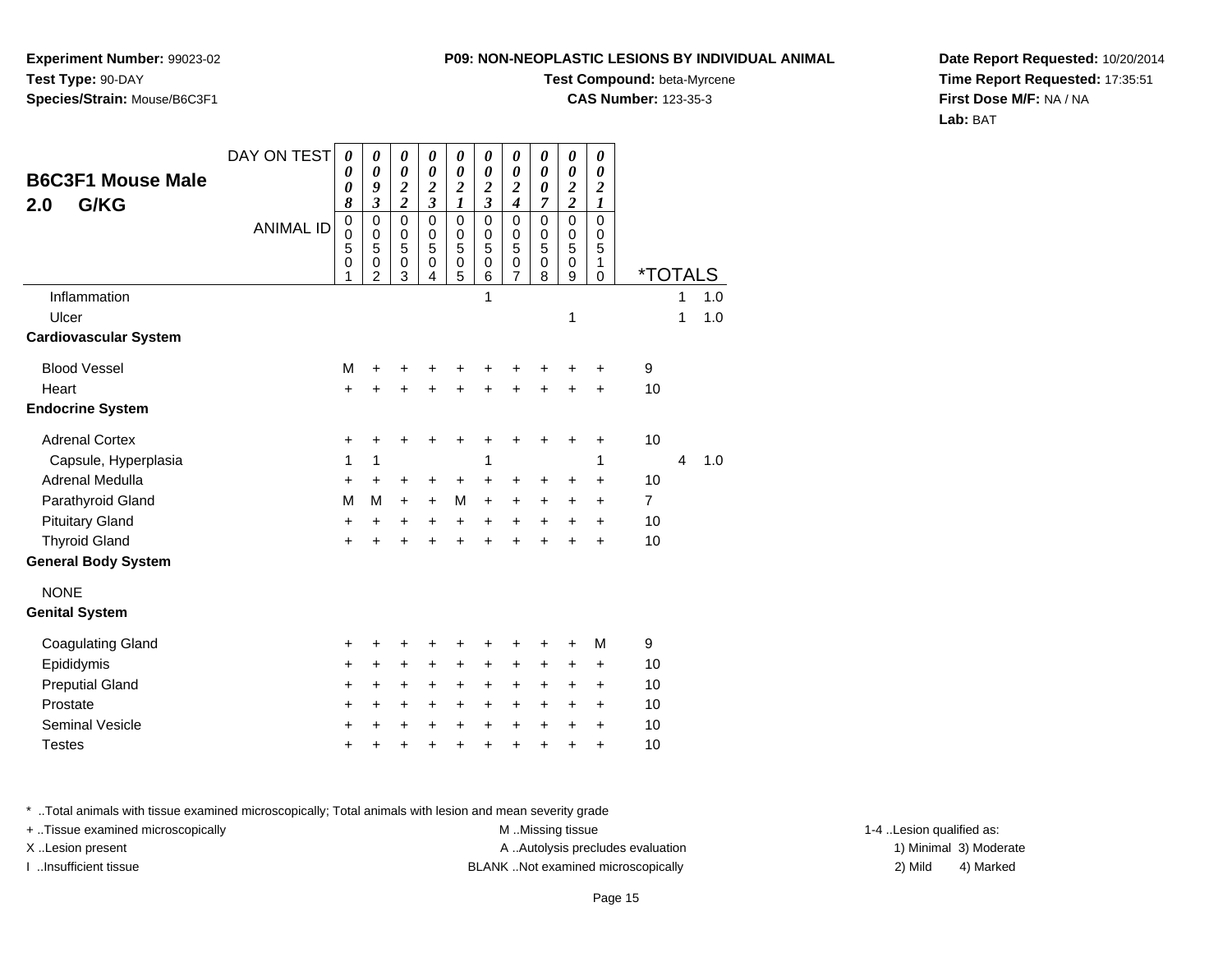**Experiment Number:** 99023-02**Test Type:** 90-DAY**Species/Strain:** Mouse/B6C3F1

#### **Test Compound:** beta-Myrcene

**CAS Number:** 123-35-3

**Date Report Requested:** 10/20/2014**Time Report Requested:** 17:35:51**First Dose M/F:** NA / NA**Lab:** BAT

| <b>B6C3F1 Mouse Male</b><br>G/KG<br>2.0 | DAY ON TEST      | 0<br>0<br>0<br>8                          | 0<br>0<br>9<br>$\overline{\mathbf{3}}$       | 0<br>$\boldsymbol{\theta}$<br>$\frac{2}{2}$ | 0<br>0<br>$\frac{2}{3}$                   | $\boldsymbol{\theta}$<br>$\boldsymbol{\theta}$<br>$\frac{2}{1}$ | 0<br>$\boldsymbol{\theta}$<br>$\frac{2}{3}$         | $\boldsymbol{\theta}$<br>$\boldsymbol{\theta}$<br>$\frac{2}{4}$ | 0<br>$\boldsymbol{\theta}$<br>$\boldsymbol{\theta}$<br>$\overline{7}$ | $\boldsymbol{\theta}$<br>$\boldsymbol{\theta}$<br>$\frac{2}{2}$ | 0<br>0<br>$\overline{\mathbf{c}}$<br>$\boldsymbol{l}$ |                       |        |            |
|-----------------------------------------|------------------|-------------------------------------------|----------------------------------------------|---------------------------------------------|-------------------------------------------|-----------------------------------------------------------------|-----------------------------------------------------|-----------------------------------------------------------------|-----------------------------------------------------------------------|-----------------------------------------------------------------|-------------------------------------------------------|-----------------------|--------|------------|
|                                         | <b>ANIMAL ID</b> | $\mathbf 0$<br>$\mathbf 0$<br>5<br>0<br>1 | $\mathbf 0$<br>0<br>5<br>0<br>$\overline{2}$ | $\mathbf 0$<br>$\mathbf 0$<br>5<br>0<br>3   | $\mathbf 0$<br>$\mathbf 0$<br>5<br>0<br>4 | $\pmb{0}$<br>$\mathbf 0$<br>5<br>$\mathbf 0$<br>5               | $\mathbf 0$<br>$\mathbf 0$<br>5<br>$\mathbf 0$<br>6 | $\pmb{0}$<br>$\mathbf 0$<br>5<br>$\mathbf 0$<br>$\overline{7}$  | $\mathbf 0$<br>$\mathbf 0$<br>5<br>$\mathbf 0$<br>8                   | $\mathbf 0$<br>$\pmb{0}$<br>5<br>$\mathbf 0$<br>9               | $\mathbf 0$<br>$\mathbf 0$<br>5<br>1<br>$\Omega$      | <i><b>*TOTALS</b></i> |        |            |
| Inflammation<br>Ulcer                   |                  |                                           |                                              |                                             |                                           |                                                                 | 1                                                   |                                                                 |                                                                       | 1                                                               |                                                       |                       | 1<br>1 | 1.0<br>1.0 |
| <b>Cardiovascular System</b>            |                  |                                           |                                              |                                             |                                           |                                                                 |                                                     |                                                                 |                                                                       |                                                                 |                                                       |                       |        |            |
| <b>Blood Vessel</b>                     |                  | M                                         | $\ddot{}$                                    | +                                           | +                                         | +                                                               | +                                                   | +                                                               | +                                                                     | +                                                               | +                                                     | 9                     |        |            |
| Heart                                   |                  | $\ddot{}$                                 | $\ddot{}$                                    | +                                           |                                           | $\ddot{}$                                                       | Ŧ.                                                  | $\ddot{}$                                                       |                                                                       | $\ddot{}$                                                       | $\ddot{}$                                             | 10                    |        |            |
| <b>Endocrine System</b>                 |                  |                                           |                                              |                                             |                                           |                                                                 |                                                     |                                                                 |                                                                       |                                                                 |                                                       |                       |        |            |
| <b>Adrenal Cortex</b>                   |                  | +                                         | +                                            | +                                           | ٠                                         | +                                                               | +                                                   | +                                                               |                                                                       | +                                                               | +                                                     | 10                    |        |            |
| Capsule, Hyperplasia                    |                  | 1                                         | 1                                            |                                             |                                           |                                                                 | 1                                                   |                                                                 |                                                                       |                                                                 | 1                                                     |                       | 4      | 1.0        |
| Adrenal Medulla                         |                  | +                                         | $\ddot{}$                                    | $\ddot{}$                                   | +                                         | $\ddot{}$                                                       | $\ddot{}$                                           | $\ddot{}$                                                       | $\ddot{}$                                                             | $\ddot{}$                                                       | $\ddot{}$                                             | 10                    |        |            |
| Parathyroid Gland                       |                  | M                                         | M                                            | $\ddot{}$                                   | $\ddot{}$                                 | M                                                               | $\ddot{}$                                           | $\ddot{}$                                                       | +                                                                     | $\ddot{}$                                                       | $\ddot{}$                                             | $\overline{7}$        |        |            |
| <b>Pituitary Gland</b>                  |                  | $\ddot{}$                                 | +                                            | $\ddot{}$                                   | $\ddot{}$                                 | $\ddot{}$                                                       | $\ddot{}$                                           | $\ddot{}$                                                       | $\ddot{}$                                                             | $\ddot{}$                                                       | $\ddot{}$                                             | 10                    |        |            |
| <b>Thyroid Gland</b>                    |                  | +                                         | $\ddot{}$                                    | +                                           | $\ddot{}$                                 | $\ddot{}$                                                       | $\ddot{}$                                           | $\ddot{}$                                                       | $\ddot{}$                                                             | $\ddot{}$                                                       | $\ddot{}$                                             | 10                    |        |            |
| <b>General Body System</b>              |                  |                                           |                                              |                                             |                                           |                                                                 |                                                     |                                                                 |                                                                       |                                                                 |                                                       |                       |        |            |
| <b>NONE</b>                             |                  |                                           |                                              |                                             |                                           |                                                                 |                                                     |                                                                 |                                                                       |                                                                 |                                                       |                       |        |            |
| <b>Genital System</b>                   |                  |                                           |                                              |                                             |                                           |                                                                 |                                                     |                                                                 |                                                                       |                                                                 |                                                       |                       |        |            |
| <b>Coagulating Gland</b>                |                  | +                                         | +                                            | +                                           | +                                         | +                                                               | +                                                   | +                                                               | +                                                                     | $\ddot{}$                                                       | M                                                     | 9                     |        |            |
| Epididymis                              |                  | +                                         | +                                            | +                                           | +                                         | +                                                               | +                                                   | $\ddot{}$                                                       | +                                                                     | +                                                               | +                                                     | 10                    |        |            |
| <b>Preputial Gland</b>                  |                  | +                                         | $\ddot{}$                                    | +                                           | $\pm$                                     | $\ddot{}$                                                       | +                                                   | $\ddot{}$                                                       | +                                                                     | $\ddot{}$                                                       | $\ddot{}$                                             | 10                    |        |            |
| Prostate                                |                  | +                                         | +                                            | +                                           | +                                         | $\ddot{}$                                                       | $\ddot{}$                                           | $\ddot{}$                                                       | $\ddot{}$                                                             | $\ddot{}$                                                       | $\ddot{}$                                             | 10                    |        |            |
| <b>Seminal Vesicle</b>                  |                  | +                                         | +                                            | +                                           | $\ddot{}$                                 | $\ddot{}$                                                       | $\ddot{}$                                           | $\ddot{}$                                                       | $\ddot{}$                                                             | $\ddot{}$                                                       | $\ddot{}$                                             | 10                    |        |            |
| <b>Testes</b>                           |                  | +                                         | +                                            | +                                           | +                                         | +                                                               | +                                                   | $\ddot{}$                                                       | +                                                                     | $\ddot{}$                                                       | $\ddot{}$                                             | 10                    |        |            |

\* ..Total animals with tissue examined microscopically; Total animals with lesion and mean severity grade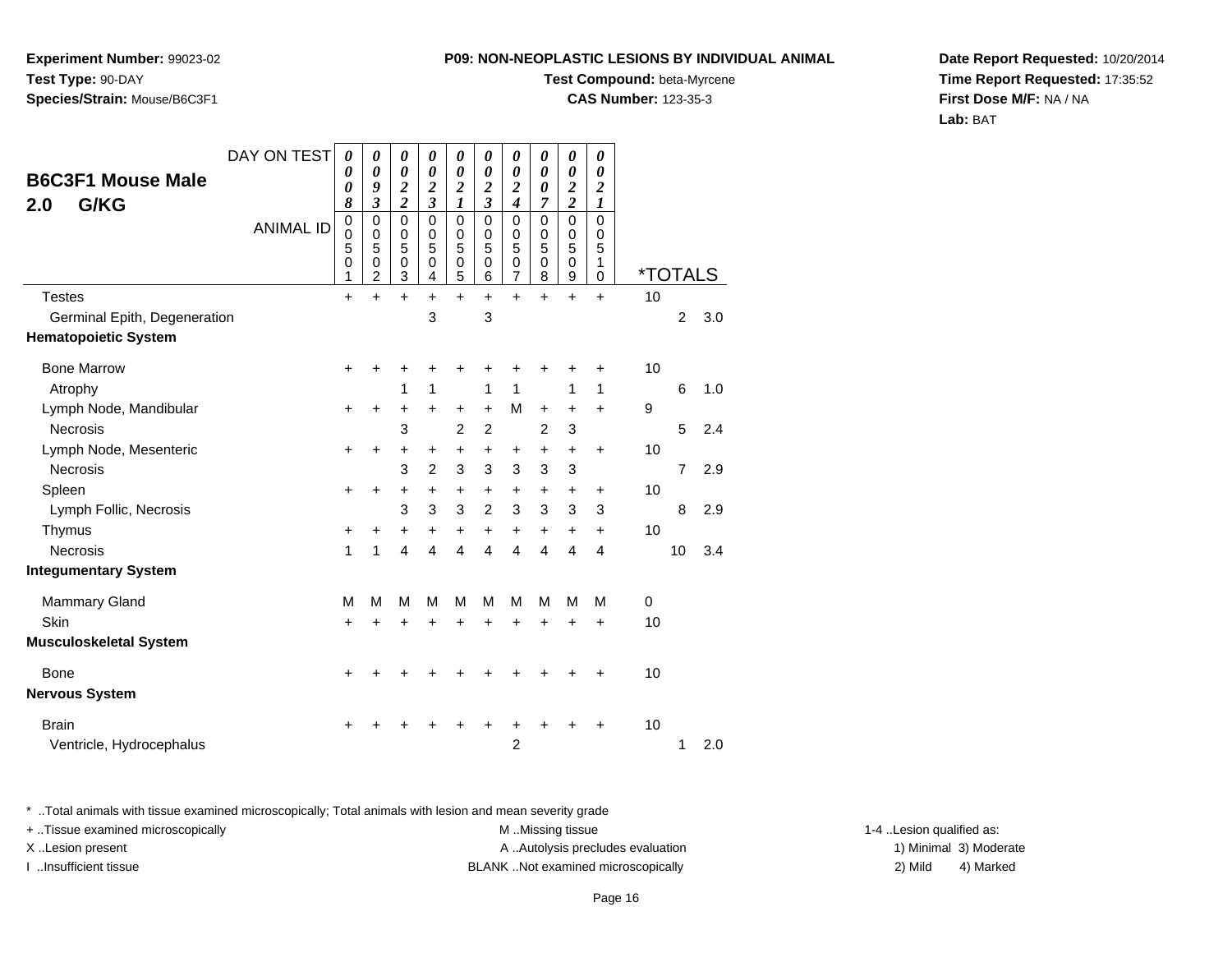**Experiment Number:** 99023-02**Test Type:** 90-DAY**Species/Strain:** Mouse/B6C3F1

#### **Test Compound:** beta-Myrcene

**CAS Number:** 123-35-3

**Date Report Requested:** 10/20/2014**Time Report Requested:** 17:35:52**First Dose M/F:** NA / NA**Lab:** BAT

| <b>B6C3F1 Mouse Male</b><br>G/KG<br>2.0 | DAY ON TEST<br><b>ANIMAL ID</b> | $\boldsymbol{\theta}$<br>0<br>0<br>8<br>$\pmb{0}$<br>0<br>5<br>0<br>1 | 0<br>0<br>9<br>$\mathfrak{z}$<br>$\mathbf 0$<br>0<br>5<br>0<br>$\overline{c}$ | 0<br>0<br>$\boldsymbol{2}$<br>$\overline{\mathbf{c}}$<br>0<br>0<br>5<br>0<br>3 | 0<br>0<br>$\boldsymbol{2}$<br>$\overline{\mathbf{3}}$<br>$\Omega$<br>0<br>5<br>$\Omega$<br>4 | 0<br>$\boldsymbol{\theta}$<br>$\boldsymbol{2}$<br>1<br>$\Omega$<br>0<br>5<br>$\mathbf 0$<br>5 | $\boldsymbol{\theta}$<br>0<br>$\boldsymbol{2}$<br>$\boldsymbol{\beta}$<br>$\Omega$<br>0<br>5<br>$\mathbf 0$<br>6 | 0<br>0<br>$\boldsymbol{2}$<br>$\boldsymbol{4}$<br>$\mathbf 0$<br>0<br>5<br>0<br>$\overline{7}$ | 0<br>0<br>0<br>7<br>$\mathbf 0$<br>0<br>5<br>$\mathbf 0$<br>8 | 0<br>0<br>$\boldsymbol{2}$<br>$\overline{2}$<br>$\mathbf 0$<br>0<br>5<br>$\mathbf 0$<br>9 | 0<br>$\boldsymbol{\theta}$<br>$\boldsymbol{2}$<br>$\boldsymbol{l}$<br>$\mathbf 0$<br>0<br>5<br>1<br>0 | <i><b>*TOTALS</b></i> |                |     |
|-----------------------------------------|---------------------------------|-----------------------------------------------------------------------|-------------------------------------------------------------------------------|--------------------------------------------------------------------------------|----------------------------------------------------------------------------------------------|-----------------------------------------------------------------------------------------------|------------------------------------------------------------------------------------------------------------------|------------------------------------------------------------------------------------------------|---------------------------------------------------------------|-------------------------------------------------------------------------------------------|-------------------------------------------------------------------------------------------------------|-----------------------|----------------|-----|
| <b>Testes</b>                           |                                 | $\ddot{}$                                                             | $\ddot{}$                                                                     | $+$                                                                            | $\ddot{}$                                                                                    | $\ddot{}$                                                                                     | $\ddot{}$                                                                                                        | $\ddot{}$                                                                                      | $\ddot{}$                                                     | $\ddot{}$                                                                                 | $+$                                                                                                   | 10                    |                |     |
| Germinal Epith, Degeneration            |                                 |                                                                       |                                                                               |                                                                                | 3                                                                                            |                                                                                               | 3                                                                                                                |                                                                                                |                                                               |                                                                                           |                                                                                                       |                       | $\overline{2}$ | 3.0 |
| <b>Hematopoietic System</b>             |                                 |                                                                       |                                                                               |                                                                                |                                                                                              |                                                                                               |                                                                                                                  |                                                                                                |                                                               |                                                                                           |                                                                                                       |                       |                |     |
| <b>Bone Marrow</b>                      |                                 | $\ddot{}$                                                             | +                                                                             | +                                                                              | +                                                                                            | +                                                                                             |                                                                                                                  | +                                                                                              | +                                                             | +                                                                                         | $\ddot{}$                                                                                             | 10                    |                |     |
| Atrophy                                 |                                 |                                                                       |                                                                               | 1                                                                              | 1                                                                                            |                                                                                               | 1                                                                                                                | 1                                                                                              |                                                               | 1                                                                                         | 1                                                                                                     |                       | 6              | 1.0 |
| Lymph Node, Mandibular                  |                                 | $\ddot{}$                                                             | $\ddot{}$                                                                     | +                                                                              | $\ddot{}$                                                                                    | +                                                                                             | $\ddot{}$                                                                                                        | M                                                                                              | $\ddot{}$                                                     | +                                                                                         | $\ddot{}$                                                                                             | 9                     |                |     |
| <b>Necrosis</b>                         |                                 |                                                                       |                                                                               | 3                                                                              |                                                                                              | $\overline{2}$                                                                                | $\overline{2}$                                                                                                   |                                                                                                | $\overline{2}$                                                | 3                                                                                         |                                                                                                       |                       | 5              | 2.4 |
| Lymph Node, Mesenteric                  |                                 | $\ddot{}$                                                             | +                                                                             | +                                                                              | +                                                                                            | +                                                                                             | +                                                                                                                | +                                                                                              | +                                                             | +                                                                                         | $\ddot{}$                                                                                             | 10                    |                |     |
| <b>Necrosis</b>                         |                                 |                                                                       |                                                                               | 3                                                                              | $\overline{c}$                                                                               | 3                                                                                             | $\mathbf{3}$                                                                                                     | 3                                                                                              | 3                                                             | 3                                                                                         |                                                                                                       |                       | $\overline{7}$ | 2.9 |
| Spleen                                  |                                 | $\ddot{}$                                                             | $\ddot{}$                                                                     | +                                                                              | $\ddot{}$                                                                                    | $\ddot{}$                                                                                     | $\ddot{}$                                                                                                        | $\ddot{}$                                                                                      | $\ddot{}$                                                     | +                                                                                         | $\ddot{}$                                                                                             | 10                    |                |     |
| Lymph Follic, Necrosis                  |                                 |                                                                       |                                                                               | 3                                                                              | 3                                                                                            | 3                                                                                             | $\overline{2}$                                                                                                   | 3                                                                                              | 3                                                             | 3                                                                                         | 3                                                                                                     |                       | 8              | 2.9 |
| Thymus                                  |                                 | +                                                                     | +                                                                             | $\ddot{}$                                                                      | $\ddot{}$                                                                                    | $\ddot{}$                                                                                     | $\ddot{}$                                                                                                        | $\ddot{}$                                                                                      | $\ddot{}$                                                     | +                                                                                         | $\ddot{}$                                                                                             | 10                    |                |     |
| Necrosis                                |                                 | 1                                                                     | 1                                                                             | 4                                                                              | $\overline{4}$                                                                               | 4                                                                                             | $\overline{4}$                                                                                                   | 4                                                                                              | 4                                                             | 4                                                                                         | 4                                                                                                     |                       | 10             | 3.4 |
| <b>Integumentary System</b>             |                                 |                                                                       |                                                                               |                                                                                |                                                                                              |                                                                                               |                                                                                                                  |                                                                                                |                                                               |                                                                                           |                                                                                                       |                       |                |     |
| <b>Mammary Gland</b>                    |                                 | M                                                                     | M                                                                             | M                                                                              | M                                                                                            | M                                                                                             | M                                                                                                                | M                                                                                              | M                                                             | M                                                                                         | М                                                                                                     | 0                     |                |     |
| Skin                                    |                                 | $\ddot{}$                                                             | +                                                                             | +                                                                              | +                                                                                            | $\ddot{}$                                                                                     | $\ddot{}$                                                                                                        | $\ddot{}$                                                                                      | $\ddot{}$                                                     | $\ddot{}$                                                                                 | $\ddot{}$                                                                                             | 10                    |                |     |
| <b>Musculoskeletal System</b>           |                                 |                                                                       |                                                                               |                                                                                |                                                                                              |                                                                                               |                                                                                                                  |                                                                                                |                                                               |                                                                                           |                                                                                                       |                       |                |     |
| <b>Bone</b>                             |                                 | $\ddot{}$                                                             |                                                                               |                                                                                |                                                                                              |                                                                                               |                                                                                                                  |                                                                                                |                                                               | +                                                                                         | $\ddot{}$                                                                                             | 10                    |                |     |
| <b>Nervous System</b>                   |                                 |                                                                       |                                                                               |                                                                                |                                                                                              |                                                                                               |                                                                                                                  |                                                                                                |                                                               |                                                                                           |                                                                                                       |                       |                |     |
| <b>Brain</b>                            |                                 |                                                                       |                                                                               |                                                                                |                                                                                              |                                                                                               |                                                                                                                  |                                                                                                |                                                               |                                                                                           | ٠                                                                                                     | 10                    |                |     |
| Ventricle, Hydrocephalus                |                                 |                                                                       |                                                                               |                                                                                |                                                                                              |                                                                                               |                                                                                                                  | $\overline{2}$                                                                                 |                                                               |                                                                                           |                                                                                                       |                       | 1              | 2.0 |

\* ..Total animals with tissue examined microscopically; Total animals with lesion and mean severity grade

| + Tissue examined microscopically | M Missing tissue                   | 1-4 Lesion qualified as: |                        |
|-----------------------------------|------------------------------------|--------------------------|------------------------|
| X Lesion present                  | A Autolysis precludes evaluation   |                          | 1) Minimal 3) Moderate |
| …Insufficient tissue              | BLANK Not examined microscopically | 2) Mild                  | 4) Marked              |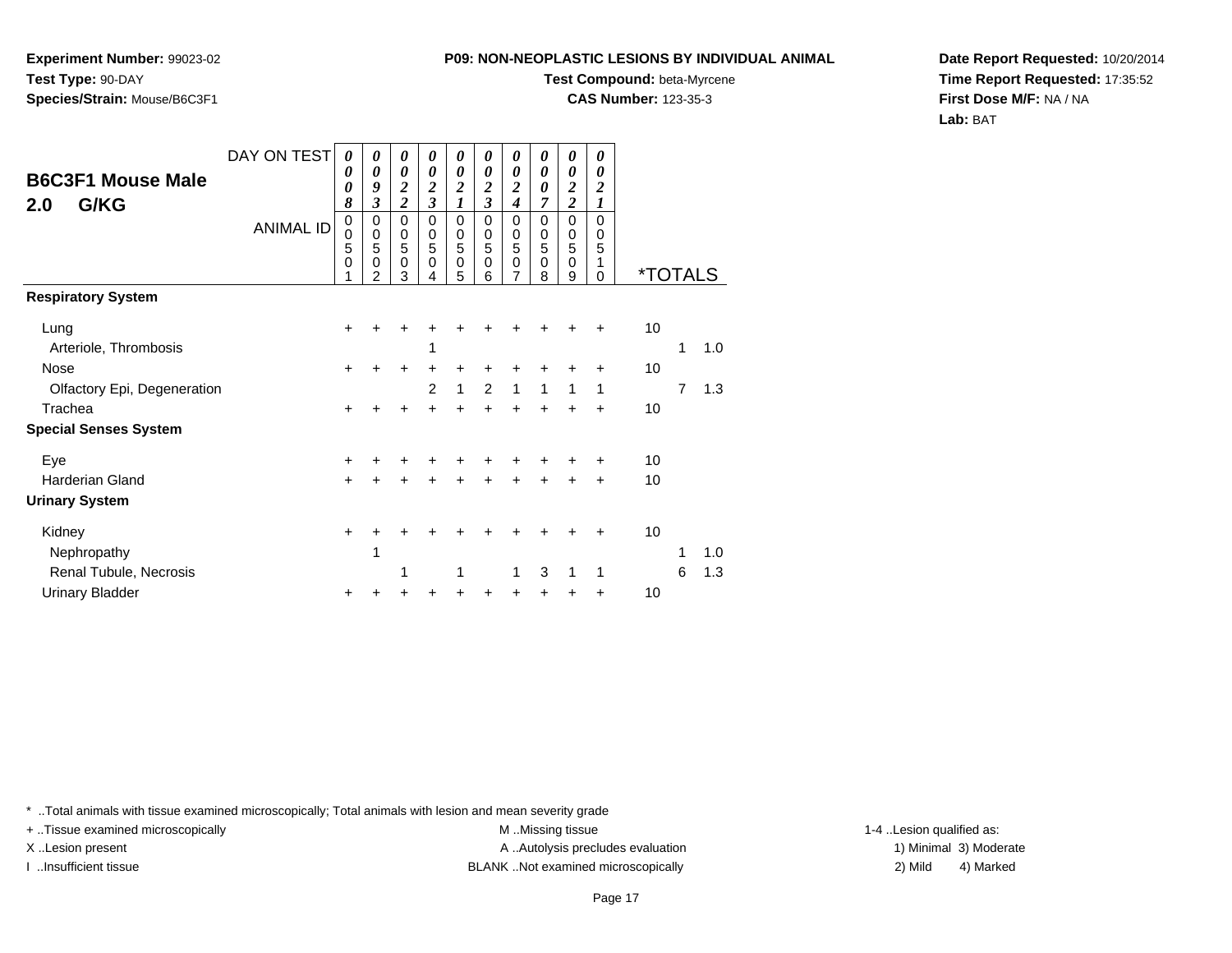**Experiment Number:** 99023-02**Test Type:** 90-DAY**Species/Strain:** Mouse/B6C3F1

### **Test Compound:** beta-Myrcene

**CAS Number:** 123-35-3

**Date Report Requested:** 10/20/2014**Time Report Requested:** 17:35:52**First Dose M/F:** NA / NA**Lab:** BAT

| <b>B6C3F1 Mouse Male</b><br>G/KG<br>2.0 | DAY ON TEST<br><b>ANIMAL ID</b> | 0<br>0<br>0<br>8<br>$\mathbf 0$<br>0<br>5<br>$\mathbf 0$ | 0<br>0<br>9<br>$\mathfrak{z}$<br>0<br>$\pmb{0}$<br>5<br>$\mathbf 0$<br>2 | $\boldsymbol{\theta}$<br>$\boldsymbol{\theta}$<br>$\frac{2}{2}$<br>$\mathbf 0$<br>$\,0\,$<br>5<br>$\mathbf 0$<br>3 | 0<br>0<br>$\frac{2}{3}$<br>$\Omega$<br>0<br>5<br>$\Omega$<br>4 | 0<br>$\boldsymbol{\theta}$<br>$\frac{2}{1}$<br>0<br>$\begin{array}{c} 0 \\ 5 \end{array}$<br>$\mathbf 0$<br>5 | 0<br>$\boldsymbol{\theta}$<br>$\frac{2}{3}$<br>0<br>0<br>5<br>0<br>6 | 0<br>0<br>$\frac{2}{4}$<br>0<br>$\boldsymbol{0}$<br>5<br>$\mathbf 0$<br>7 | 0<br>$\boldsymbol{\theta}$<br>$\boldsymbol{\theta}$<br>$\overline{7}$<br>$\Omega$<br>$\mathbf 0$<br>5<br>$\mathbf 0$<br>8 | 0<br>$\boldsymbol{\theta}$<br>$\frac{2}{2}$<br>$\mathbf 0$<br>$\pmb{0}$<br>$\overline{5}$<br>$\mathbf 0$<br>9 | 0<br>0<br>$\boldsymbol{2}$<br>$\boldsymbol{l}$<br>$\Omega$<br>0<br>5<br>1<br>0 | <i><b>*TOTALS</b></i> |   |     |
|-----------------------------------------|---------------------------------|----------------------------------------------------------|--------------------------------------------------------------------------|--------------------------------------------------------------------------------------------------------------------|----------------------------------------------------------------|---------------------------------------------------------------------------------------------------------------|----------------------------------------------------------------------|---------------------------------------------------------------------------|---------------------------------------------------------------------------------------------------------------------------|---------------------------------------------------------------------------------------------------------------|--------------------------------------------------------------------------------|-----------------------|---|-----|
| <b>Respiratory System</b>               |                                 |                                                          |                                                                          |                                                                                                                    |                                                                |                                                                                                               |                                                                      |                                                                           |                                                                                                                           |                                                                                                               |                                                                                |                       |   |     |
| Lung<br>Arteriole, Thrombosis           |                                 | $\pm$                                                    |                                                                          |                                                                                                                    |                                                                |                                                                                                               |                                                                      |                                                                           |                                                                                                                           |                                                                                                               |                                                                                | 10                    | 1 | 1.0 |
| Nose                                    |                                 | $+$                                                      | ÷                                                                        | +                                                                                                                  | +                                                              | $\pm$                                                                                                         | +                                                                    | +                                                                         |                                                                                                                           |                                                                                                               | ÷                                                                              | 10                    |   |     |
| Olfactory Epi, Degeneration             |                                 |                                                          |                                                                          |                                                                                                                    | 2                                                              | 1                                                                                                             | 2                                                                    | 1                                                                         | 1                                                                                                                         | 1                                                                                                             | 1                                                                              |                       | 7 | 1.3 |
| Trachea                                 |                                 | +                                                        |                                                                          |                                                                                                                    |                                                                | $\ddot{}$                                                                                                     |                                                                      | $\ddot{}$                                                                 |                                                                                                                           |                                                                                                               | $\div$                                                                         | 10                    |   |     |
| <b>Special Senses System</b>            |                                 |                                                          |                                                                          |                                                                                                                    |                                                                |                                                                                                               |                                                                      |                                                                           |                                                                                                                           |                                                                                                               |                                                                                |                       |   |     |
| Eye                                     |                                 | +                                                        |                                                                          | +                                                                                                                  |                                                                |                                                                                                               |                                                                      |                                                                           |                                                                                                                           |                                                                                                               |                                                                                | 10                    |   |     |
| <b>Harderian Gland</b>                  |                                 | $+$                                                      | +                                                                        | $\ddot{}$                                                                                                          | +                                                              | +                                                                                                             | +                                                                    | +                                                                         | $\ddot{}$                                                                                                                 | $\ddot{}$                                                                                                     | $+$                                                                            | 10                    |   |     |
| <b>Urinary System</b>                   |                                 |                                                          |                                                                          |                                                                                                                    |                                                                |                                                                                                               |                                                                      |                                                                           |                                                                                                                           |                                                                                                               |                                                                                |                       |   |     |
| Kidney                                  |                                 | +                                                        |                                                                          |                                                                                                                    |                                                                |                                                                                                               |                                                                      |                                                                           |                                                                                                                           |                                                                                                               |                                                                                | 10                    |   |     |
| Nephropathy                             |                                 |                                                          | 1                                                                        |                                                                                                                    |                                                                |                                                                                                               |                                                                      |                                                                           |                                                                                                                           |                                                                                                               |                                                                                |                       | 1 | 1.0 |
| Renal Tubule, Necrosis                  |                                 |                                                          |                                                                          | 1                                                                                                                  |                                                                | 1                                                                                                             |                                                                      | 1                                                                         | 3                                                                                                                         | 1                                                                                                             | 1                                                                              |                       | 6 | 1.3 |
| <b>Urinary Bladder</b>                  |                                 | ٠                                                        |                                                                          |                                                                                                                    |                                                                |                                                                                                               |                                                                      |                                                                           |                                                                                                                           |                                                                                                               | $\ddot{}$                                                                      | 10                    |   |     |

\* ..Total animals with tissue examined microscopically; Total animals with lesion and mean severity grade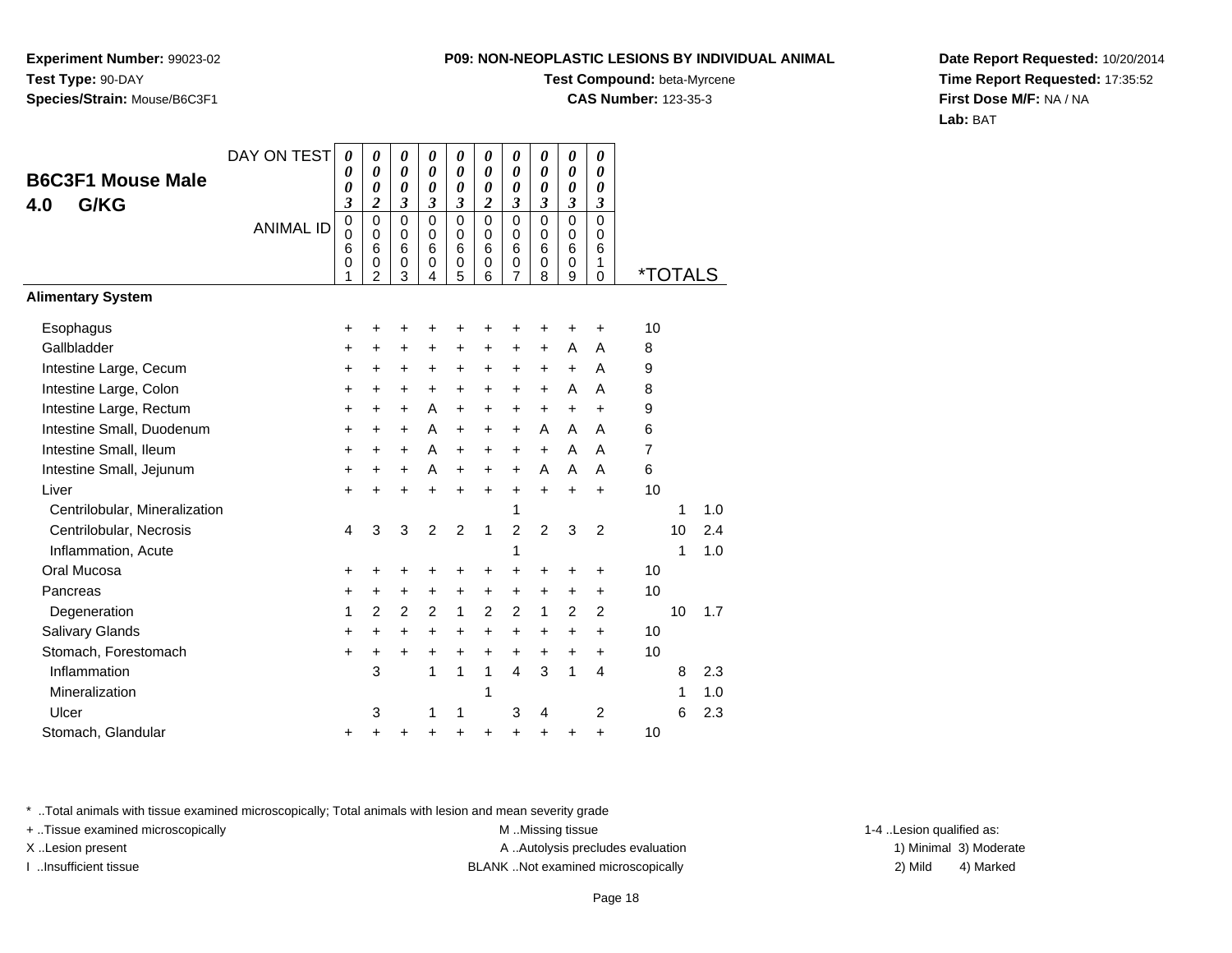**Experiment Number:** 99023-02**Test Type:** 90-DAY**Species/Strain:** Mouse/B6C3F1

#### **Test Compound:** beta-Myrcene

**CAS Number:** 123-35-3

**Date Report Requested:** 10/20/2014**Time Report Requested:** 17:35:52**First Dose M/F:** NA / NA**Lab:** BAT

| DAY ON TEST                   | 0                                         | 0                                                      | 0                               | 0                               | 0                                              | 0                                         | 0                                         | 0                               | 0                               | $\boldsymbol{\theta}$                               |    |    |     |                       |
|-------------------------------|-------------------------------------------|--------------------------------------------------------|---------------------------------|---------------------------------|------------------------------------------------|-------------------------------------------|-------------------------------------------|---------------------------------|---------------------------------|-----------------------------------------------------|----|----|-----|-----------------------|
|                               | 0                                         | 0                                                      | 0                               |                                 | 0                                              |                                           | 0                                         |                                 | 0                               | 0                                                   |    |    |     |                       |
|                               | 3                                         | $\overline{\mathbf{c}}$                                | 3                               | 3                               | 3                                              | $\overline{c}$                            | 3                                         | 3                               | 3                               | $\mathfrak{z}$                                      |    |    |     |                       |
| <b>ANIMAL ID</b>              | $\mathbf 0$<br>$\mathbf 0$<br>6<br>0<br>1 | $\mathbf 0$<br>$\mathbf 0$<br>6<br>0<br>$\overline{2}$ | 0<br>$\mathbf 0$<br>6<br>0<br>3 | $\mathbf 0$<br>0<br>6<br>0<br>4 | 0<br>$\mathbf 0$<br>6<br>0<br>5                | $\mathbf 0$<br>$\mathbf 0$<br>6<br>0<br>6 | $\mathbf 0$<br>$\mathbf 0$<br>6<br>0<br>7 | $\mathbf 0$<br>0<br>6<br>0<br>8 | 0<br>$\mathbf 0$<br>6<br>0<br>9 | $\mathbf 0$<br>$\mathbf 0$<br>6<br>1<br>$\mathbf 0$ |    |    |     |                       |
|                               |                                           |                                                        |                                 |                                 |                                                |                                           |                                           |                                 |                                 |                                                     |    |    |     |                       |
|                               | +                                         | +                                                      | ٠                               | +                               | +                                              | +                                         | +                                         | +                               | +                               | $\ddot{}$                                           | 10 |    |     |                       |
|                               | +                                         | +                                                      | +                               | +                               | +                                              | $\ddot{}$                                 | $\ddot{}$                                 | $\ddot{}$                       | A                               | A                                                   | 8  |    |     |                       |
|                               | $\ddot{}$                                 | $\ddot{}$                                              | +                               | +                               | +                                              | +                                         | $\ddot{}$                                 | +                               | $\ddot{}$                       | A                                                   | 9  |    |     |                       |
|                               | $\ddot{}$                                 | +                                                      | +                               | $\ddot{}$                       | +                                              | +                                         | $\ddot{}$                                 | +                               | A                               | Α                                                   | 8  |    |     |                       |
|                               | $\ddot{}$                                 | $\ddot{}$                                              | $\ddot{}$                       | A                               | $\ddot{}$                                      | $\ddot{}$                                 | $\ddot{}$                                 | $\ddot{}$                       | $\ddot{}$                       | $\ddot{}$                                           | 9  |    |     |                       |
|                               | $\ddot{}$                                 | $\ddot{}$                                              | $\ddot{}$                       | A                               | +                                              | +                                         | $\ddot{}$                                 | A                               | A                               | A                                                   | 6  |    |     |                       |
|                               | $\ddot{}$                                 | $\pm$                                                  | $\pm$                           | A                               | +                                              | $\ddot{}$                                 | $\pm$                                     | $\ddot{}$                       | A                               | A                                                   | 7  |    |     |                       |
|                               | $\ddot{}$                                 | $\ddot{}$                                              | $\ddot{}$                       | A                               | $\ddot{}$                                      | $\ddot{}$                                 | $\ddot{}$                                 | A                               | A                               | A                                                   | 6  |    |     |                       |
|                               | $\ddot{}$                                 | $\ddot{}$                                              | $\ddot{}$                       | $\ddot{}$                       | $\ddot{}$                                      | $\ddot{}$                                 | +                                         | $\ddot{}$                       | $\ddot{}$                       | $\ddot{}$                                           | 10 |    |     |                       |
| Centrilobular, Mineralization |                                           |                                                        |                                 |                                 |                                                |                                           | 1                                         |                                 |                                 |                                                     |    | 1  | 1.0 |                       |
|                               | 4                                         | 3                                                      | 3                               | 2                               | $\overline{2}$                                 | 1                                         | $\overline{2}$                            | $\overline{2}$                  | 3                               | $\overline{2}$                                      |    | 10 | 2.4 |                       |
|                               |                                           |                                                        |                                 |                                 |                                                |                                           | 1                                         |                                 |                                 |                                                     |    | 1  | 1.0 |                       |
|                               | +                                         | +                                                      | +                               | +                               | +                                              | +                                         | $\ddot{}$                                 | $\ddot{}$                       | +                               | +                                                   | 10 |    |     |                       |
|                               | +                                         | +                                                      | +                               | +                               | +                                              | +                                         | +                                         | +                               | +                               | +                                                   | 10 |    |     |                       |
|                               | 1                                         | 2                                                      | $\overline{2}$                  | 2                               | 1                                              | $\overline{2}$                            | $\overline{2}$                            | 1                               | $\overline{2}$                  | 2                                                   |    | 10 | 1.7 |                       |
|                               | $\ddot{}$                                 | $\ddot{}$                                              | +                               | $\ddot{}$                       | $\ddot{}$                                      | $\ddot{}$                                 | +                                         | +                               | $\ddot{}$                       | $\ddot{}$                                           | 10 |    |     |                       |
|                               | $\ddot{}$                                 | +                                                      | +                               | $\ddot{}$                       | $\ddot{}$                                      | $\ddot{}$                                 | +                                         | +                               | $\ddot{}$                       | $\ddot{}$                                           | 10 |    |     |                       |
|                               |                                           | 3                                                      |                                 | 1                               | 1                                              | 1                                         | $\overline{4}$                            | 3                               | 1                               | 4                                                   |    | 8  | 2.3 |                       |
|                               |                                           |                                                        |                                 |                                 |                                                | 1                                         |                                           |                                 |                                 |                                                     |    | 1  | 1.0 |                       |
|                               |                                           | 3                                                      |                                 | 1                               | 1                                              |                                           | 3                                         | 4                               |                                 | 2                                                   |    | 6  | 2.3 |                       |
|                               | +                                         | +                                                      | ٠                               | ٠                               | +                                              | +                                         | +                                         | +                               | +                               | +                                                   | 10 |    |     |                       |
|                               |                                           | 0                                                      | 0                               | 0                               | $\boldsymbol{\theta}$<br>$\boldsymbol{\theta}$ | 0                                         | $\theta$<br>$\boldsymbol{\theta}$         | 0                               | $\theta$<br>0                   | 0                                                   | 0  |    |     | <i><b>*TOTALS</b></i> |

\* ..Total animals with tissue examined microscopically; Total animals with lesion and mean severity grade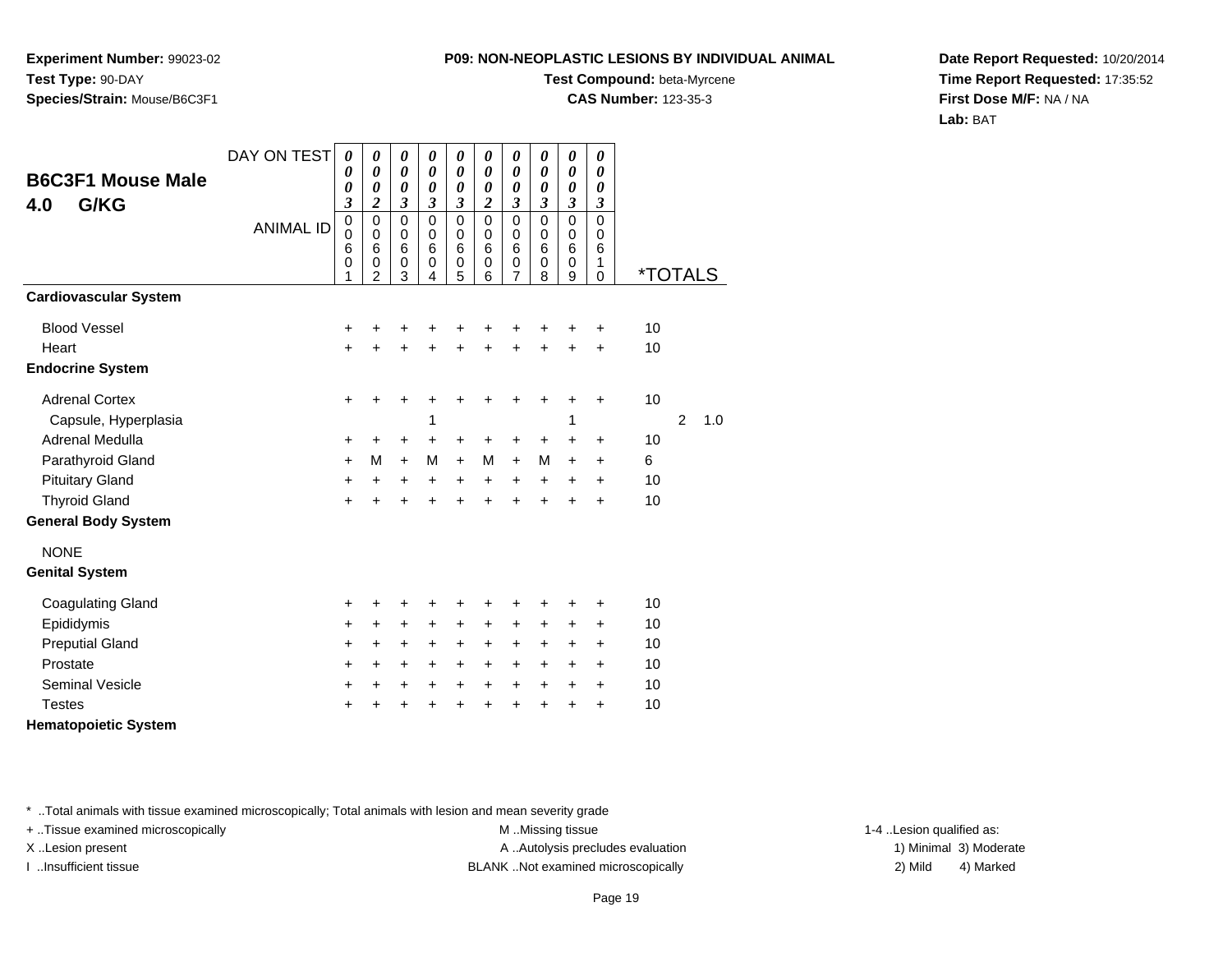**Experiment Number:** 99023-02**Test Type:** 90-DAY**Species/Strain:** Mouse/B6C3F1

### **Test Compound:** beta-Myrcene

**CAS Number:** 123-35-3

**Date Report Requested:** 10/20/2014**Time Report Requested:** 17:35:52**First Dose M/F:** NA / NA**Lab:** BAT

| <b>B6C3F1 Mouse Male</b><br>G/KG<br>4.0 | DAY ON TEST      | 0<br>0<br>0<br>3                        | 0<br>0<br>0<br>$\overline{\mathbf{c}}$       | 0<br>0<br>0<br>$\mathfrak{z}$                     | $\boldsymbol{\theta}$<br>$\boldsymbol{\theta}$<br>$\boldsymbol{\theta}$<br>$\mathfrak{z}$ | 0<br>$\boldsymbol{\theta}$<br>$\boldsymbol{\theta}$<br>$\boldsymbol{\beta}$ | $\boldsymbol{\theta}$<br>$\boldsymbol{\theta}$<br>$\boldsymbol{\theta}$<br>$\boldsymbol{2}$ | $\boldsymbol{\theta}$<br>$\boldsymbol{\theta}$<br>$\boldsymbol{\theta}$<br>$\boldsymbol{\beta}$ | 0<br>0<br>$\boldsymbol{\theta}$<br>$\boldsymbol{\beta}$ | 0<br>$\boldsymbol{\theta}$<br>$\boldsymbol{\theta}$<br>$\boldsymbol{\beta}$ | 0<br>0<br>0<br>$\mathfrak{z}$                    |                       |   |     |
|-----------------------------------------|------------------|-----------------------------------------|----------------------------------------------|---------------------------------------------------|-------------------------------------------------------------------------------------------|-----------------------------------------------------------------------------|---------------------------------------------------------------------------------------------|-------------------------------------------------------------------------------------------------|---------------------------------------------------------|-----------------------------------------------------------------------------|--------------------------------------------------|-----------------------|---|-----|
|                                         | <b>ANIMAL ID</b> | $\pmb{0}$<br>$\mathbf 0$<br>6<br>0<br>1 | $\mathbf 0$<br>0<br>6<br>0<br>$\overline{2}$ | $\mathbf 0$<br>$\pmb{0}$<br>6<br>$\mathbf 0$<br>3 | $\mathbf 0$<br>$\mathbf 0$<br>6<br>$\mathbf 0$<br>4                                       | $\mathbf 0$<br>$\mathbf 0$<br>6<br>$\mathbf 0$<br>5                         | $\mathbf 0$<br>$\mathbf 0$<br>6<br>$\mathbf 0$<br>6                                         | $\mathbf 0$<br>$\mathbf 0$<br>6<br>$\mathbf 0$<br>7                                             | $\mathbf 0$<br>$\mathbf 0$<br>6<br>0<br>8               | $\mathbf 0$<br>$\mathbf 0$<br>$6\phantom{1}6$<br>$\mathbf 0$<br>9           | $\mathbf 0$<br>$\mathbf 0$<br>6<br>1<br>$\Omega$ | <i><b>*TOTALS</b></i> |   |     |
| <b>Cardiovascular System</b>            |                  |                                         |                                              |                                                   |                                                                                           |                                                                             |                                                                                             |                                                                                                 |                                                         |                                                                             |                                                  |                       |   |     |
| <b>Blood Vessel</b>                     |                  | +                                       | +                                            | +                                                 | +                                                                                         | +                                                                           | +                                                                                           | +                                                                                               |                                                         | +                                                                           | ÷                                                | 10                    |   |     |
| Heart                                   |                  | $\ddot{}$                               | $\ddot{}$                                    | $\ddot{}$                                         | $\ddot{}$                                                                                 | $\ddot{}$                                                                   | $\ddot{}$                                                                                   | $\ddot{}$                                                                                       | $\ddot{}$                                               | $\ddot{}$                                                                   | $\ddot{}$                                        | 10                    |   |     |
| <b>Endocrine System</b>                 |                  |                                         |                                              |                                                   |                                                                                           |                                                                             |                                                                                             |                                                                                                 |                                                         |                                                                             |                                                  |                       |   |     |
| <b>Adrenal Cortex</b>                   |                  | +                                       | +                                            | +                                                 | +                                                                                         | +                                                                           | +                                                                                           | +                                                                                               | +                                                       | +                                                                           | +                                                | 10                    |   |     |
| Capsule, Hyperplasia                    |                  |                                         |                                              |                                                   | 1                                                                                         |                                                                             |                                                                                             |                                                                                                 |                                                         | 1                                                                           |                                                  |                       | 2 | 1.0 |
| Adrenal Medulla                         |                  | +                                       | +                                            | $\ddot{}$                                         | $\ddot{}$                                                                                 | $\ddot{}$                                                                   | $\ddot{}$                                                                                   | $\ddot{}$                                                                                       | +                                                       | $\ddot{}$                                                                   | $\ddot{}$                                        | 10                    |   |     |
| Parathyroid Gland                       |                  | +                                       | M                                            | $+$                                               | M                                                                                         | $\ddot{}$                                                                   | M                                                                                           | $\ddot{}$                                                                                       | М                                                       | $\ddot{}$                                                                   | $\ddot{}$                                        | 6                     |   |     |
| <b>Pituitary Gland</b>                  |                  | +                                       | +                                            | +                                                 | $\ddot{}$                                                                                 | $\ddot{}$                                                                   | $\ddot{}$                                                                                   | $\ddot{}$                                                                                       | $\ddot{}$                                               | $\ddot{}$                                                                   | +                                                | 10                    |   |     |
| <b>Thyroid Gland</b>                    |                  | +                                       | +                                            | +                                                 | $\ddot{}$                                                                                 | $\ddot{}$                                                                   | $\ddot{}$                                                                                   | $\ddot{}$                                                                                       | $\ddot{}$                                               | $\ddot{}$                                                                   | $\ddot{}$                                        | 10                    |   |     |
| <b>General Body System</b>              |                  |                                         |                                              |                                                   |                                                                                           |                                                                             |                                                                                             |                                                                                                 |                                                         |                                                                             |                                                  |                       |   |     |
| <b>NONE</b>                             |                  |                                         |                                              |                                                   |                                                                                           |                                                                             |                                                                                             |                                                                                                 |                                                         |                                                                             |                                                  |                       |   |     |
| <b>Genital System</b>                   |                  |                                         |                                              |                                                   |                                                                                           |                                                                             |                                                                                             |                                                                                                 |                                                         |                                                                             |                                                  |                       |   |     |
| <b>Coagulating Gland</b>                |                  | +                                       | +                                            | +                                                 | +                                                                                         | +                                                                           |                                                                                             | +                                                                                               |                                                         | +                                                                           | +                                                | 10                    |   |     |
| Epididymis                              |                  | +                                       | +                                            | +                                                 | +                                                                                         | $\ddot{}$                                                                   | $\ddot{}$                                                                                   | $\ddot{}$                                                                                       | +                                                       | $\ddot{}$                                                                   | +                                                | 10                    |   |     |
| <b>Preputial Gland</b>                  |                  | +                                       | +                                            | $\ddot{}$                                         | $\ddot{}$                                                                                 | $\ddot{}$                                                                   | $\ddot{}$                                                                                   | $\ddot{}$                                                                                       | $\ddot{}$                                               | $\ddot{}$                                                                   | $\ddot{}$                                        | 10                    |   |     |
| Prostate                                |                  | +                                       | +                                            | +                                                 | +                                                                                         | $\ddot{}$                                                                   | $\ddot{}$                                                                                   | $\ddot{}$                                                                                       | +                                                       | $\ddot{}$                                                                   | +                                                | 10                    |   |     |
| <b>Seminal Vesicle</b>                  |                  | +                                       | $\ddot{}$                                    | +                                                 | +                                                                                         | $\ddot{}$                                                                   | $\ddot{}$                                                                                   | $\ddot{}$                                                                                       | $\ddot{}$                                               | $\ddot{}$                                                                   | $\ddot{}$                                        | 10                    |   |     |
| <b>Testes</b>                           |                  | +                                       | +                                            | ٠                                                 | +                                                                                         | +                                                                           | +                                                                                           | +                                                                                               | +                                                       | +                                                                           | $\ddot{}$                                        | 10                    |   |     |
| .                                       |                  |                                         |                                              |                                                   |                                                                                           |                                                                             |                                                                                             |                                                                                                 |                                                         |                                                                             |                                                  |                       |   |     |

**Hematopoietic System**

\* ..Total animals with tissue examined microscopically; Total animals with lesion and mean severity grade

+ ..Tissue examined microscopically M ...Missing tissue 1-4 ... M ...Missing tissue

X..Lesion present **A ..Autolysis precludes evaluation** A ..Autolysis precludes evaluation 1) Minimal 3) Moderate I ..Insufficient tissue BLANK ..Not examined microscopically 2) Mild 4) Marked

1-4 ..Lesion qualified as: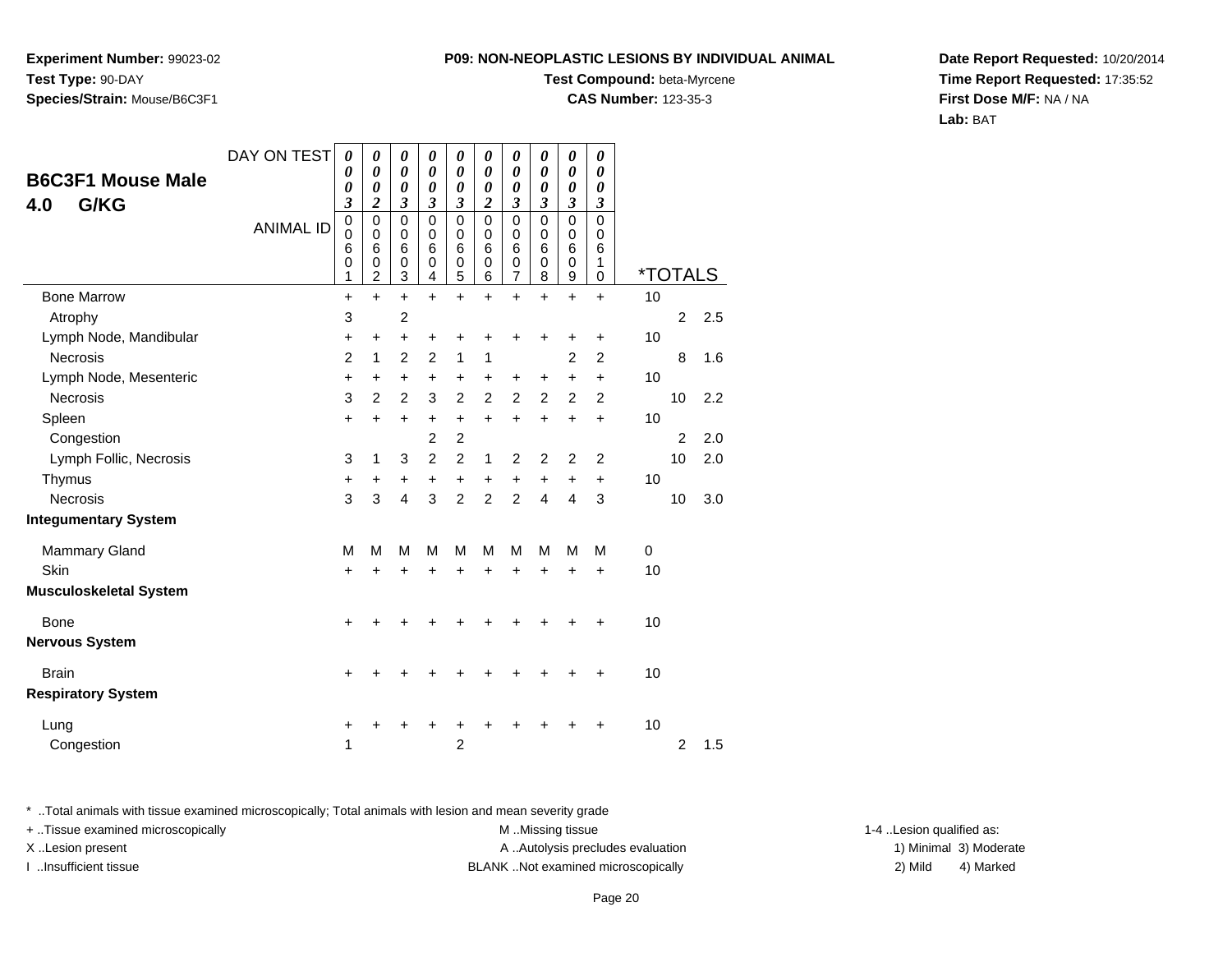**Experiment Number:** 99023-02**Test Type:** 90-DAY**Species/Strain:** Mouse/B6C3F1

#### **Test Compound:** beta-Myrcene

**CAS Number:** 123-35-3

**Date Report Requested:** 10/20/2014**Time Report Requested:** 17:35:52**First Dose M/F:** NA / NA**Lab:** BAT

| <b>B6C3F1 Mouse Male</b>      | DAY ON TEST      | $\boldsymbol{\theta}$<br>0      | $\boldsymbol{\theta}$<br>0                   | $\boldsymbol{\theta}$<br>0      | 0<br>0                | $\pmb{\theta}$<br>0                       | $\pmb{\theta}$<br>$\boldsymbol{\theta}$ | $\boldsymbol{\theta}$<br>$\boldsymbol{\theta}$ | $\pmb{\theta}$<br>0                           | $\boldsymbol{\theta}$<br>$\boldsymbol{\theta}$ | $\pmb{\theta}$<br>0             |             |                       |     |
|-------------------------------|------------------|---------------------------------|----------------------------------------------|---------------------------------|-----------------------|-------------------------------------------|-----------------------------------------|------------------------------------------------|-----------------------------------------------|------------------------------------------------|---------------------------------|-------------|-----------------------|-----|
| G/KG<br>4.0                   |                  | 0<br>$\boldsymbol{\beta}$       | $\boldsymbol{\theta}$<br>2                   | 0<br>3                          | 0<br>3                | 0<br>3                                    | $\boldsymbol{\theta}$<br>$\overline{c}$ | $\boldsymbol{\theta}$<br>3                     | $\boldsymbol{\theta}$<br>$\boldsymbol{\beta}$ | 0<br>3                                         | 0<br>3                          |             |                       |     |
|                               | <b>ANIMAL ID</b> | $\mathbf 0$<br>0<br>6<br>0<br>1 | $\mathbf 0$<br>0<br>6<br>0<br>$\overline{c}$ | $\mathbf 0$<br>0<br>6<br>0<br>3 | 0<br>0<br>6<br>0<br>4 | $\mathbf 0$<br>$\mathbf 0$<br>6<br>0<br>5 | $\Omega$<br>$\Omega$<br>6<br>0<br>6     | $\mathbf 0$<br>0<br>6<br>0<br>7                | $\mathbf 0$<br>0<br>6<br>0<br>8               | 0<br>0<br>6<br>0<br>9                          | $\mathbf 0$<br>0<br>6<br>1<br>0 |             | <i><b>*TOTALS</b></i> |     |
| <b>Bone Marrow</b>            |                  | $\ddot{}$                       | $+$                                          | $\ddot{}$                       | $+$                   | $\ddot{}$                                 | $\ddot{}$                               | $\ddot{}$                                      | $\ddot{}$                                     | $+$                                            | $\ddot{}$                       | 10          |                       |     |
| Atrophy                       |                  | 3                               |                                              | $\overline{2}$                  |                       |                                           |                                         |                                                |                                               |                                                |                                 |             | $\overline{2}$        | 2.5 |
| Lymph Node, Mandibular        |                  | +                               | +                                            | $\ddot{}$                       | +                     | +                                         | +                                       | +                                              | +                                             |                                                | +                               | 10          |                       |     |
| <b>Necrosis</b>               |                  | $\overline{2}$                  | 1                                            | $\overline{2}$                  | $\overline{2}$        | $\mathbf{1}$                              | 1                                       |                                                |                                               | $\overline{2}$                                 | $\overline{2}$                  |             | 8                     | 1.6 |
| Lymph Node, Mesenteric        |                  | $\ddot{}$                       | $\ddot{}$                                    | $\ddot{}$                       | $\ddot{}$             | $\ddot{}$                                 | $\ddot{}$                               | $\ddot{}$                                      | $\ddot{}$                                     | $\ddot{}$                                      | $\ddot{}$                       | 10          |                       |     |
| Necrosis                      |                  | 3                               | $\overline{2}$                               | $\overline{2}$                  | 3                     | $\overline{c}$                            | $\overline{2}$                          | $\overline{c}$                                 | $\overline{c}$                                | $\overline{c}$                                 | $\overline{2}$                  |             | 10                    | 2.2 |
| Spleen                        |                  | $\ddot{}$                       | $\ddot{}$                                    | $\ddot{}$                       | +                     | $\ddot{}$                                 | $\ddot{}$                               | $\ddot{}$                                      | $+$                                           | $+$                                            | $\ddot{}$                       | 10          |                       |     |
| Congestion                    |                  |                                 |                                              |                                 | $\overline{2}$        | $\overline{c}$                            |                                         |                                                |                                               |                                                |                                 |             | $\overline{2}$        | 2.0 |
| Lymph Follic, Necrosis        |                  | 3                               | 1                                            | 3                               | $\overline{2}$        | $\overline{c}$                            | 1                                       | $\overline{c}$                                 | $\overline{c}$                                | $\overline{2}$                                 | $\overline{2}$                  |             | 10                    | 2.0 |
| Thymus                        |                  | $\ddot{}$                       | +                                            | +                               | +                     | +                                         | $\ddot{}$                               | $\ddot{}$                                      | $\ddot{}$                                     | +                                              | $\ddot{}$                       | 10          |                       |     |
| <b>Necrosis</b>               |                  | 3                               | 3                                            | $\overline{4}$                  | 3                     | $\overline{2}$                            | $\overline{2}$                          | $\overline{2}$                                 | $\overline{4}$                                | 4                                              | 3                               |             | 10                    | 3.0 |
| <b>Integumentary System</b>   |                  |                                 |                                              |                                 |                       |                                           |                                         |                                                |                                               |                                                |                                 |             |                       |     |
| <b>Mammary Gland</b>          |                  | м                               | М                                            | M                               | М                     | M                                         | M                                       | M                                              | М                                             | M                                              | M                               | $\mathbf 0$ |                       |     |
| Skin                          |                  | +                               | +                                            | +                               | +                     | +                                         | +                                       | +                                              | +                                             | +                                              | $\ddot{}$                       | 10          |                       |     |
| <b>Musculoskeletal System</b> |                  |                                 |                                              |                                 |                       |                                           |                                         |                                                |                                               |                                                |                                 |             |                       |     |
| Bone                          |                  | +                               |                                              |                                 |                       |                                           |                                         |                                                |                                               |                                                | +                               | 10          |                       |     |
| <b>Nervous System</b>         |                  |                                 |                                              |                                 |                       |                                           |                                         |                                                |                                               |                                                |                                 |             |                       |     |
| <b>Brain</b>                  |                  | $\ddot{}$                       |                                              |                                 |                       |                                           |                                         |                                                |                                               |                                                | ٠                               | 10          |                       |     |
| <b>Respiratory System</b>     |                  |                                 |                                              |                                 |                       |                                           |                                         |                                                |                                               |                                                |                                 |             |                       |     |
| Lung                          |                  | +                               |                                              |                                 |                       |                                           |                                         |                                                |                                               |                                                | ٠                               | 10          |                       |     |
| Congestion                    |                  | 1                               |                                              |                                 |                       | $\overline{2}$                            |                                         |                                                |                                               |                                                |                                 |             | $\overline{2}$        | 1.5 |

\* ..Total animals with tissue examined microscopically; Total animals with lesion and mean severity grade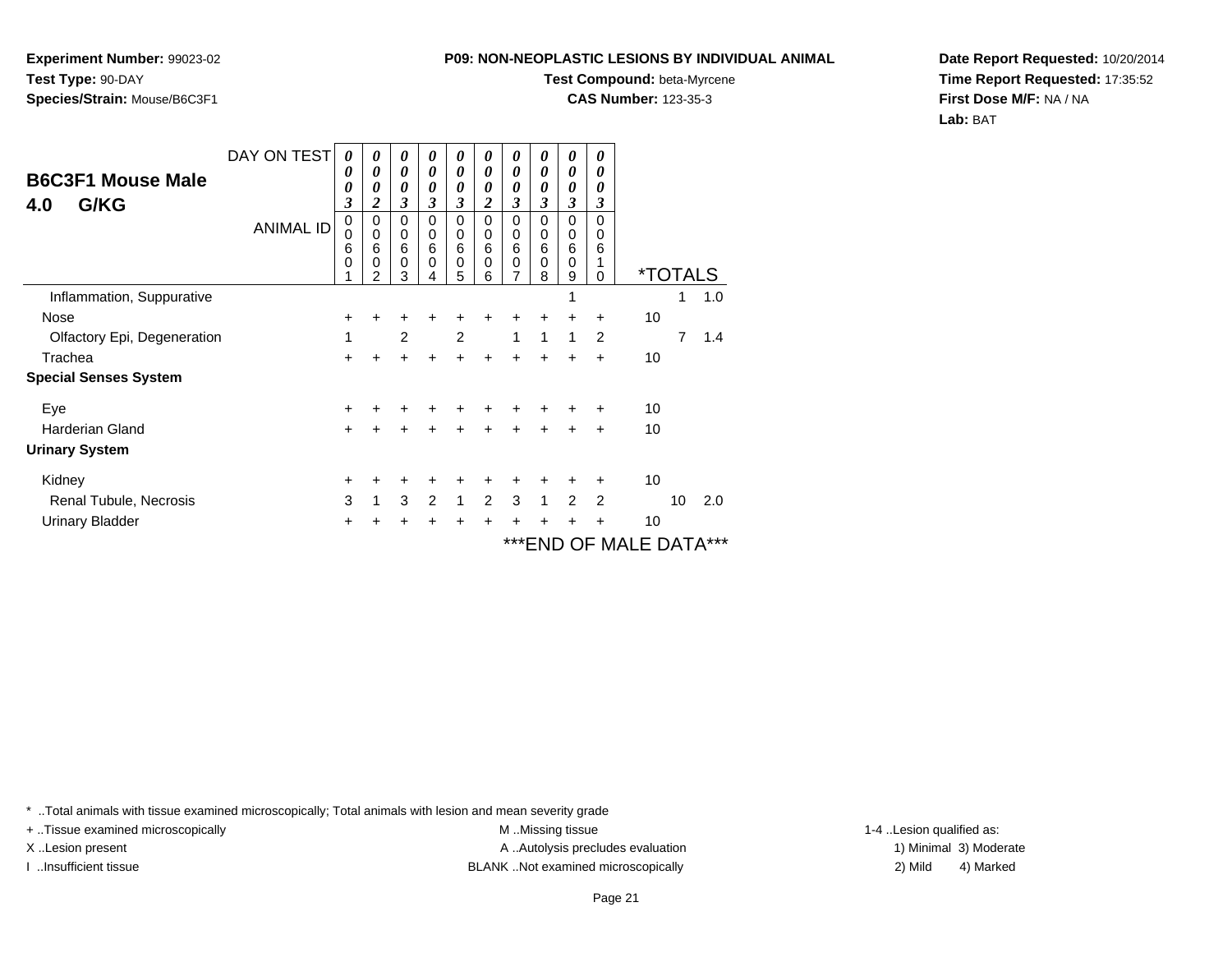**Experiment Number:** 99023-02**Test Type:** 90-DAY**Species/Strain:** Mouse/B6C3F1

## **Test Compound:** beta-Myrcene

**CAS Number:** 123-35-3

**Date Report Requested:** 10/20/2014**Time Report Requested:** 17:35:52**First Dose M/F:** NA / NA**Lab:** BAT

| <b>B6C3F1 Mouse Male</b><br>G/KG<br>4.0 | DAY ON TEST<br><b>ANIMAL ID</b> | 0<br>0<br>0<br>3<br>0 | 0<br>0<br>0<br>$\overline{\mathbf{c}}$<br>$\Omega$ | 0<br>0<br>0<br>3<br>$\Omega$ | 0<br>$\boldsymbol{\theta}$<br>0<br>3<br>$\Omega$ | $\boldsymbol{\theta}$<br>0<br>0<br>3<br>$\Omega$ | 0<br>0<br>0<br>$\boldsymbol{2}$<br>$\Omega$ | 0<br>0<br>0<br>3<br>$\Omega$ | 0<br>0<br>0<br>3<br>$\Omega$ | 0<br>0<br>0<br>3<br>0                  | 0<br>0<br>0<br>3<br>$\Omega$ |                       |    |     |
|-----------------------------------------|---------------------------------|-----------------------|----------------------------------------------------|------------------------------|--------------------------------------------------|--------------------------------------------------|---------------------------------------------|------------------------------|------------------------------|----------------------------------------|------------------------------|-----------------------|----|-----|
|                                         |                                 | 0<br>6<br>0           | $\mathbf 0$<br>6<br>0<br>2                         | 0<br>6<br>$\mathbf 0$<br>3   | 0<br>6<br>$\Omega$                               | 0<br>6<br>$\mathbf 0$<br>5                       | 0<br>6<br>$\mathbf 0$<br>6                  | 0<br>6<br>$\mathbf 0$<br>7   | 0<br>6<br>$\Omega$<br>8      | $\pmb{0}$<br>$6\phantom{1}6$<br>0<br>9 | 0<br>6<br>1<br>$\Omega$      | <i><b>*TOTALS</b></i> |    |     |
| Inflammation, Suppurative               |                                 |                       |                                                    |                              |                                                  |                                                  |                                             |                              |                              | 1                                      |                              |                       | 1  | 1.0 |
| Nose                                    |                                 | ٠                     |                                                    |                              |                                                  |                                                  |                                             | +                            | $\div$                       | +                                      | $\ddot{}$                    | 10                    |    |     |
| Olfactory Epi, Degeneration             |                                 | 1                     |                                                    | $\overline{2}$               |                                                  | 2                                                |                                             | 1                            | 1                            | 1                                      | $\overline{2}$               |                       | 7  | 1.4 |
| Trachea                                 |                                 | $\pm$                 |                                                    | +                            | $\ddot{}$                                        | $\pm$                                            | $\ddot{}$                                   | +                            | $\ddot{}$                    | $\ddot{}$                              | $\ddot{}$                    | 10                    |    |     |
| <b>Special Senses System</b>            |                                 |                       |                                                    |                              |                                                  |                                                  |                                             |                              |                              |                                        |                              |                       |    |     |
| Eye                                     |                                 | +                     |                                                    |                              |                                                  |                                                  |                                             |                              |                              |                                        | ÷                            | 10                    |    |     |
| <b>Harderian Gland</b>                  |                                 | $+$                   | $\div$                                             | $\div$                       | $\div$                                           | $\ddot{}$                                        | $\ddot{}$                                   | $\ddot{}$                    | $+$                          | ÷                                      | $\ddot{}$                    | 10                    |    |     |
| <b>Urinary System</b>                   |                                 |                       |                                                    |                              |                                                  |                                                  |                                             |                              |                              |                                        |                              |                       |    |     |
| Kidney                                  |                                 | $\ddot{}$             |                                                    | ٠                            | ÷                                                |                                                  | ٠                                           | ٠                            | ÷                            | ÷                                      | ÷                            | 10                    |    |     |
| Renal Tubule, Necrosis                  |                                 | 3                     | 1                                                  | 3                            | 2                                                | $\mathbf{1}$                                     | $\overline{2}$                              | 3                            | 1                            | $\overline{2}$                         | $\overline{2}$               |                       | 10 | 2.0 |
| <b>Urinary Bladder</b>                  |                                 | $+$                   |                                                    | ÷                            | ÷                                                | $\pm$                                            | +                                           | +                            | $\div$                       | ÷                                      | +                            | 10                    |    |     |
|                                         |                                 |                       |                                                    |                              |                                                  |                                                  |                                             |                              |                              |                                        |                              | ***END OF MALE DATA   |    |     |

\* ..Total animals with tissue examined microscopically; Total animals with lesion and mean severity grade

+ ..Tissue examined microscopically M ...Missing tissue 1-4 ... M ...Missing tissue

X..Lesion present **A ..Autolysis precludes evaluation** A ..Autolysis precludes evaluation 1) Minimal 3) Moderate I ..Insufficient tissue BLANK ..Not examined microscopically 2) Mild 4) Marked

1-4 ..Lesion qualified as: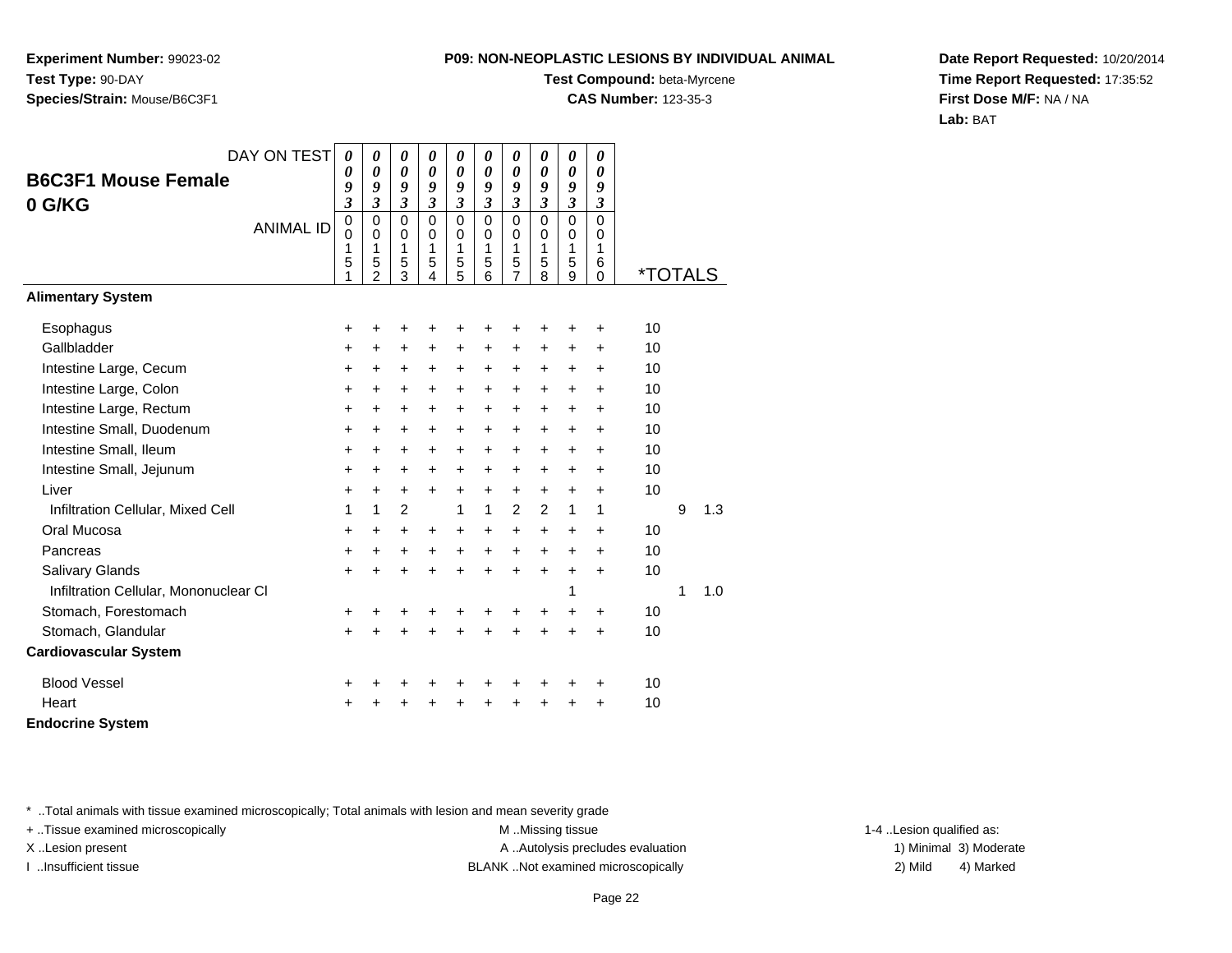**Experiment Number:** 99023-02**Test Type:** 90-DAY**Species/Strain:** Mouse/B6C3F1

## **Test Compound:** beta-Myrcene

**CAS Number:** 123-35-3

**Date Report Requested:** 10/20/2014**Time Report Requested:** 17:35:52**First Dose M/F:** NA / NA**Lab:** BAT

| DAY ON TEST                           | $\boldsymbol{\theta}$ | 0                        | 0                | 0                          | 0                          | 0                          | 0                        | 0                | 0                          | 0                  |                       |   |     |
|---------------------------------------|-----------------------|--------------------------|------------------|----------------------------|----------------------------|----------------------------|--------------------------|------------------|----------------------------|--------------------|-----------------------|---|-----|
| <b>B6C3F1 Mouse Female</b>            | 0<br>9                | 0<br>$\boldsymbol{g}$    | 0<br>9           | $\boldsymbol{\theta}$<br>9 | $\boldsymbol{\theta}$<br>9 | $\boldsymbol{\theta}$<br>9 | 0<br>9                   | 0<br>9           | $\boldsymbol{\theta}$<br>9 | 0<br>9             |                       |   |     |
| 0 G/KG                                | $\mathfrak{z}$        | $\overline{\mathbf{3}}$  | 3                | $\mathfrak{z}$             | $\mathfrak{z}$             | $\mathfrak{z}$             | 3                        | $\mathfrak{z}$   | $\mathfrak{z}$             | $\mathfrak{z}$     |                       |   |     |
| <b>ANIMAL ID</b>                      | $\mathbf 0$<br>0      | $\mathbf 0$<br>$\Omega$  | $\mathbf 0$<br>0 | $\mathbf 0$<br>$\Omega$    | $\mathbf 0$<br>0           | $\mathbf 0$<br>0           | $\mathbf 0$<br>0         | $\mathbf 0$<br>0 | $\mathbf 0$<br>0           | $\mathbf 0$<br>0   |                       |   |     |
|                                       | 1<br>5<br>1           | 1<br>5<br>$\mathfrak{p}$ | 1<br>5<br>3      | 1<br>5<br>4                | 1<br>5<br>5                | 1<br>5<br>6                | 1<br>5<br>$\overline{7}$ | 1<br>5<br>8      | 1<br>5<br>9                | 1<br>6<br>$\Omega$ | <i><b>*TOTALS</b></i> |   |     |
| <b>Alimentary System</b>              |                       |                          |                  |                            |                            |                            |                          |                  |                            |                    |                       |   |     |
| Esophagus                             | +                     | +                        | +                | +                          | ٠                          | +                          | +                        | +                | ٠                          | +                  | 10                    |   |     |
| Gallbladder                           | $\pm$                 | $\ddot{}$                | $\ddot{}$        | $\ddot{}$                  | $\ddot{}$                  | $\ddot{}$                  | $\ddot{}$                | $\ddot{}$        | $\ddot{}$                  | $\ddot{}$          | 10                    |   |     |
| Intestine Large, Cecum                | $\ddot{}$             | $\ddot{}$                | $\ddot{}$        | +                          | $\ddot{}$                  | $\ddot{}$                  | +                        | $\ddot{}$        | $\ddot{}$                  | +                  | 10                    |   |     |
| Intestine Large, Colon                | $\ddot{}$             | $\ddot{}$                | +                | $\ddot{}$                  | $\ddot{}$                  | +                          | +                        | +                | $\ddot{}$                  | $\ddot{}$          | 10                    |   |     |
| Intestine Large, Rectum               | $\ddot{}$             | $\ddot{}$                | $\pm$            | $\ddot{}$                  | $\ddot{}$                  | $\ddot{}$                  | $\ddot{}$                | $\ddot{}$        | $\pm$                      | $\ddot{}$          | 10                    |   |     |
| Intestine Small, Duodenum             | $\ddot{}$             | +                        | $\ddot{}$        | $\ddot{}$                  | $\ddot{}$                  | $\ddot{}$                  | $\ddot{}$                | $\ddot{}$        | $\ddot{}$                  | +                  | 10                    |   |     |
| Intestine Small, Ileum                | $\ddot{}$             | $\pm$                    | +                | $\ddot{}$                  | $\ddot{}$                  | $\ddot{}$                  | +                        | +                | $\ddot{}$                  | $\ddot{}$          | 10                    |   |     |
| Intestine Small, Jejunum              | $\ddot{}$             | $\ddot{}$                | +                | $\ddot{}$                  | $\ddot{}$                  | $\ddot{}$                  | +                        | $\ddot{}$        | $\pm$                      | $\ddot{}$          | 10                    |   |     |
| Liver                                 | $\ddot{}$             | $\ddot{}$                | $\ddot{}$        | $\ddot{}$                  | $\ddot{}$                  | $\ddot{}$                  | $\ddot{}$                | $\ddot{}$        | $\ddot{}$                  | $\ddot{}$          | 10                    |   |     |
| Infiltration Cellular, Mixed Cell     | 1                     | 1                        | $\overline{2}$   |                            | 1                          | $\mathbf{1}$               | 2                        | 2                | 1                          | 1                  |                       | 9 | 1.3 |
| Oral Mucosa                           | $\ddot{}$             | $\ddot{}$                | $\pm$            | $\ddot{}$                  | $\ddot{}$                  | $\ddot{}$                  | $\ddot{}$                | $\ddot{}$        | $\ddot{}$                  | $\ddot{}$          | 10                    |   |     |
| Pancreas                              | +                     | +                        | +                | $\ddot{}$                  | $\ddot{}$                  | $\ddot{}$                  | $\ddot{}$                | $\ddot{}$        | $\ddot{}$                  | $\ddot{}$          | 10                    |   |     |
| Salivary Glands                       | $\ddot{}$             | $\ddot{}$                | $\ddot{}$        | $\ddot{}$                  | $\ddot{}$                  | $\ddot{}$                  | $\ddot{}$                | $\ddot{}$        | $\ddot{}$                  | $\ddot{}$          | 10                    |   |     |
| Infiltration Cellular, Mononuclear CI |                       |                          |                  |                            |                            |                            |                          |                  | 1                          |                    |                       | 1 | 1.0 |
| Stomach, Forestomach                  | $\ddot{}$             | +                        | +                | ٠                          |                            | ٠                          | +                        | +                | $\ddot{}$                  | $\ddot{}$          | 10                    |   |     |
| Stomach, Glandular                    | $\ddot{}$             | +                        | +                | +                          |                            | $\ddot{}$                  | $\ddot{}$                | $\ddot{}$        | $\ddot{}$                  | $\ddot{}$          | 10                    |   |     |
| <b>Cardiovascular System</b>          |                       |                          |                  |                            |                            |                            |                          |                  |                            |                    |                       |   |     |
| <b>Blood Vessel</b>                   | +                     |                          |                  |                            |                            |                            | ٠                        | +                |                            | +                  | 10                    |   |     |
| Heart                                 | +                     |                          |                  |                            |                            |                            | +                        | +                | +                          | +                  | 10                    |   |     |
| <b>Endocrine System</b>               |                       |                          |                  |                            |                            |                            |                          |                  |                            |                    |                       |   |     |

\* ..Total animals with tissue examined microscopically; Total animals with lesion and mean severity grade

+ ..Tissue examined microscopically examined microscopically examined as: M ..Missing tissue 1-4 ..Lesion qualified as: X..Lesion present **A ..Autolysis precludes evaluation** A ..Autolysis precludes evaluation 1) Minimal 3) Moderate

I ..Insufficient tissue BLANK ..Not examined microscopically 2) Mild 4) Marked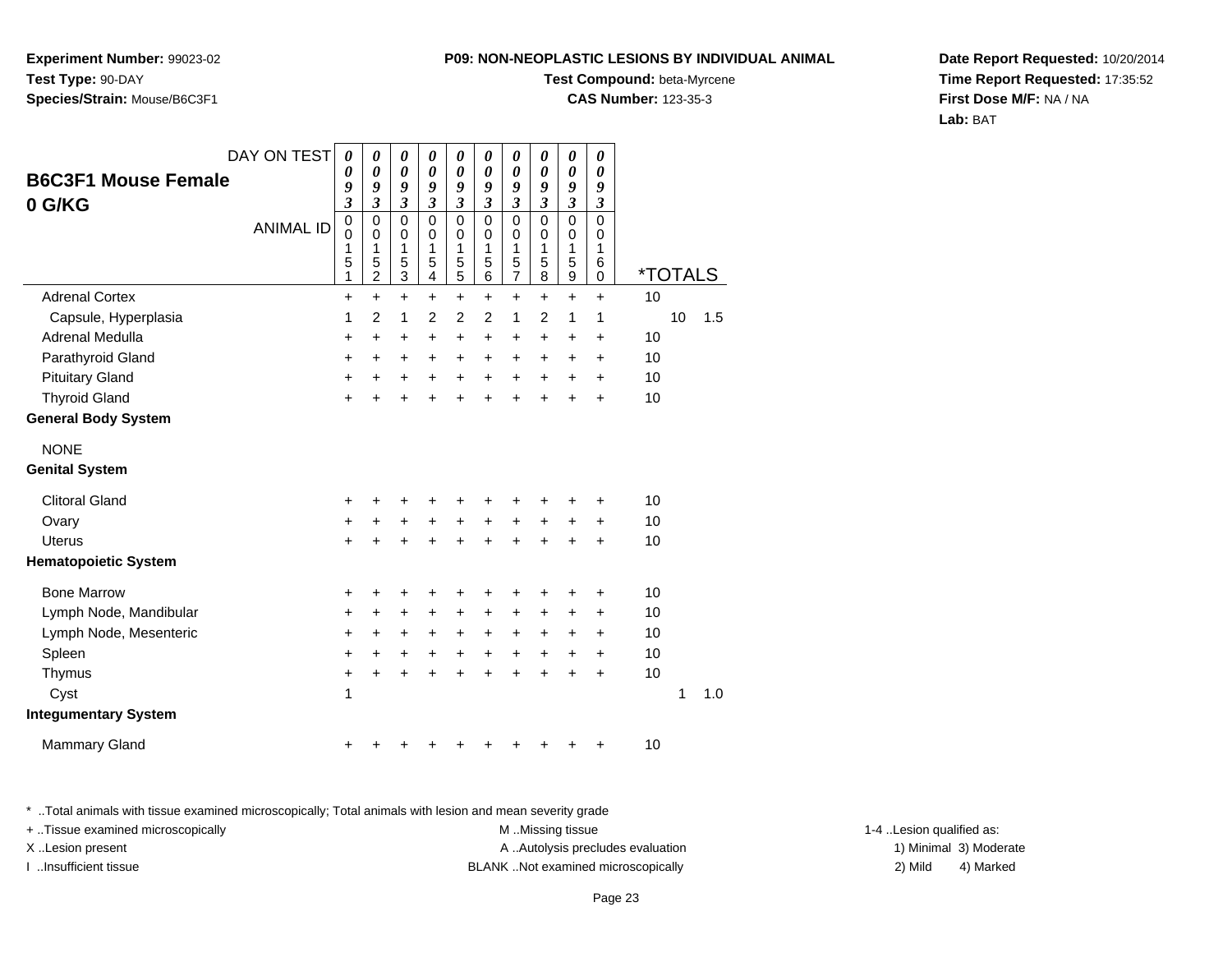**Experiment Number:** 99023-02**Test Type:** 90-DAY**Species/Strain:** Mouse/B6C3F1

#### **Test Compound:** beta-Myrcene

**CAS Number:** 123-35-3

**Date Report Requested:** 10/20/2014**Time Report Requested:** 17:35:52**First Dose M/F:** NA / NA**Lab:** BAT

| DAY ON TEST                 | 0                       | 0                                          | 0                                            | 0                                       | $\boldsymbol{\theta}$                     | $\boldsymbol{\theta}$           | $\boldsymbol{\theta}$                                  | 0                       | 0                                                        | $\pmb{\theta}$                  |                       |    |     |
|-----------------------------|-------------------------|--------------------------------------------|----------------------------------------------|-----------------------------------------|-------------------------------------------|---------------------------------|--------------------------------------------------------|-------------------------|----------------------------------------------------------|---------------------------------|-----------------------|----|-----|
| <b>B6C3F1 Mouse Female</b>  | 0<br>9                  | 0<br>9                                     | $\boldsymbol{\theta}$<br>9                   | $\boldsymbol{\theta}$<br>9              | $\boldsymbol{\theta}$<br>9                | $\pmb{\theta}$<br>9             | $\boldsymbol{\theta}$<br>9                             | $\pmb{\theta}$<br>9     | $\pmb{\theta}$<br>9                                      | 0<br>9                          |                       |    |     |
| 0 G/KG                      | $\overline{\mathbf{3}}$ | $\mathfrak{z}$                             | $\mathfrak{z}$                               | $\mathfrak{z}$                          | $\mathfrak{z}$                            | $\mathfrak{z}$                  | $\overline{\mathbf{3}}$                                | $\overline{\mathbf{3}}$ | $\overline{\mathbf{3}}$                                  | $\mathfrak{z}$                  |                       |    |     |
| <b>ANIMAL ID</b>            | 0<br>0<br>1<br>5<br>1   | $\pmb{0}$<br>0<br>1<br>5<br>$\overline{c}$ | 0<br>$\mathbf 0$<br>1<br>5<br>$\overline{3}$ | $\pmb{0}$<br>$\mathbf 0$<br>1<br>5<br>4 | $\mathbf 0$<br>$\mathbf 0$<br>1<br>5<br>5 | 0<br>$\mathbf 0$<br>1<br>5<br>6 | $\mathbf 0$<br>$\mathbf 0$<br>1<br>5<br>$\overline{7}$ | 0<br>0<br>1<br>5<br>8   | $\mathbf 0$<br>$\mathbf 0$<br>1<br>5<br>$\boldsymbol{9}$ | $\mathbf 0$<br>0<br>1<br>6<br>0 | <i><b>*TOTALS</b></i> |    |     |
| <b>Adrenal Cortex</b>       | +                       | $+$                                        | $\ddot{}$                                    | +                                       | $\ddot{}$                                 | $\ddot{}$                       | $\ddot{}$                                              | $\ddot{}$               | $\ddot{}$                                                | $\ddot{}$                       | 10                    |    |     |
| Capsule, Hyperplasia        | 1                       | $\overline{2}$                             | 1                                            | $\overline{2}$                          | $\overline{2}$                            | $\overline{2}$                  | 1                                                      | $\overline{2}$          | 1                                                        | 1                               |                       | 10 | 1.5 |
| Adrenal Medulla             | +                       | +                                          | +                                            | +                                       | $\ddot{}$                                 | +                               | +                                                      | +                       | +                                                        | +                               | 10                    |    |     |
| Parathyroid Gland           | $\ddot{}$               | $\ddot{}$                                  | +                                            | $\ddot{}$                               | $\ddot{}$                                 | $\ddot{}$                       | +                                                      | +                       | +                                                        | $\ddot{}$                       | 10                    |    |     |
| <b>Pituitary Gland</b>      | +                       | +                                          | +                                            | $\ddot{}$                               | $\ddot{}$                                 | $\ddot{}$                       | $\ddot{}$                                              | $\ddot{}$               | +                                                        | $\ddot{}$                       | 10                    |    |     |
| <b>Thyroid Gland</b>        | $\ddot{}$               | ÷                                          | $\ddot{}$                                    | $\ddot{}$                               | $\ddot{}$                                 | $\ddot{}$                       | $\ddot{}$                                              | $\ddot{}$               | ÷                                                        | $\ddot{}$                       | 10                    |    |     |
| <b>General Body System</b>  |                         |                                            |                                              |                                         |                                           |                                 |                                                        |                         |                                                          |                                 |                       |    |     |
| <b>NONE</b>                 |                         |                                            |                                              |                                         |                                           |                                 |                                                        |                         |                                                          |                                 |                       |    |     |
| <b>Genital System</b>       |                         |                                            |                                              |                                         |                                           |                                 |                                                        |                         |                                                          |                                 |                       |    |     |
| <b>Clitoral Gland</b>       | +                       | +                                          | +                                            | +                                       | +                                         | +                               | +                                                      | +                       | +                                                        | +                               | 10                    |    |     |
| Ovary                       | +                       | +                                          | +                                            | $\ddot{}$                               | +                                         | $\ddot{}$                       | $\ddot{}$                                              | $\ddot{}$               | $\ddot{}$                                                | $\ddot{}$                       | 10                    |    |     |
| <b>Uterus</b>               | $\ddot{}$               | ÷                                          | $\ddot{}$                                    | $\ddot{}$                               | $\ddot{}$                                 | $\ddot{}$                       | $\ddot{}$                                              | $\ddot{}$               | $\ddot{}$                                                | $\ddot{}$                       | 10                    |    |     |
| <b>Hematopoietic System</b> |                         |                                            |                                              |                                         |                                           |                                 |                                                        |                         |                                                          |                                 |                       |    |     |
| <b>Bone Marrow</b>          | +                       | +                                          | +                                            | +                                       | +                                         | +                               | +                                                      | +                       | +                                                        | +                               | 10                    |    |     |
| Lymph Node, Mandibular      | $\ddot{}$               | +                                          | +                                            | +                                       | +                                         | $\pm$                           | +                                                      | +                       | +                                                        | +                               | 10                    |    |     |
| Lymph Node, Mesenteric      | +                       | $\ddot{}$                                  | +                                            | $\ddot{}$                               | $\ddot{}$                                 | $\ddot{}$                       | $\ddot{}$                                              | $\ddot{}$               | $\ddot{}$                                                | $\ddot{}$                       | 10                    |    |     |
| Spleen                      | +                       | $\ddot{}$                                  | +                                            | $\ddot{}$                               | $\ddot{}$                                 | $+$                             | $\ddot{}$                                              | $+$                     | $\ddot{}$                                                | $\ddot{}$                       | 10                    |    |     |
| Thymus                      | +                       | $\ddot{}$                                  | $\ddot{}$                                    | $\ddot{}$                               | $\ddot{}$                                 | $+$                             | $\ddot{}$                                              | $\ddot{}$               | $\ddot{}$                                                | $\ddot{}$                       | 10                    |    |     |
| Cyst                        | 1                       |                                            |                                              |                                         |                                           |                                 |                                                        |                         |                                                          |                                 |                       | 1  | 1.0 |
| <b>Integumentary System</b> |                         |                                            |                                              |                                         |                                           |                                 |                                                        |                         |                                                          |                                 |                       |    |     |
| <b>Mammary Gland</b>        | +                       |                                            | +                                            | +                                       | +                                         |                                 | +                                                      | +                       | +                                                        | +                               | 10                    |    |     |

\* ..Total animals with tissue examined microscopically; Total animals with lesion and mean severity grade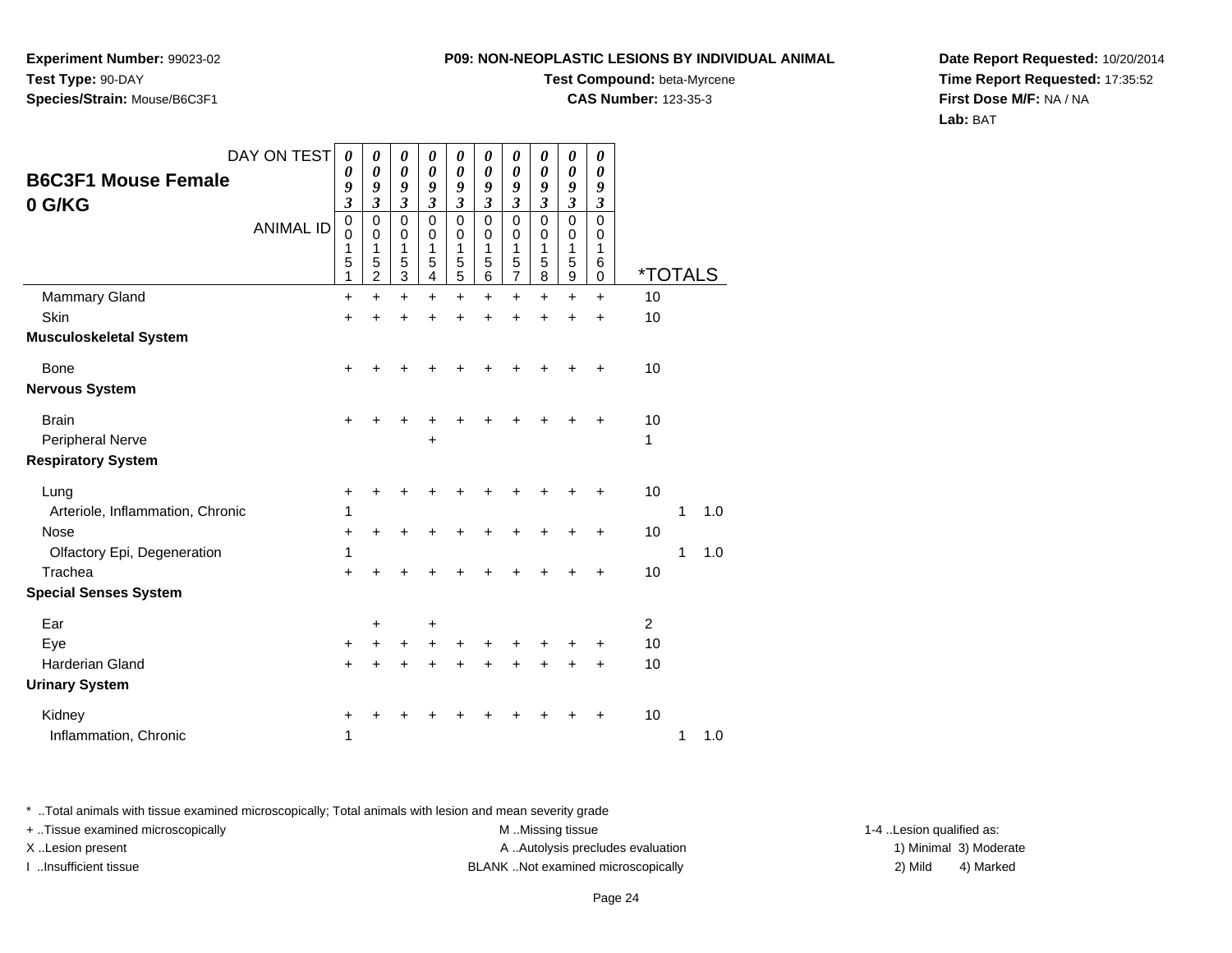**Experiment Number:** 99023-02**Test Type:** 90-DAY**Species/Strain:** Mouse/B6C3F1

### **Test Compound:** beta-Myrcene

**CAS Number:** 123-35-3

**Date Report Requested:** 10/20/2014**Time Report Requested:** 17:35:52**First Dose M/F:** NA / NA**Lab:** BAT

|                                          | DAY ON TEST      | $\boldsymbol{\theta}$           | 0                                                      | 0                     | $\boldsymbol{\theta}$                     | 0                               | 0                                                      | 0                                                  | 0                               | $\pmb{\theta}$                            | 0                     |                       |   |     |
|------------------------------------------|------------------|---------------------------------|--------------------------------------------------------|-----------------------|-------------------------------------------|---------------------------------|--------------------------------------------------------|----------------------------------------------------|---------------------------------|-------------------------------------------|-----------------------|-----------------------|---|-----|
| <b>B6C3F1 Mouse Female</b><br>0 G/KG     |                  | 0<br>9<br>3                     | 0<br>9<br>$\boldsymbol{\beta}$                         | 0<br>9<br>3           | 0<br>9<br>$\boldsymbol{\beta}$            | 0<br>9<br>$\boldsymbol{\beta}$  | 0<br>9<br>$\boldsymbol{\beta}$                         | $\boldsymbol{\theta}$<br>9<br>$\boldsymbol{\beta}$ | 0<br>9<br>$\boldsymbol{\beta}$  | 0<br>9<br>3                               | 0<br>9<br>3           |                       |   |     |
|                                          | <b>ANIMAL ID</b> | $\mathbf 0$<br>0<br>1<br>5<br>1 | $\mathbf 0$<br>$\mathbf 0$<br>1<br>5<br>$\overline{c}$ | 0<br>0<br>1<br>5<br>3 | $\mathbf 0$<br>$\mathbf 0$<br>1<br>5<br>4 | $\mathbf 0$<br>0<br>1<br>5<br>5 | $\mathbf 0$<br>$\mathbf 0$<br>1<br>$\sqrt{5}$<br>$\,6$ | $\Omega$<br>0<br>1<br>5<br>$\overline{7}$          | $\mathbf 0$<br>0<br>1<br>5<br>8 | $\mathbf 0$<br>$\mathbf 0$<br>1<br>5<br>9 | 0<br>0<br>1<br>6<br>0 | <i><b>*TOTALS</b></i> |   |     |
| <b>Mammary Gland</b>                     |                  | +                               | $\ddot{}$                                              | $\ddot{}$             | $\ddot{}$                                 | +                               | +                                                      | +                                                  | +                               | +                                         | +                     | 10                    |   |     |
| <b>Skin</b>                              |                  | $\ddot{}$                       | +                                                      | +                     | +                                         |                                 | ÷                                                      | +                                                  | $\ddot{}$                       | $\ddot{}$                                 | $\ddot{}$             | 10                    |   |     |
| <b>Musculoskeletal System</b>            |                  |                                 |                                                        |                       |                                           |                                 |                                                        |                                                    |                                 |                                           |                       |                       |   |     |
| Bone<br><b>Nervous System</b>            |                  | $\ddot{}$                       |                                                        |                       |                                           |                                 |                                                        |                                                    |                                 |                                           | +                     | 10                    |   |     |
| <b>Brain</b><br>Peripheral Nerve         |                  | $\ddot{}$                       | +                                                      |                       | $\ddot{}$                                 |                                 |                                                        |                                                    |                                 |                                           | ٠                     | 10<br>1               |   |     |
| <b>Respiratory System</b>                |                  |                                 |                                                        |                       |                                           |                                 |                                                        |                                                    |                                 |                                           |                       |                       |   |     |
| Lung<br>Arteriole, Inflammation, Chronic |                  | +<br>1                          | +                                                      | ٠                     |                                           |                                 |                                                        |                                                    |                                 |                                           | ÷                     | 10                    | 1 | 1.0 |
| <b>Nose</b>                              |                  | +                               | +                                                      |                       |                                           |                                 |                                                        |                                                    |                                 |                                           | +                     | 10                    |   |     |
| Olfactory Epi, Degeneration              |                  | 1                               |                                                        |                       |                                           |                                 |                                                        |                                                    |                                 |                                           |                       |                       | 1 | 1.0 |
| Trachea                                  |                  | $\ddot{}$                       | +                                                      |                       |                                           |                                 |                                                        |                                                    |                                 |                                           | +                     | 10                    |   |     |
| <b>Special Senses System</b>             |                  |                                 |                                                        |                       |                                           |                                 |                                                        |                                                    |                                 |                                           |                       |                       |   |     |
| Ear                                      |                  |                                 | $\ddot{}$                                              |                       | $\ddot{}$                                 |                                 |                                                        |                                                    |                                 |                                           |                       | $\overline{2}$        |   |     |
| Eye                                      |                  | +                               | +                                                      | +                     | +                                         |                                 |                                                        |                                                    |                                 |                                           | +                     | 10                    |   |     |
| Harderian Gland                          |                  | $+$                             | $\ddot{}$                                              | +                     | $\ddot{}$                                 |                                 | $\ddot{}$                                              | $\ddot{}$                                          | $\ddot{}$                       | $\ddot{}$                                 | $\ddot{}$             | 10                    |   |     |
| <b>Urinary System</b>                    |                  |                                 |                                                        |                       |                                           |                                 |                                                        |                                                    |                                 |                                           |                       |                       |   |     |
| Kidney                                   |                  | +                               |                                                        |                       |                                           |                                 |                                                        |                                                    |                                 |                                           | ٠                     | 10                    |   |     |
| Inflammation, Chronic                    |                  | 1                               |                                                        |                       |                                           |                                 |                                                        |                                                    |                                 |                                           |                       |                       | 1 | 1.0 |

\* ..Total animals with tissue examined microscopically; Total animals with lesion and mean severity grade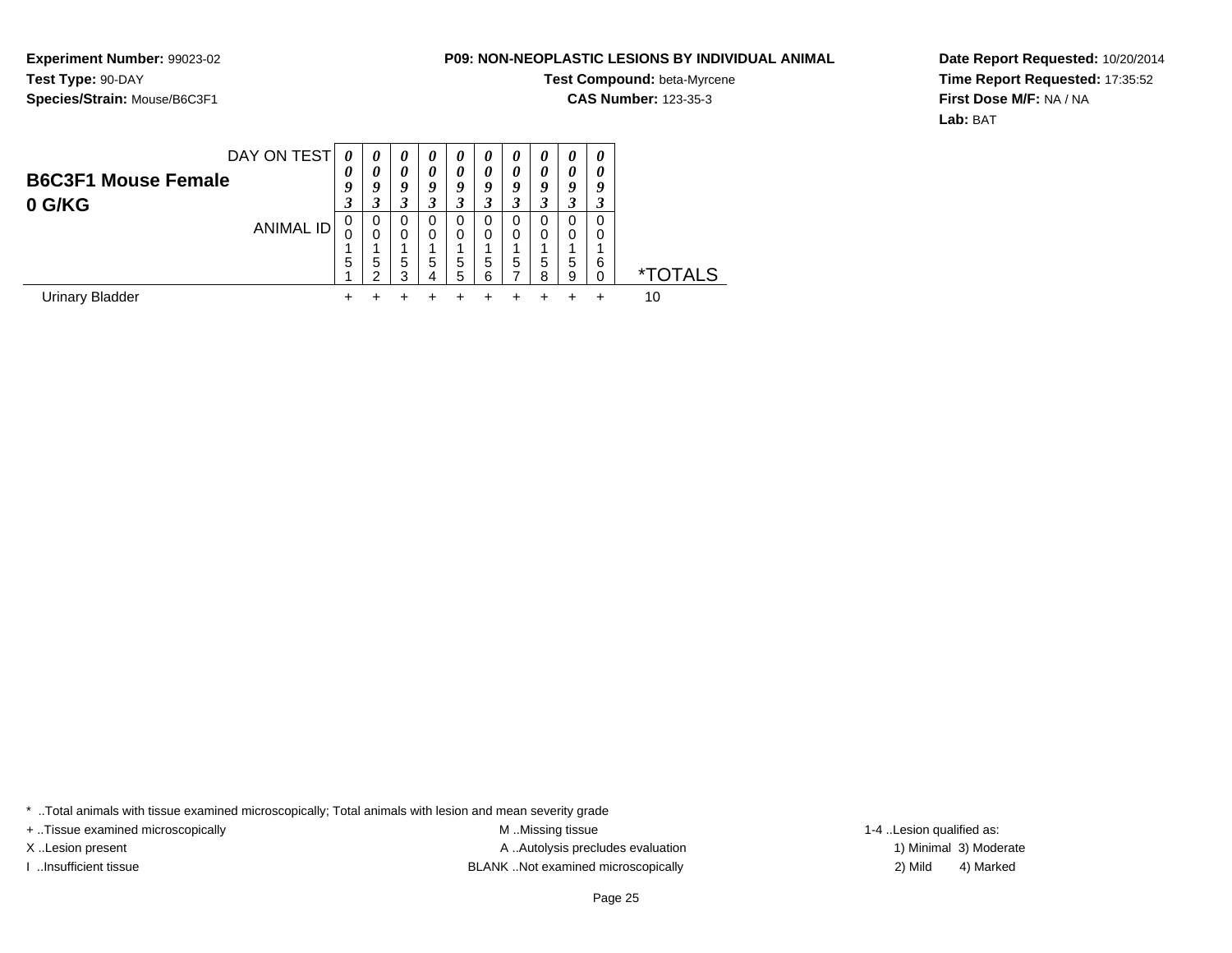**Experiment Number:** 99023-02**Test Type:** 90-DAY**Species/Strain:** Mouse/B6C3F1

# **Test Compound:** beta-Myrcene

**CAS Number:** 123-35-3

**Date Report Requested:** 10/20/2014**Time Report Requested:** 17:35:52**First Dose M/F:** NA / NA**Lab:** BAT

| <b>B6C3F1 Mouse Female</b> | DAY ON TEST      | 0<br>0<br>O | $\boldsymbol{\theta}$<br>0<br>9 | $\boldsymbol{\theta}$<br>0<br>9 | 0<br>0<br>Q | 0<br>0<br>9           | $\boldsymbol{\theta}$<br>0<br>9 | $\boldsymbol{\theta}$<br>0<br>9 | $\boldsymbol{\theta}$<br>0<br>9 | $\theta$<br>0<br>9 | 0<br>0<br>q |              |
|----------------------------|------------------|-------------|---------------------------------|---------------------------------|-------------|-----------------------|---------------------------------|---------------------------------|---------------------------------|--------------------|-------------|--------------|
| 0 G/KG                     | <b>ANIMAL ID</b> | J<br>0<br>5 | 3<br>0<br>0<br>5<br>◠           | 3<br>0<br>0<br>5<br>3           | 0<br>0<br>5 | 3<br>0<br>0<br>5<br>5 | U<br>0<br>5<br>ี                | 0<br>0<br>5                     | 5<br>я                          | 0<br>0<br>5<br>9   | 0<br>0<br>6 | ГОТALS<br>∗⊤ |
| <b>Urinary Bladder</b>     |                  |             |                                 |                                 |             |                       |                                 |                                 |                                 |                    |             | 10           |

\* ..Total animals with tissue examined microscopically; Total animals with lesion and mean severity grade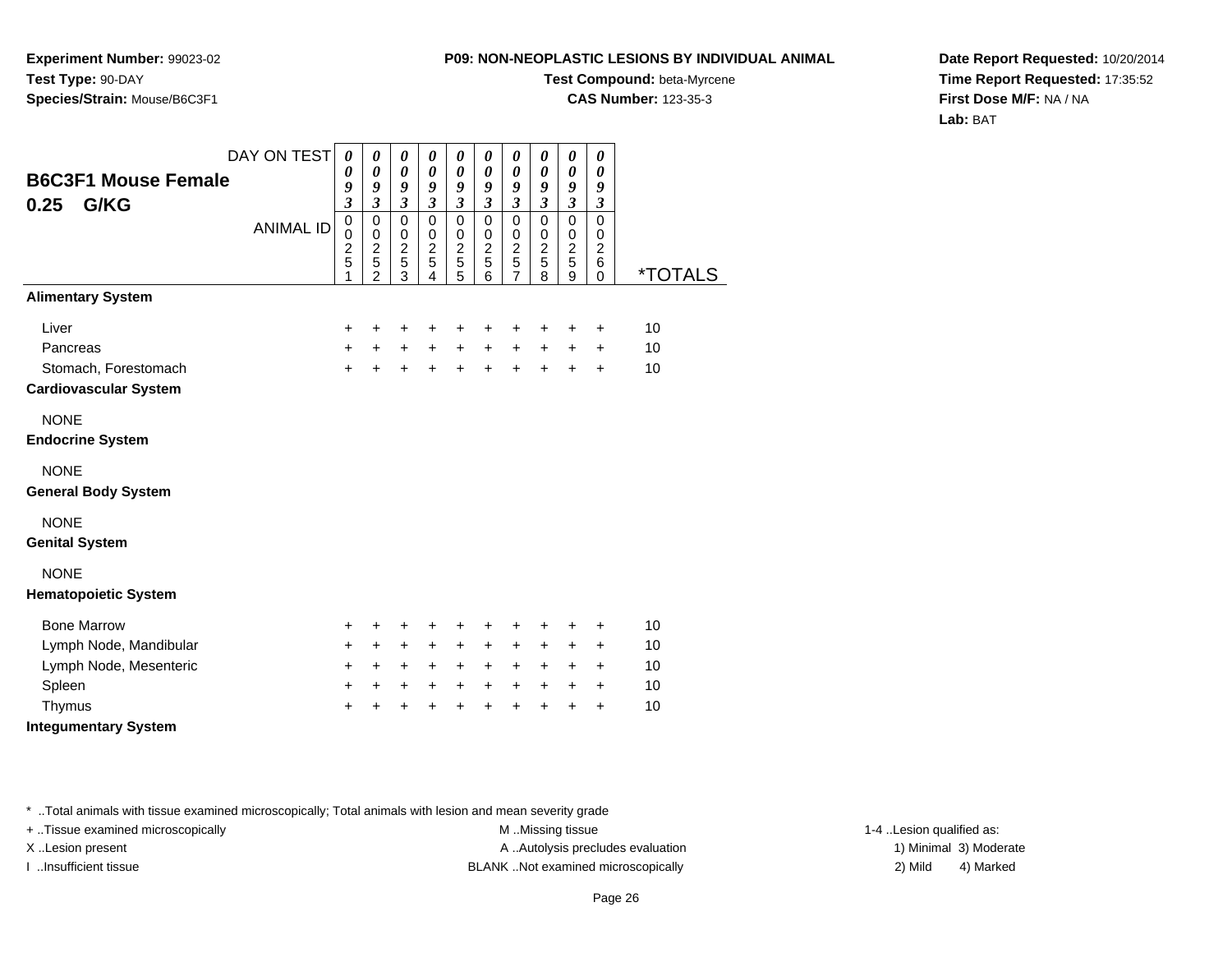**Experiment Number:** 99023-02**Test Type:** 90-DAY**Species/Strain:** Mouse/B6C3F1

## **Test Compound:** beta-Myrcene

**CAS Number:** 123-35-3

**Date Report Requested:** 10/20/2014**Time Report Requested:** 17:35:52**First Dose M/F:** NA / NA**Lab:** BAT

| <b>B6C3F1 Mouse Female</b>   | DAY ON TEST      | $\boldsymbol{\theta}$<br>0                           | 0<br>$\boldsymbol{\theta}$                                                     | 0<br>$\boldsymbol{\theta}$                                      | 0<br>0                                                              | 0<br>0                                                    | 0<br>0                                          | $\boldsymbol{\theta}$<br>0                                                       | 0<br>$\boldsymbol{\theta}$         | 0<br>0                                                                     | 0<br>0                                              |                       |
|------------------------------|------------------|------------------------------------------------------|--------------------------------------------------------------------------------|-----------------------------------------------------------------|---------------------------------------------------------------------|-----------------------------------------------------------|-------------------------------------------------|----------------------------------------------------------------------------------|------------------------------------|----------------------------------------------------------------------------|-----------------------------------------------------|-----------------------|
| G/KG<br>0.25                 |                  | 9<br>$\overline{\mathbf{3}}$                         | 9<br>3                                                                         | 9<br>$\mathfrak{z}$                                             | 9<br>$\mathfrak{z}$                                                 | 9<br>$\overline{\mathbf{3}}$                              | 9<br>$\overline{\mathbf{3}}$                    | 9<br>$\mathfrak{z}$                                                              | 9<br>$\mathfrak{z}$                | $\boldsymbol{g}$<br>$\mathfrak{z}$                                         | 9<br>$\mathfrak{z}$                                 |                       |
|                              | <b>ANIMAL ID</b> | $\pmb{0}$<br>$\mathbf 0$<br>$\overline{c}$<br>5<br>1 | $\pmb{0}$<br>$\mathbf 0$<br>$\overline{2}$<br>$\overline{5}$<br>$\overline{2}$ | $\mathbf 0$<br>$\mathbf 0$<br>$\sqrt{2}$<br>$\overline{5}$<br>3 | $\mathbf 0$<br>$\mathbf 0$<br>$\overline{2}$<br>$\overline{5}$<br>4 | $\pmb{0}$<br>$\pmb{0}$<br>$\frac{2}{5}$<br>$\overline{5}$ | 0<br>0<br>$\overline{2}$<br>$\overline{5}$<br>6 | $\mathbf 0$<br>$\pmb{0}$<br>$\boldsymbol{2}$<br>$\overline{5}$<br>$\overline{7}$ | 0<br>0<br>$\overline{2}$<br>5<br>8 | $\mathbf 0$<br>$\pmb{0}$<br>$\overline{2}$<br>$\sqrt{5}$<br>$\overline{9}$ | $\mathbf 0$<br>0<br>$\overline{c}$<br>6<br>$\Omega$ | <i><b>*TOTALS</b></i> |
| <b>Alimentary System</b>     |                  |                                                      |                                                                                |                                                                 |                                                                     |                                                           |                                                 |                                                                                  |                                    |                                                                            |                                                     |                       |
| Liver                        |                  | ÷                                                    | +                                                                              | +                                                               | +                                                                   | +                                                         | +                                               | +                                                                                | +                                  | +                                                                          | +                                                   | 10                    |
| Pancreas                     |                  | $\ddot{}$                                            | $+$                                                                            | $+$                                                             | $+$                                                                 | $\ddot{}$                                                 | $\ddot{}$                                       | $\ddot{}$                                                                        | $\ddot{}$                          | $\ddot{}$                                                                  | $\ddot{}$                                           | 10                    |
| Stomach, Forestomach         |                  | $+$                                                  | $\ddot{}$                                                                      | $\ddot{}$                                                       | $\ddot{}$                                                           | $\ddot{}$                                                 | $\ddot{}$                                       | $\ddot{}$                                                                        | $\ddot{}$                          | $\ddot{}$                                                                  | $\ddot{}$                                           | 10                    |
| <b>Cardiovascular System</b> |                  |                                                      |                                                                                |                                                                 |                                                                     |                                                           |                                                 |                                                                                  |                                    |                                                                            |                                                     |                       |
| <b>NONE</b>                  |                  |                                                      |                                                                                |                                                                 |                                                                     |                                                           |                                                 |                                                                                  |                                    |                                                                            |                                                     |                       |
| <b>Endocrine System</b>      |                  |                                                      |                                                                                |                                                                 |                                                                     |                                                           |                                                 |                                                                                  |                                    |                                                                            |                                                     |                       |
| <b>NONE</b>                  |                  |                                                      |                                                                                |                                                                 |                                                                     |                                                           |                                                 |                                                                                  |                                    |                                                                            |                                                     |                       |
| <b>General Body System</b>   |                  |                                                      |                                                                                |                                                                 |                                                                     |                                                           |                                                 |                                                                                  |                                    |                                                                            |                                                     |                       |
| <b>NONE</b>                  |                  |                                                      |                                                                                |                                                                 |                                                                     |                                                           |                                                 |                                                                                  |                                    |                                                                            |                                                     |                       |
| <b>Genital System</b>        |                  |                                                      |                                                                                |                                                                 |                                                                     |                                                           |                                                 |                                                                                  |                                    |                                                                            |                                                     |                       |
| <b>NONE</b>                  |                  |                                                      |                                                                                |                                                                 |                                                                     |                                                           |                                                 |                                                                                  |                                    |                                                                            |                                                     |                       |
| <b>Hematopoietic System</b>  |                  |                                                      |                                                                                |                                                                 |                                                                     |                                                           |                                                 |                                                                                  |                                    |                                                                            |                                                     |                       |
| <b>Bone Marrow</b>           |                  | $\ddot{}$                                            | +                                                                              | +                                                               | +                                                                   | +                                                         | +                                               | +                                                                                | +                                  | +                                                                          | +                                                   | 10                    |
| Lymph Node, Mandibular       |                  | $\ddot{}$                                            | $\ddot{}$                                                                      | +                                                               | +                                                                   | +                                                         | +                                               | +                                                                                | +                                  | +                                                                          | +                                                   | 10                    |
| Lymph Node, Mesenteric       |                  | $\ddot{}$                                            | $\ddot{}$                                                                      | $\ddot{}$                                                       | $\ddot{}$                                                           | $\ddot{}$                                                 | $\ddot{}$                                       | $\ddot{}$                                                                        | $\ddot{}$                          | $\ddot{}$                                                                  | $\ddot{}$                                           | 10                    |
| Spleen                       |                  | $\ddot{}$                                            | $\ddot{}$                                                                      | $\ddot{}$                                                       | $\ddot{}$                                                           | $\ddot{}$                                                 | $\ddot{}$                                       | $\ddot{}$                                                                        | $\ddot{}$                          | $\ddot{}$                                                                  | $\ddot{}$                                           | 10                    |
| Thymus                       |                  | $\ddot{}$                                            | $\ddot{}$                                                                      | $\ddot{}$                                                       | $\ddot{}$                                                           | $\ddot{}$                                                 | $\ddot{}$                                       | $\ddot{}$                                                                        | $\ddot{}$                          | $\ddot{}$                                                                  | $\ddot{}$                                           | 10                    |
| <b>Integumentary System</b>  |                  |                                                      |                                                                                |                                                                 |                                                                     |                                                           |                                                 |                                                                                  |                                    |                                                                            |                                                     |                       |
|                              |                  |                                                      |                                                                                |                                                                 |                                                                     |                                                           |                                                 |                                                                                  |                                    |                                                                            |                                                     |                       |

\* ..Total animals with tissue examined microscopically; Total animals with lesion and mean severity grade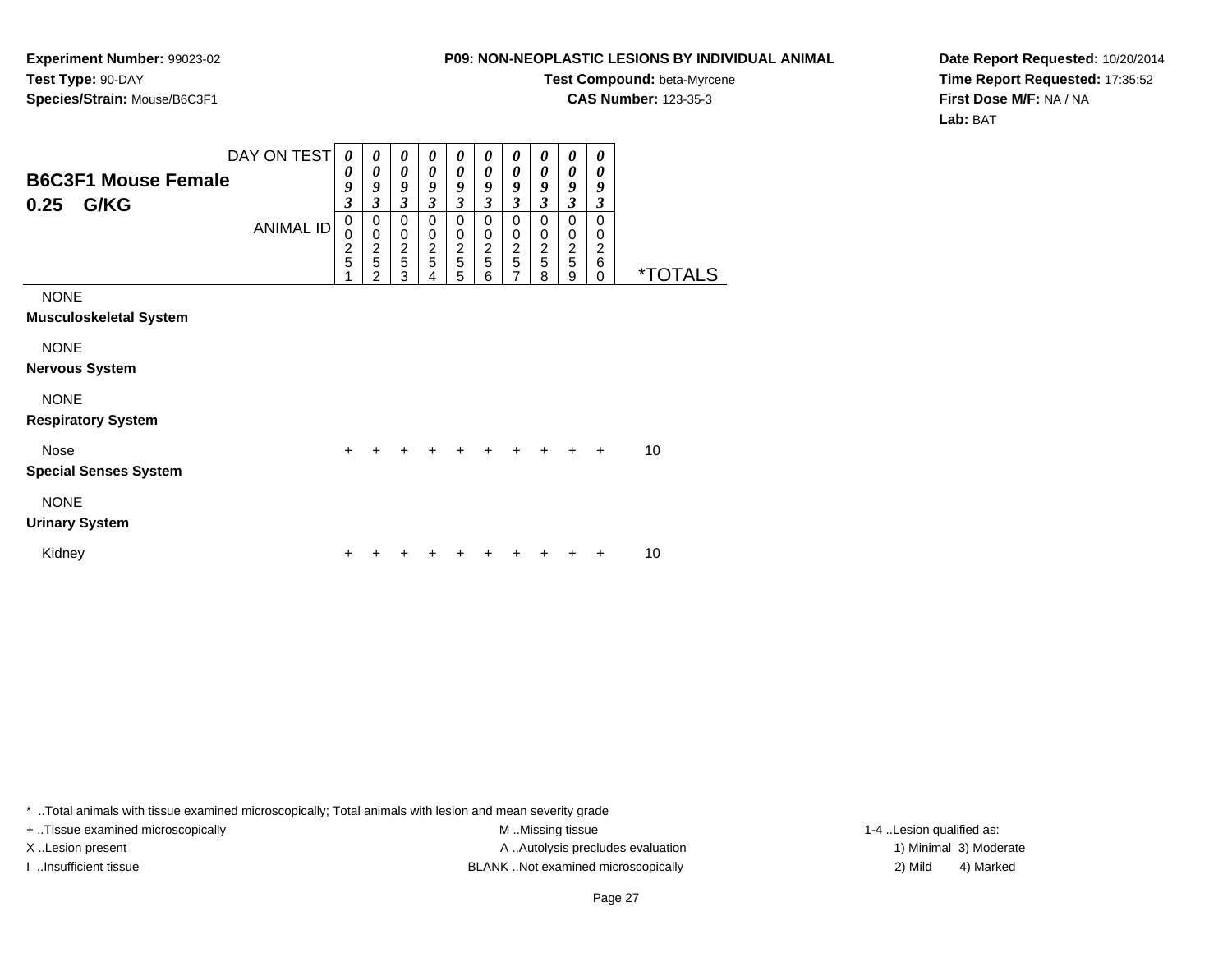**Experiment Number:** 99023-02**Test Type:** 90-DAY**Species/Strain:** Mouse/B6C3F1

# **Test Compound:** beta-Myrcene

**CAS Number:** 123-35-3

**Date Report Requested:** 10/20/2014**Time Report Requested:** 17:35:52**First Dose M/F:** NA / NA**Lab:** BAT

|                                              | DAY ON TEST      | $\boldsymbol{\theta}$                      | 0                                              | $\boldsymbol{\theta}$                          | $\boldsymbol{\theta}$                                                | 0                                                | $\boldsymbol{\theta}$                            | $\boldsymbol{\theta}$                            | $\boldsymbol{\theta}$                            | $\boldsymbol{\theta}$                                                | 0                                          |                       |
|----------------------------------------------|------------------|--------------------------------------------|------------------------------------------------|------------------------------------------------|----------------------------------------------------------------------|--------------------------------------------------|--------------------------------------------------|--------------------------------------------------|--------------------------------------------------|----------------------------------------------------------------------|--------------------------------------------|-----------------------|
| <b>B6C3F1 Mouse Female</b><br>G/KG<br>0.25   | <b>ANIMAL ID</b> | 0<br>9<br>$\boldsymbol{\mathfrak{z}}$<br>0 | 0<br>9<br>$\overline{\mathbf{3}}$<br>0         | $\boldsymbol{\theta}$<br>9<br>3<br>$\mathbf 0$ | $\boldsymbol{\theta}$<br>9<br>$\overline{\mathbf{3}}$<br>$\mathbf 0$ | 0<br>9<br>$\overline{\mathbf{3}}$<br>$\mathbf 0$ | 0<br>9<br>$\overline{\mathbf{3}}$<br>$\mathbf 0$ | 0<br>9<br>$\overline{\mathbf{3}}$<br>$\mathbf 0$ | 0<br>9<br>$\overline{\mathbf{3}}$<br>$\mathbf 0$ | $\boldsymbol{\theta}$<br>9<br>$\overline{\mathbf{3}}$<br>$\mathbf 0$ | 0<br>9<br>$\boldsymbol{\beta}$<br>$\Omega$ |                       |
|                                              |                  | 0<br>$\frac{2}{5}$                         | $\mathbf 0$<br>$\frac{2}{5}$<br>$\overline{2}$ | $\boldsymbol{0}$<br>$\frac{2}{5}$<br>3         | $\mathbf 0$<br>$\frac{2}{5}$<br>4                                    | $\pmb{0}$<br>$\frac{2}{5}$<br>5                  | 0<br>$\boldsymbol{2}$<br>5<br>6                  | $\pmb{0}$<br>$rac{2}{5}$<br>$\overline{7}$       | $\pmb{0}$<br>$\frac{2}{5}$<br>8                  | $\pmb{0}$<br>$\frac{2}{5}$<br>9                                      | 0<br>$\overline{c}$<br>6<br>$\Omega$       | <i><b>*TOTALS</b></i> |
| <b>NONE</b><br><b>Musculoskeletal System</b> |                  |                                            |                                                |                                                |                                                                      |                                                  |                                                  |                                                  |                                                  |                                                                      |                                            |                       |
| <b>NONE</b><br><b>Nervous System</b>         |                  |                                            |                                                |                                                |                                                                      |                                                  |                                                  |                                                  |                                                  |                                                                      |                                            |                       |
| <b>NONE</b><br><b>Respiratory System</b>     |                  |                                            |                                                |                                                |                                                                      |                                                  |                                                  |                                                  |                                                  |                                                                      |                                            |                       |
| <b>Nose</b><br><b>Special Senses System</b>  |                  | $\ddot{}$                                  | $\ddot{}$                                      | $\ddot{}$                                      | $+$                                                                  | $+$                                              | $+$                                              | $+$                                              | $+$                                              | $\ddot{}$                                                            | $\ddot{}$                                  | 10                    |
| <b>NONE</b><br><b>Urinary System</b>         |                  |                                            |                                                |                                                |                                                                      |                                                  |                                                  |                                                  |                                                  |                                                                      |                                            |                       |
| Kidney                                       |                  | +                                          |                                                |                                                |                                                                      |                                                  |                                                  |                                                  |                                                  |                                                                      |                                            | 10                    |

\* ..Total animals with tissue examined microscopically; Total animals with lesion and mean severity grade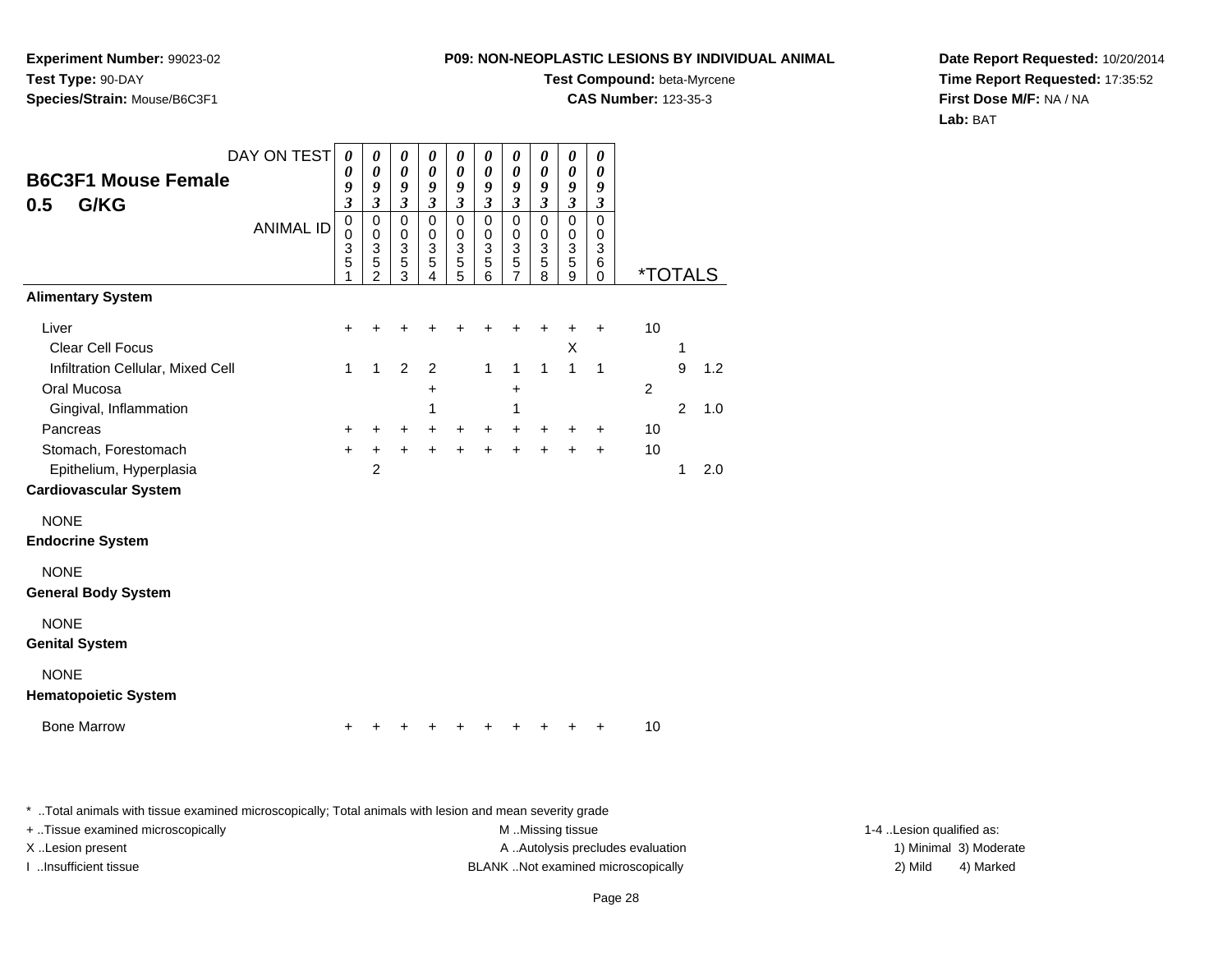**Experiment Number:** 99023-02**Test Type:** 90-DAY**Species/Strain:** Mouse/B6C3F1

## **Test Compound:** beta-Myrcene

**CAS Number:** 123-35-3

**Date Report Requested:** 10/20/2014**Time Report Requested:** 17:35:52**First Dose M/F:** NA / NA**Lab:** BAT

| <b>B6C3F1 Mouse Female</b><br>G/KG<br>0.5                                       | DAY ON TEST      | $\boldsymbol{\theta}$<br>0<br>9<br>$\overline{\mathbf{3}}$ | 0<br>0<br>9<br>$\overline{\mathbf{3}}$                 | 0<br>$\boldsymbol{\theta}$<br>9<br>$\mathfrak{z}$ | 0<br>0<br>9<br>$\mathfrak{z}$                                              | 0<br>$\boldsymbol{\theta}$<br>9<br>$\overline{\mathbf{3}}$                 | 0<br>0<br>9<br>$\mathfrak{z}$                               | 0<br>$\boldsymbol{\theta}$<br>9<br>$\overline{\mathbf{3}}$ | 0<br>0<br>9<br>$\mathfrak{z}$                           | 0<br>$\boldsymbol{\theta}$<br>9<br>$\overline{\mathbf{3}}$               | 0<br>0<br>9<br>$\overline{\mathbf{3}}$ |                       |                |     |
|---------------------------------------------------------------------------------|------------------|------------------------------------------------------------|--------------------------------------------------------|---------------------------------------------------|----------------------------------------------------------------------------|----------------------------------------------------------------------------|-------------------------------------------------------------|------------------------------------------------------------|---------------------------------------------------------|--------------------------------------------------------------------------|----------------------------------------|-----------------------|----------------|-----|
|                                                                                 | <b>ANIMAL ID</b> | $\mathbf 0$<br>$\mathbf 0$<br>3<br>5<br>1                  | $\mathbf 0$<br>$\mathbf 0$<br>3<br>5<br>$\overline{2}$ | $\mathbf 0$<br>$\mathbf 0$<br>3<br>5<br>3         | $\mathbf 0$<br>$\mathbf 0$<br>$\ensuremath{\mathsf{3}}$<br>$\sqrt{5}$<br>4 | $\mathbf 0$<br>$\mathbf 0$<br>$\ensuremath{\mathsf{3}}$<br>$\sqrt{5}$<br>5 | $\pmb{0}$<br>$\pmb{0}$<br>$\overline{3}$<br>$\sqrt{5}$<br>6 | $\mathbf 0$<br>0<br>$\overline{3}$<br>5<br>7               | $\mathbf 0$<br>0<br>$\ensuremath{\mathsf{3}}$<br>5<br>8 | $\pmb{0}$<br>$\mathbf 0$<br>$\ensuremath{\mathsf{3}}$<br>$\sqrt{5}$<br>9 | $\Omega$<br>0<br>3<br>6<br>0           | <i><b>*TOTALS</b></i> |                |     |
| <b>Alimentary System</b>                                                        |                  |                                                            |                                                        |                                                   |                                                                            |                                                                            |                                                             |                                                            |                                                         |                                                                          |                                        |                       |                |     |
| Liver<br><b>Clear Cell Focus</b>                                                |                  | +                                                          |                                                        |                                                   |                                                                            |                                                                            |                                                             |                                                            | +                                                       | +<br>Χ                                                                   | $\ddot{}$                              | 10                    | 1              |     |
| Infiltration Cellular, Mixed Cell<br>Oral Mucosa                                |                  | 1                                                          | 1                                                      | $\overline{2}$                                    | 2<br>+                                                                     |                                                                            | $\mathbf{1}$                                                | $\mathbf{1}$<br>+                                          | $\mathbf{1}$                                            | $\mathbf{1}$                                                             | $\mathbf 1$                            | 2                     | 9              | 1.2 |
| Gingival, Inflammation<br>Pancreas                                              |                  | +                                                          | +                                                      | $\ddot{}$                                         | 1<br>+                                                                     | +                                                                          | $\ddot{}$                                                   | 1<br>+                                                     | +                                                       | +                                                                        | +                                      | 10                    | $\overline{2}$ | 1.0 |
| Stomach, Forestomach<br>Epithelium, Hyperplasia<br><b>Cardiovascular System</b> |                  | $\ddot{}$                                                  | +<br>$\overline{2}$                                    | $\ddot{}$                                         | $\ddot{}$                                                                  | $\ddot{}$                                                                  | $\ddot{}$                                                   | $\ddot{}$                                                  | $\ddot{}$                                               | $\ddot{}$                                                                | +                                      | 10                    | 1              | 2.0 |
| <b>NONE</b><br><b>Endocrine System</b>                                          |                  |                                                            |                                                        |                                                   |                                                                            |                                                                            |                                                             |                                                            |                                                         |                                                                          |                                        |                       |                |     |
| <b>NONE</b><br><b>General Body System</b>                                       |                  |                                                            |                                                        |                                                   |                                                                            |                                                                            |                                                             |                                                            |                                                         |                                                                          |                                        |                       |                |     |
| <b>NONE</b><br><b>Genital System</b>                                            |                  |                                                            |                                                        |                                                   |                                                                            |                                                                            |                                                             |                                                            |                                                         |                                                                          |                                        |                       |                |     |
| <b>NONE</b><br><b>Hematopoietic System</b>                                      |                  |                                                            |                                                        |                                                   |                                                                            |                                                                            |                                                             |                                                            |                                                         |                                                                          |                                        |                       |                |     |
| <b>Bone Marrow</b>                                                              |                  |                                                            |                                                        |                                                   |                                                                            |                                                                            |                                                             |                                                            |                                                         |                                                                          | +                                      | 10                    |                |     |

\* ..Total animals with tissue examined microscopically; Total animals with lesion and mean severity grade

+ ..Tissue examined microscopically examined microscopically examined as: M ..Missing tissue 1-4 ..Lesion qualified as: X..Lesion present **A ..Autolysis precludes evaluation** A ..Autolysis precludes evaluation 1) Minimal 3) Moderate I ..Insufficient tissue BLANK ..Not examined microscopically 2) Mild 4) Marked

Page 28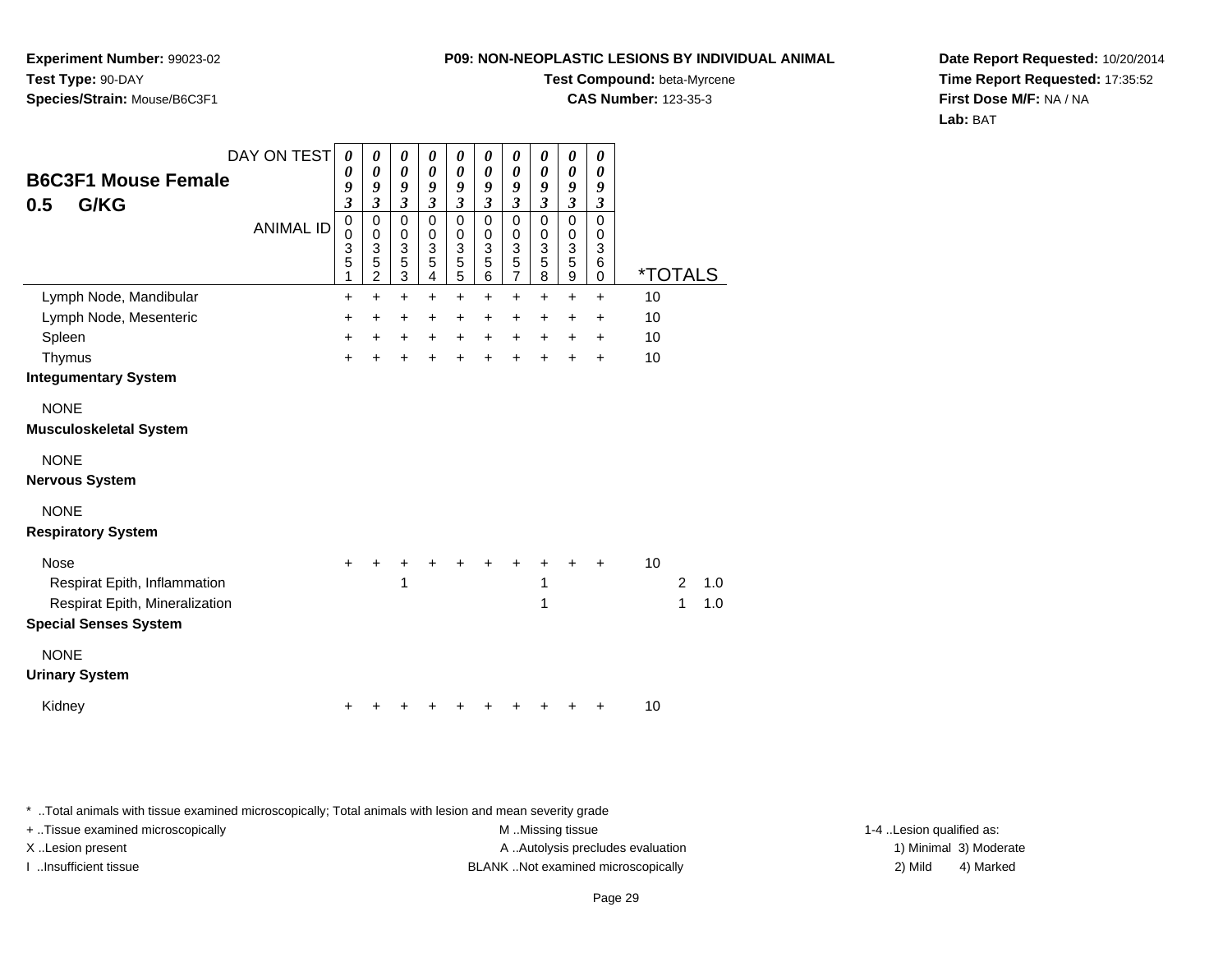**Experiment Number:** 99023-02**Test Type:** 90-DAY**Species/Strain:** Mouse/B6C3F1

#### **Test Compound:** beta-Myrcene

**CAS Number:** 123-35-3

**Date Report Requested:** 10/20/2014**Time Report Requested:** 17:35:52**First Dose M/F:** NA / NA**Lab:** BAT

| <b>B6C3F1 Mouse Female</b><br>G/KG<br>0.5                                                                     | DAY ON TEST<br><b>ANIMAL ID</b> | $\boldsymbol{\theta}$<br>$\boldsymbol{\theta}$<br>9<br>$\overline{\mathbf{3}}$<br>$\mathbf 0$<br>$\mathbf 0$<br>3<br>5<br>1 | 0<br>$\boldsymbol{\theta}$<br>9<br>$\mathfrak{z}$<br>$\pmb{0}$<br>$\mathbf 0$<br>$\mathbf{3}$<br>$\overline{5}$<br>$\overline{2}$ | 0<br>$\boldsymbol{\theta}$<br>9<br>$\mathfrak{z}$<br>$\mathbf 0$<br>$\pmb{0}$<br>$\begin{array}{c} 3 \\ 5 \\ 3 \end{array}$ | 0<br>$\boldsymbol{\theta}$<br>$\boldsymbol{g}$<br>$\mathfrak{z}$<br>$\mathbf 0$<br>$\pmb{0}$<br>$\mathbf{3}$<br>5<br>$\overline{4}$ | $\pmb{\theta}$<br>$\boldsymbol{\theta}$<br>9<br>$\mathfrak{z}$<br>0<br>$\pmb{0}$<br>$\ensuremath{\mathsf{3}}$<br>$\mathbf 5$<br>$\overline{5}$ | 0<br>0<br>9<br>$\mathfrak{z}$<br>$\mathbf 0$<br>$\pmb{0}$<br>$\ensuremath{\mathsf{3}}$<br>5<br>$6\phantom{a}$ | $\pmb{\theta}$<br>$\pmb{\theta}$<br>9<br>$\boldsymbol{\mathfrak{z}}$<br>$\mathbf 0$<br>$\mathsf 0$<br>$\begin{array}{c} 3 \\ 5 \\ 7 \end{array}$ | 0<br>0<br>9<br>$\mathfrak{z}$<br>0<br>0<br>3<br>5<br>8 | 0<br>0<br>9<br>$\mathfrak{z}$<br>0<br>0<br>$\ensuremath{\mathsf{3}}$<br>5<br>9 | 0<br>0<br>9<br>$\boldsymbol{\beta}$<br>$\mathbf 0$<br>$\mathbf 0$<br>3<br>6<br>0 | <i><b>*TOTALS</b></i> |                     |            |
|---------------------------------------------------------------------------------------------------------------|---------------------------------|-----------------------------------------------------------------------------------------------------------------------------|-----------------------------------------------------------------------------------------------------------------------------------|-----------------------------------------------------------------------------------------------------------------------------|-------------------------------------------------------------------------------------------------------------------------------------|------------------------------------------------------------------------------------------------------------------------------------------------|---------------------------------------------------------------------------------------------------------------|--------------------------------------------------------------------------------------------------------------------------------------------------|--------------------------------------------------------|--------------------------------------------------------------------------------|----------------------------------------------------------------------------------|-----------------------|---------------------|------------|
| Lymph Node, Mandibular                                                                                        |                                 | $\ddot{}$                                                                                                                   | $\ddot{}$                                                                                                                         | $\ddot{}$                                                                                                                   | $\ddot{}$                                                                                                                           | $\ddot{}$                                                                                                                                      | $\ddot{}$                                                                                                     | $\ddot{}$                                                                                                                                        | $\ddot{}$                                              | $\ddot{}$                                                                      | $\ddot{}$                                                                        | 10                    |                     |            |
| Lymph Node, Mesenteric                                                                                        |                                 | +                                                                                                                           | $\ddot{}$                                                                                                                         | $\ddot{}$                                                                                                                   | $\ddot{}$                                                                                                                           | $\ddot{}$                                                                                                                                      | $\ddot{}$                                                                                                     | $\ddot{}$                                                                                                                                        | $+$                                                    | +                                                                              | $\ddot{}$                                                                        | 10                    |                     |            |
| Spleen                                                                                                        |                                 | $\ddot{}$                                                                                                                   | $\ddot{}$                                                                                                                         | $\ddot{}$                                                                                                                   | $\ddot{}$                                                                                                                           | $\ddot{}$                                                                                                                                      | $\ddot{}$                                                                                                     | $+$                                                                                                                                              | $+$                                                    | $\ddot{}$                                                                      | $\ddot{}$                                                                        | 10                    |                     |            |
| Thymus                                                                                                        |                                 | $\ddot{}$                                                                                                                   |                                                                                                                                   | $\ddot{}$                                                                                                                   | ÷                                                                                                                                   | $\ddot{}$                                                                                                                                      | $\ddot{}$                                                                                                     | $+$                                                                                                                                              | $\ddot{}$                                              | $\ddot{}$                                                                      | $\ddot{}$                                                                        | 10                    |                     |            |
| <b>Integumentary System</b>                                                                                   |                                 |                                                                                                                             |                                                                                                                                   |                                                                                                                             |                                                                                                                                     |                                                                                                                                                |                                                                                                               |                                                                                                                                                  |                                                        |                                                                                |                                                                                  |                       |                     |            |
| <b>NONE</b><br><b>Musculoskeletal System</b>                                                                  |                                 |                                                                                                                             |                                                                                                                                   |                                                                                                                             |                                                                                                                                     |                                                                                                                                                |                                                                                                               |                                                                                                                                                  |                                                        |                                                                                |                                                                                  |                       |                     |            |
| <b>NONE</b><br><b>Nervous System</b>                                                                          |                                 |                                                                                                                             |                                                                                                                                   |                                                                                                                             |                                                                                                                                     |                                                                                                                                                |                                                                                                               |                                                                                                                                                  |                                                        |                                                                                |                                                                                  |                       |                     |            |
| <b>NONE</b><br><b>Respiratory System</b>                                                                      |                                 |                                                                                                                             |                                                                                                                                   |                                                                                                                             |                                                                                                                                     |                                                                                                                                                |                                                                                                               |                                                                                                                                                  |                                                        |                                                                                |                                                                                  |                       |                     |            |
| <b>Nose</b><br>Respirat Epith, Inflammation<br>Respirat Epith, Mineralization<br><b>Special Senses System</b> |                                 | +                                                                                                                           |                                                                                                                                   | 1                                                                                                                           |                                                                                                                                     |                                                                                                                                                |                                                                                                               |                                                                                                                                                  | 1<br>1                                                 |                                                                                |                                                                                  | 10                    | $\overline{2}$<br>1 | 1.0<br>1.0 |
| <b>NONE</b><br><b>Urinary System</b>                                                                          |                                 |                                                                                                                             |                                                                                                                                   |                                                                                                                             |                                                                                                                                     |                                                                                                                                                |                                                                                                               |                                                                                                                                                  |                                                        |                                                                                |                                                                                  |                       |                     |            |
| Kidney                                                                                                        |                                 |                                                                                                                             |                                                                                                                                   |                                                                                                                             |                                                                                                                                     |                                                                                                                                                |                                                                                                               |                                                                                                                                                  |                                                        |                                                                                |                                                                                  | 10                    |                     |            |

\* ..Total animals with tissue examined microscopically; Total animals with lesion and mean severity grade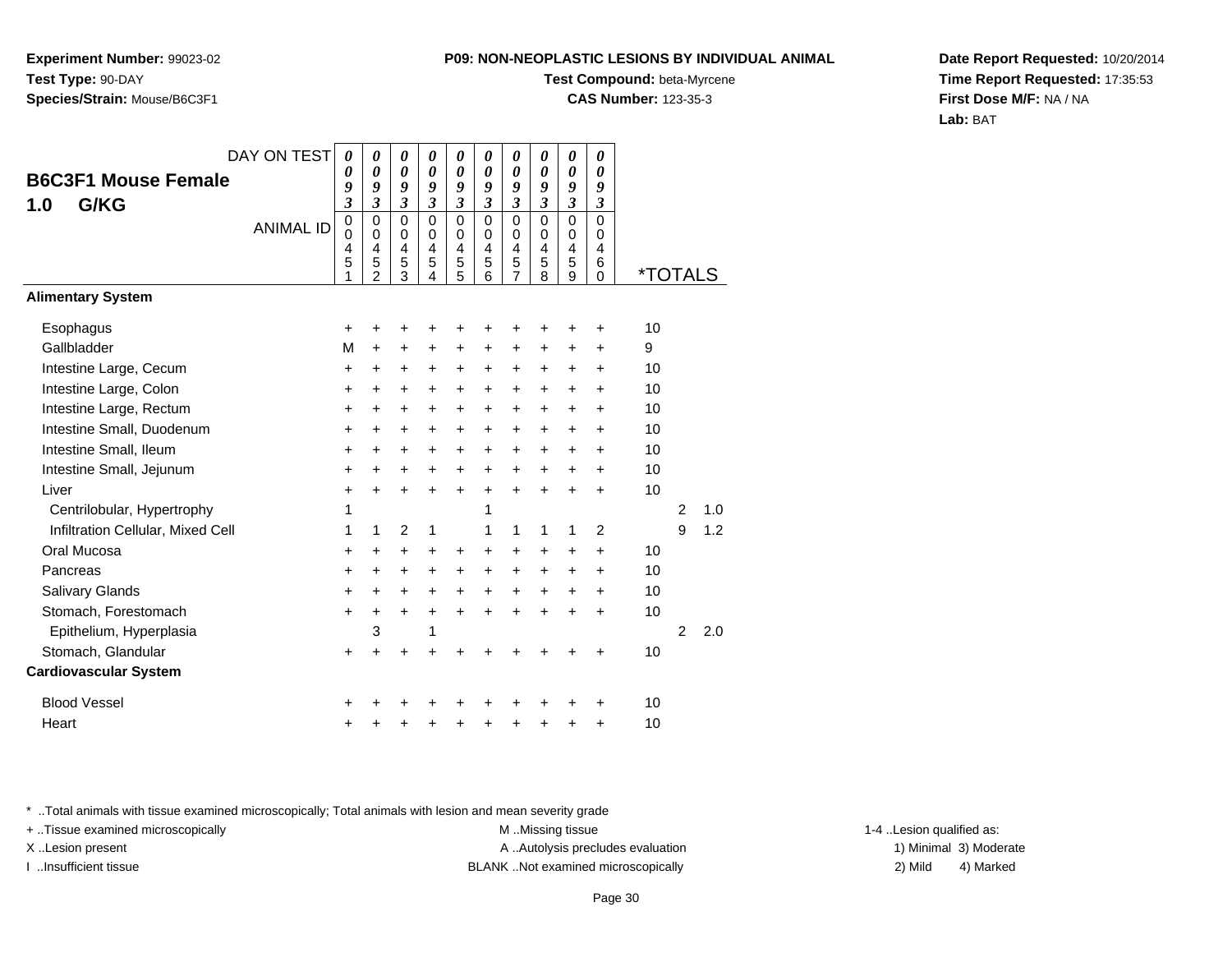**Experiment Number:** 99023-02**Test Type:** 90-DAY**Species/Strain:** Mouse/B6C3F1

#### **Test Compound:** beta-Myrcene

**CAS Number:** 123-35-3

**Date Report Requested:** 10/20/2014**Time Report Requested:** 17:35:53**First Dose M/F:** NA / NA**Lab:** BAT

| DAY ON TEST                       | 0                             | 0                                            | 0                       | 0                                         | 0                                            | 0                               | 0                               | $\boldsymbol{\theta}$                        | 0                                            | 0                                   |                       |   |     |
|-----------------------------------|-------------------------------|----------------------------------------------|-------------------------|-------------------------------------------|----------------------------------------------|---------------------------------|---------------------------------|----------------------------------------------|----------------------------------------------|-------------------------------------|-----------------------|---|-----|
| <b>B6C3F1 Mouse Female</b>        | 0<br>9                        | 0<br>9                                       | 0<br>9                  | $\boldsymbol{\theta}$<br>$\boldsymbol{g}$ | 0<br>9                                       | $\boldsymbol{\theta}$<br>9      | 0<br>9                          | 0<br>9                                       | 0<br>9                                       | $\boldsymbol{\theta}$<br>9          |                       |   |     |
| G/KG<br>1.0                       | $\overline{\mathbf{3}}$       | $\overline{\mathbf{3}}$                      | $\overline{\mathbf{3}}$ | 3                                         | $\overline{\mathbf{3}}$                      | $\mathfrak{z}$                  | $\overline{\mathbf{3}}$         | $\mathfrak{z}$                               | $\mathfrak{z}$                               | $\overline{\mathbf{3}}$             |                       |   |     |
| <b>ANIMAL ID</b>                  | $\pmb{0}$<br>0<br>4<br>5<br>1 | 0<br>$\mathbf 0$<br>4<br>5<br>$\overline{2}$ | 0<br>0<br>4<br>5<br>3   | $\Omega$<br>0<br>4<br>5<br>4              | $\mathbf 0$<br>0<br>$\overline{4}$<br>5<br>5 | $\mathbf 0$<br>0<br>4<br>5<br>6 | $\mathbf 0$<br>0<br>4<br>5<br>7 | $\mathbf 0$<br>0<br>$\overline{4}$<br>5<br>8 | $\mathbf 0$<br>0<br>$\overline{4}$<br>5<br>9 | $\Omega$<br>0<br>4<br>6<br>$\Omega$ | <i><b>*TOTALS</b></i> |   |     |
| <b>Alimentary System</b>          |                               |                                              |                         |                                           |                                              |                                 |                                 |                                              |                                              |                                     |                       |   |     |
| Esophagus                         | ٠                             | ٠                                            | +                       |                                           |                                              | ٠                               | +                               | ٠                                            | ٠                                            | +                                   | 10                    |   |     |
| Gallbladder                       | M                             | $\ddot{}$                                    | +                       | +                                         | +                                            | +                               | +                               | +                                            | +                                            | +                                   | 9                     |   |     |
| Intestine Large, Cecum            | +                             | +                                            | +                       | +                                         | $\ddot{}$                                    | $\ddot{}$                       | $\ddot{}$                       | $\ddot{}$                                    | $\ddot{}$                                    | +                                   | 10                    |   |     |
| Intestine Large, Colon            | $\ddot{}$                     | $\ddot{}$                                    | +                       | $\ddot{}$                                 | $\ddot{}$                                    | $\ddot{}$                       | +                               | $\ddot{}$                                    | +                                            | $\ddot{}$                           | 10                    |   |     |
| Intestine Large, Rectum           | +                             | +                                            | +                       | +                                         | +                                            | +                               | +                               | +                                            | +                                            | +                                   | 10                    |   |     |
| Intestine Small, Duodenum         | $\ddot{}$                     | $\ddot{}$                                    | +                       | $\ddot{}$                                 | $\ddot{}$                                    | $\ddot{}$                       | $\ddot{}$                       | $\ddot{}$                                    | $\ddot{}$                                    | $\ddot{}$                           | 10                    |   |     |
| Intestine Small, Ileum            | $\pm$                         | $\ddot{}$                                    | $\ddot{}$               | $\ddot{}$                                 | $\ddot{}$                                    | $\ddot{}$                       | +                               | $\ddot{}$                                    | $\pm$                                        | $\ddot{}$                           | 10                    |   |     |
| Intestine Small, Jejunum          | +                             | $\ddot{}$                                    | $\ddot{}$               | $\ddot{}$                                 | +                                            | +                               | $\ddot{}$                       | $\ddot{}$                                    | $\ddot{}$                                    | $\ddot{}$                           | 10                    |   |     |
| Liver                             | $\ddot{}$                     | $\ddot{}$                                    | $\ddot{}$               | $\ddot{}$                                 | $\ddot{}$                                    | $\ddot{}$                       | $\ddot{}$                       | $\ddot{}$                                    | $\ddot{}$                                    | $\ddot{}$                           | 10                    |   |     |
| Centrilobular, Hypertrophy        | 1                             |                                              |                         |                                           |                                              | 1                               |                                 |                                              |                                              |                                     |                       | 2 | 1.0 |
| Infiltration Cellular, Mixed Cell | 1                             | 1                                            | 2                       | 1                                         |                                              | 1                               | 1                               | 1                                            | 1                                            | $\overline{c}$                      |                       | 9 | 1.2 |
| Oral Mucosa                       | $\pm$                         | +                                            | +                       | $\ddot{}$                                 | ÷                                            | $\ddot{}$                       | +                               | +                                            | +                                            | $\ddot{}$                           | 10                    |   |     |
| Pancreas                          | $\pm$                         | $\pm$                                        | +                       | $\ddot{}$                                 | +                                            | +                               | +                               | +                                            | $\ddot{}$                                    | $\ddot{}$                           | 10                    |   |     |
| Salivary Glands                   | $\ddot{}$                     | $\ddot{}$                                    | $\ddot{}$               | $\ddot{}$                                 | $\ddot{}$                                    | $\ddot{}$                       | $\ddot{}$                       | $\ddot{}$                                    | $\ddot{}$                                    | $\ddot{}$                           | 10                    |   |     |
| Stomach, Forestomach              | $\ddot{}$                     | $\ddot{}$                                    | $\ddot{}$               | $\ddot{}$                                 | $\ddot{}$                                    | $\ddot{}$                       | $\ddot{}$                       | $\ddot{}$                                    | $\ddot{}$                                    | $\ddot{}$                           | 10                    |   |     |
| Epithelium, Hyperplasia           |                               | 3                                            |                         | 1                                         |                                              |                                 |                                 |                                              |                                              |                                     |                       | 2 | 2.0 |
| Stomach, Glandular                | +                             | $\ddot{}$                                    | +                       |                                           |                                              |                                 |                                 |                                              |                                              | +                                   | 10                    |   |     |
| <b>Cardiovascular System</b>      |                               |                                              |                         |                                           |                                              |                                 |                                 |                                              |                                              |                                     |                       |   |     |
| <b>Blood Vessel</b>               | +                             |                                              |                         |                                           |                                              |                                 |                                 |                                              |                                              | +                                   | 10                    |   |     |
| Heart                             | +                             |                                              | +                       |                                           |                                              | +                               | +                               | +                                            | +                                            | +                                   | 10                    |   |     |

\* ..Total animals with tissue examined microscopically; Total animals with lesion and mean severity grade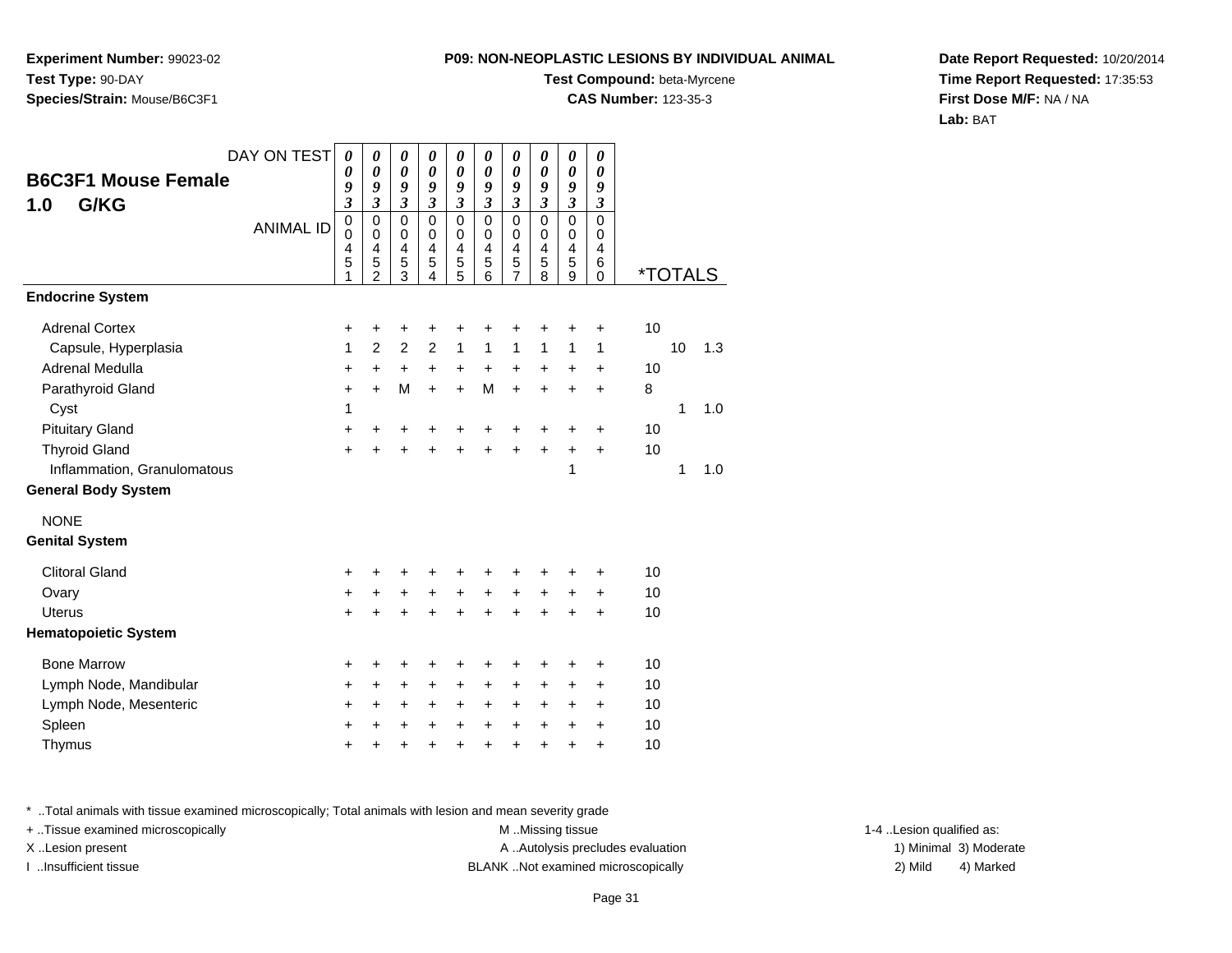**Experiment Number:** 99023-02**Test Type:** 90-DAY**Species/Strain:** Mouse/B6C3F1

# **Test Compound:** beta-Myrcene

**CAS Number:** 123-35-3

**Date Report Requested:** 10/20/2014**Time Report Requested:** 17:35:53**First Dose M/F:** NA / NA**Lab:** BAT

| <b>B6C3F1 Mouse Female</b><br>G/KG<br>1.0 | DAY ON TEST      | 0<br>0<br>9<br>$\mathfrak{z}$           | 0<br>$\boldsymbol{\theta}$<br>9<br>$\overline{\mathbf{3}}$ | 0<br>$\boldsymbol{\theta}$<br>9<br>$\mathfrak{z}$ | 0<br>0<br>9<br>$\overline{\mathbf{3}}$                | 0<br>$\boldsymbol{\theta}$<br>9<br>$\mathfrak{z}$ | 0<br>$\boldsymbol{\theta}$<br>9<br>$\overline{\mathbf{3}}$ | 0<br>$\boldsymbol{\theta}$<br>9<br>$\mathfrak{z}$      | $\boldsymbol{\theta}$<br>$\boldsymbol{\theta}$<br>9<br>$\overline{\mathbf{3}}$ | $\boldsymbol{\theta}$<br>$\boldsymbol{\theta}$<br>9<br>$\overline{\mathbf{3}}$ | $\boldsymbol{\theta}$<br>0<br>9<br>$\mathfrak{z}$ |                       |    |     |
|-------------------------------------------|------------------|-----------------------------------------|------------------------------------------------------------|---------------------------------------------------|-------------------------------------------------------|---------------------------------------------------|------------------------------------------------------------|--------------------------------------------------------|--------------------------------------------------------------------------------|--------------------------------------------------------------------------------|---------------------------------------------------|-----------------------|----|-----|
|                                           | <b>ANIMAL ID</b> | $\pmb{0}$<br>$\mathbf 0$<br>4<br>5<br>1 | $\pmb{0}$<br>$\pmb{0}$<br>4<br>$\frac{5}{2}$               | $\mathbf 0$<br>0<br>4<br>5<br>$\overline{3}$      | $\mathbf 0$<br>0<br>4<br>5<br>$\overline{\mathbf{4}}$ | $\mathbf 0$<br>$\mathbf 0$<br>4<br>$\frac{5}{5}$  | $\mathbf 0$<br>0<br>4<br>5<br>6                            | $\mathbf 0$<br>$\mathbf 0$<br>4<br>5<br>$\overline{7}$ | $\mathbf 0$<br>$\mathbf 0$<br>4<br>5<br>8                                      | $\mathsf 0$<br>0<br>4<br>5<br>$\overline{9}$                                   | $\Omega$<br>$\Omega$<br>4<br>6<br>$\Omega$        | <i><b>*TOTALS</b></i> |    |     |
| <b>Endocrine System</b>                   |                  |                                         |                                                            |                                                   |                                                       |                                                   |                                                            |                                                        |                                                                                |                                                                                |                                                   |                       |    |     |
| <b>Adrenal Cortex</b>                     |                  | +                                       | +                                                          | +                                                 | +                                                     | +                                                 | +                                                          | +                                                      | +                                                                              | +                                                                              | +                                                 | 10                    |    |     |
| Capsule, Hyperplasia                      |                  | 1                                       | $\overline{2}$                                             | $\overline{2}$                                    | $\overline{2}$                                        | $\mathbf{1}$                                      | $\mathbf{1}$                                               | $\mathbf{1}$                                           | $\mathbf{1}$                                                                   | 1                                                                              | 1                                                 |                       | 10 | 1.3 |
| Adrenal Medulla                           |                  | +                                       | $\ddot{}$                                                  | $\ddot{}$                                         | $\ddot{}$                                             | $\ddot{}$                                         | $\ddot{}$                                                  | $\ddot{}$                                              | $\ddot{}$                                                                      | $\ddot{}$                                                                      | $\ddot{}$                                         | 10                    |    |     |
| Parathyroid Gland                         |                  | $\ddot{}$                               | $+$                                                        | M                                                 | $\ddot{}$                                             | $+$                                               | M                                                          | $\ddot{}$                                              | $\ddot{}$                                                                      | $\ddot{}$                                                                      | $\ddot{}$                                         | 8                     |    |     |
| Cyst                                      |                  | 1                                       |                                                            |                                                   |                                                       |                                                   |                                                            |                                                        |                                                                                |                                                                                |                                                   |                       | 1  | 1.0 |
| <b>Pituitary Gland</b>                    |                  | +                                       | +                                                          | +                                                 | +                                                     | +                                                 | +                                                          | +                                                      | +                                                                              | +                                                                              | +                                                 | 10                    |    |     |
| <b>Thyroid Gland</b>                      |                  | $\ddot{}$                               | $\ddot{}$                                                  | $\ddot{}$                                         | $\ddot{}$                                             | $\ddot{}$                                         | $\ddot{}$                                                  | $\ddot{}$                                              | $\ddot{}$                                                                      | $\ddot{}$                                                                      | $\ddot{}$                                         | 10                    |    |     |
| Inflammation, Granulomatous               |                  |                                         |                                                            |                                                   |                                                       |                                                   |                                                            |                                                        |                                                                                | 1                                                                              |                                                   |                       | 1  | 1.0 |
| <b>General Body System</b>                |                  |                                         |                                                            |                                                   |                                                       |                                                   |                                                            |                                                        |                                                                                |                                                                                |                                                   |                       |    |     |
| <b>NONE</b>                               |                  |                                         |                                                            |                                                   |                                                       |                                                   |                                                            |                                                        |                                                                                |                                                                                |                                                   |                       |    |     |
| <b>Genital System</b>                     |                  |                                         |                                                            |                                                   |                                                       |                                                   |                                                            |                                                        |                                                                                |                                                                                |                                                   |                       |    |     |
| <b>Clitoral Gland</b>                     |                  | +                                       | +                                                          | +                                                 | ٠                                                     | +                                                 | +                                                          | +                                                      | ٠                                                                              | +                                                                              | ٠                                                 | 10                    |    |     |
| Ovary                                     |                  | +                                       | $+$                                                        | $\ddot{}$                                         | $\ddot{}$                                             | $\ddot{}$                                         | $\ddot{}$                                                  | $\ddot{}$                                              | $\ddot{}$                                                                      | $\ddot{}$                                                                      | $\ddot{}$                                         | 10                    |    |     |
| <b>Uterus</b>                             |                  | +                                       | +                                                          | +                                                 | +                                                     | +                                                 | +                                                          | +                                                      | +                                                                              | +                                                                              | $\ddot{}$                                         | 10                    |    |     |
| <b>Hematopoietic System</b>               |                  |                                         |                                                            |                                                   |                                                       |                                                   |                                                            |                                                        |                                                                                |                                                                                |                                                   |                       |    |     |
| <b>Bone Marrow</b>                        |                  | +                                       | +                                                          | +                                                 | +                                                     | +                                                 | +                                                          | +                                                      | +                                                                              | +                                                                              | +                                                 | 10                    |    |     |
| Lymph Node, Mandibular                    |                  | $\ddot{}$                               | $+$                                                        | $\ddot{}$                                         | $\ddot{}$                                             | $\ddot{}$                                         | +                                                          | $\ddot{}$                                              | $\ddot{}$                                                                      | $\ddot{}$                                                                      | $\ddot{}$                                         | 10                    |    |     |
| Lymph Node, Mesenteric                    |                  | +                                       | $\ddot{}$                                                  | $\ddot{}$                                         | $\ddot{}$                                             | +                                                 | +                                                          | $\ddot{}$                                              | $\ddot{}$                                                                      | +                                                                              | $\ddot{}$                                         | 10                    |    |     |
| Spleen                                    |                  | +                                       | $\ddot{}$                                                  | +                                                 | $\ddot{}$                                             | $\ddot{}$                                         | $\ddot{}$                                                  | $\ddot{}$                                              | $\ddot{}$                                                                      | $\ddot{}$                                                                      | $\ddot{}$                                         | 10                    |    |     |
| Thymus                                    |                  | $\ddot{}$                               | +                                                          | +                                                 | $\ddot{}$                                             | $\ddot{}$                                         | $\ddot{}$                                                  | $\ddot{}$                                              | $\ddot{}$                                                                      | $\ddot{}$                                                                      | $\ddot{}$                                         | 10                    |    |     |

\* ..Total animals with tissue examined microscopically; Total animals with lesion and mean severity grade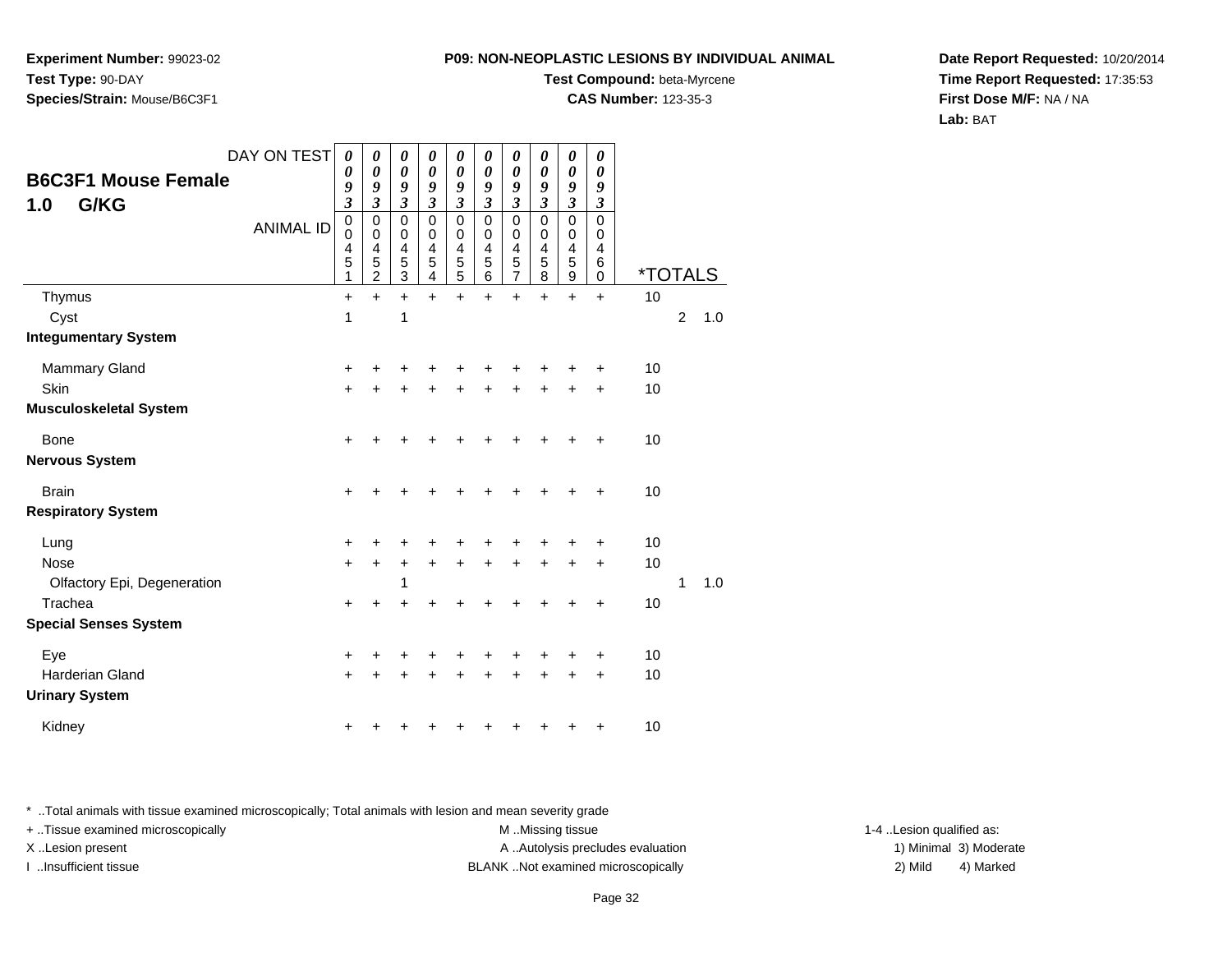**Experiment Number:** 99023-02**Test Type:** 90-DAY**Species/Strain:** Mouse/B6C3F1

#### **Test Compound:** beta-Myrcene

**CAS Number:** 123-35-3

**Date Report Requested:** 10/20/2014**Time Report Requested:** 17:35:53**First Dose M/F:** NA / NA**Lab:** BAT

| DAY ON TEST<br><b>B6C3F1 Mouse Female</b><br>G/KG<br>1.0 |                  | 0<br>0<br>9<br>$\boldsymbol{\beta}$ | 0<br>0<br>9<br>$\mathfrak{z}$        | 0<br>0<br>9<br>3      | 0<br>0<br>9<br>$\boldsymbol{\beta}$          | 0<br>0<br>9<br>3      | 0<br>0<br>9<br>$\boldsymbol{\beta}$ | 0<br>0<br>9<br>3                | 0<br>0<br>9<br>3                  | 0<br>0<br>9<br>3      | 0<br>0<br>9<br>3      |                       |                |     |  |
|----------------------------------------------------------|------------------|-------------------------------------|--------------------------------------|-----------------------|----------------------------------------------|-----------------------|-------------------------------------|---------------------------------|-----------------------------------|-----------------------|-----------------------|-----------------------|----------------|-----|--|
|                                                          | <b>ANIMAL ID</b> | 0<br>0<br>4<br>5<br>1               | 0<br>0<br>4<br>5<br>$\boldsymbol{2}$ | 0<br>0<br>4<br>5<br>3 | 0<br>0<br>$\overline{\mathcal{L}}$<br>5<br>4 | 0<br>0<br>4<br>5<br>5 | 0<br>0<br>4<br>5<br>6               | $\mathbf 0$<br>0<br>4<br>5<br>7 | 0<br>0<br>$\frac{4}{5}$<br>$\bf8$ | 0<br>0<br>4<br>5<br>9 | 0<br>0<br>4<br>6<br>0 | <i><b>*TOTALS</b></i> |                |     |  |
| Thymus                                                   |                  | +                                   | $\ddot{}$                            | $\ddot{}$             | $\ddot{}$                                    | $\ddot{}$             | $\ddot{}$                           | $\ddot{}$                       | +                                 | +                     | $\ddot{}$             | 10                    |                |     |  |
| Cyst                                                     |                  | 1                                   |                                      | 1                     |                                              |                       |                                     |                                 |                                   |                       |                       |                       | $\overline{c}$ | 1.0 |  |
| <b>Integumentary System</b>                              |                  |                                     |                                      |                       |                                              |                       |                                     |                                 |                                   |                       |                       |                       |                |     |  |
| <b>Mammary Gland</b>                                     |                  | $\ddot{}$                           | +                                    | +                     | +                                            |                       | +                                   | ٠                               | ٠                                 | +                     | +                     | 10                    |                |     |  |
| Skin                                                     |                  | $\ddot{}$                           | $\ddot{}$                            | $\ddot{}$             |                                              |                       | ÷                                   | ÷                               | $\ddot{}$                         | $\ddot{}$             | $\ddot{}$             | 10                    |                |     |  |
| <b>Musculoskeletal System</b>                            |                  |                                     |                                      |                       |                                              |                       |                                     |                                 |                                   |                       |                       |                       |                |     |  |
| Bone                                                     |                  | +                                   | +                                    | +                     | +                                            |                       | +                                   | ٠                               | +                                 | ÷                     | ÷                     | 10                    |                |     |  |
| <b>Nervous System</b>                                    |                  |                                     |                                      |                       |                                              |                       |                                     |                                 |                                   |                       |                       |                       |                |     |  |
| <b>Brain</b>                                             |                  | $\ddot{}$                           | +                                    | +                     |                                              |                       | +                                   | ÷                               |                                   | +                     | +                     | 10                    |                |     |  |
| <b>Respiratory System</b>                                |                  |                                     |                                      |                       |                                              |                       |                                     |                                 |                                   |                       |                       |                       |                |     |  |
| Lung                                                     |                  | $\ddot{}$                           | ÷                                    | +                     | +                                            |                       | +                                   | ٠                               | ٠                                 | +                     | ٠                     | 10                    |                |     |  |
| <b>Nose</b>                                              |                  | $\ddot{}$                           | $\ddot{}$                            | +                     | $\ddot{}$                                    | $\ddot{}$             | $\ddot{}$                           | $+$                             | $+$                               | $\ddot{}$             | $\ddot{}$             | 10                    |                |     |  |
| Olfactory Epi, Degeneration                              |                  |                                     |                                      |                       |                                              |                       |                                     |                                 |                                   |                       |                       |                       | 1              | 1.0 |  |
| Trachea                                                  |                  | $\ddot{}$                           | +                                    |                       |                                              |                       |                                     |                                 |                                   |                       | +                     | 10                    |                |     |  |
| <b>Special Senses System</b>                             |                  |                                     |                                      |                       |                                              |                       |                                     |                                 |                                   |                       |                       |                       |                |     |  |
| Eye                                                      |                  | $\ddot{}$                           | +                                    | +                     | +                                            |                       | +                                   | +                               | +                                 | +                     | +                     | 10                    |                |     |  |
| Harderian Gland                                          |                  | $\ddot{}$                           | +                                    | +                     |                                              |                       | +                                   | +                               | +                                 | +                     | $\ddot{}$             | 10                    |                |     |  |
| <b>Urinary System</b>                                    |                  |                                     |                                      |                       |                                              |                       |                                     |                                 |                                   |                       |                       |                       |                |     |  |
| Kidney                                                   |                  | +                                   |                                      |                       |                                              |                       | +                                   | +                               | +                                 | +                     | +                     | 10                    |                |     |  |

\* ..Total animals with tissue examined microscopically; Total animals with lesion and mean severity grade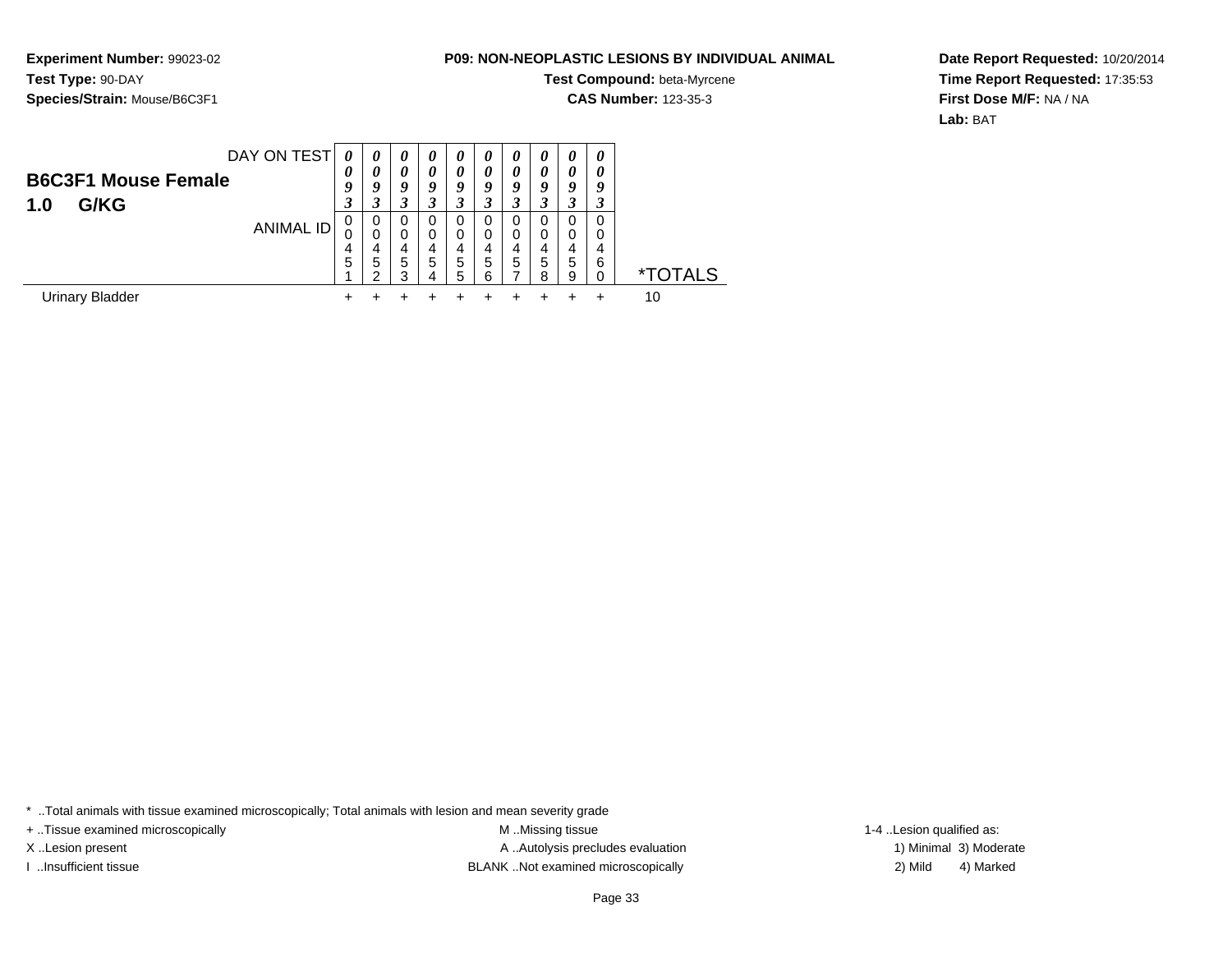**Experiment Number:** 99023-02**Test Type:** 90-DAY**Species/Strain:** Mouse/B6C3F1

### **Test Compound:** beta-Myrcene

**CAS Number:** 123-35-3

**Date Report Requested:** 10/20/2014**Time Report Requested:** 17:35:53**First Dose M/F:** NA / NA**Lab:** BAT

| DAY ON TEST<br><b>B6C3F1 Mouse Female</b><br>G/KG<br>1.0 | $\theta$<br>$\boldsymbol{\theta}$<br>9 | $\boldsymbol{\theta}$<br>0<br>9 | $\boldsymbol{\theta}$<br>$\theta$<br>9<br>3 | $\boldsymbol{\theta}$<br>0<br>Q | $\theta$<br>$\theta$<br>9<br>3 | 0<br>0<br>Q             | 0<br>0<br>9<br>-<br>$\cdot$ | 0<br>0<br>o      | 0<br>0<br>9<br>3      | 0<br>0<br>Y      |                     |
|----------------------------------------------------------|----------------------------------------|---------------------------------|---------------------------------------------|---------------------------------|--------------------------------|-------------------------|-----------------------------|------------------|-----------------------|------------------|---------------------|
| ANIMAL ID                                                | 0<br>4<br>5                            | 0<br>0<br>4<br>5<br>◠           | 0<br>0<br>4<br>5<br>2                       | 0<br>0<br>4<br>5                | 0<br>$\Omega$<br>4<br>5<br>5   | 0<br>0<br>4<br>5<br>ี่ค | 0<br>0<br>4<br>5<br>–       | 0<br>0<br>5<br>8 | 0<br>0<br>4<br>5<br>9 | 0<br>0<br>4<br>6 | <b>FOTALS</b><br>×. |
| Urinary Bladder                                          |                                        |                                 |                                             |                                 |                                |                         |                             |                  |                       |                  | 10                  |

\* ..Total animals with tissue examined microscopically; Total animals with lesion and mean severity grade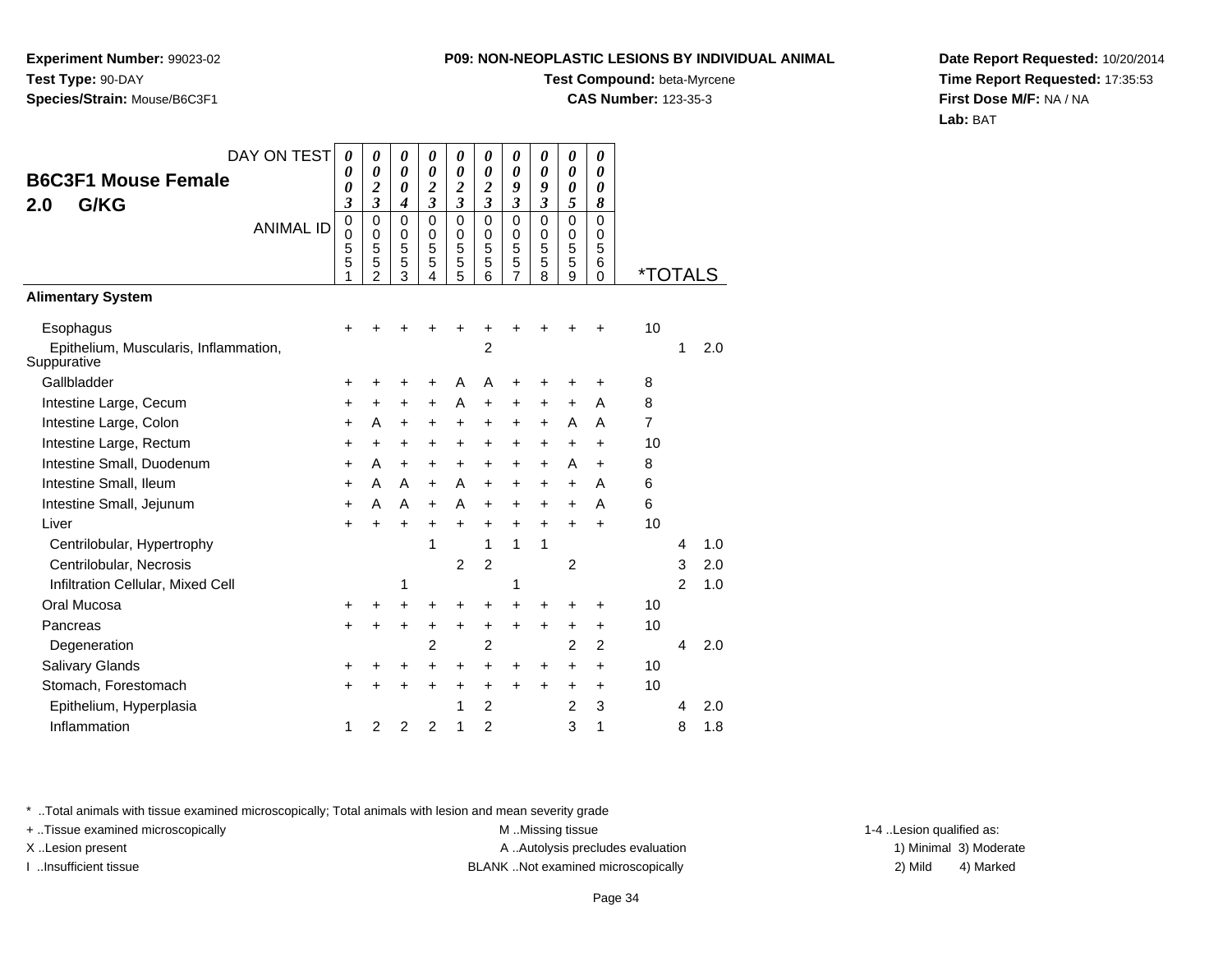**Experiment Number:** 99023-02**Test Type:** 90-DAY**Species/Strain:** Mouse/B6C3F1

#### **Test Compound:** beta-Myrcene

**CAS Number:** 123-35-3

**Date Report Requested:** 10/20/2014**Time Report Requested:** 17:35:53**First Dose M/F:** NA / NA**Lab:** BAT

| DAY ON TEST                                          | 0                               | 0                               | 0                               | 0                               | 0                            | 0                               | 0                     | 0                               | 0                               | 0                                   |                       |                |     |
|------------------------------------------------------|---------------------------------|---------------------------------|---------------------------------|---------------------------------|------------------------------|---------------------------------|-----------------------|---------------------------------|---------------------------------|-------------------------------------|-----------------------|----------------|-----|
| <b>B6C3F1 Mouse Female</b>                           | 0<br>0                          | 0<br>$\boldsymbol{2}$           | 0<br>0                          | 0<br>$\overline{2}$             | 0<br>$\boldsymbol{2}$        | 0<br>$\boldsymbol{2}$           | 0<br>9                | 0<br>9                          | 0<br>0                          | 0<br>0                              |                       |                |     |
| G/KG<br>2.0                                          | 3                               | 3                               | 4                               | 3                               | 3                            | 3                               | 3                     | $\mathfrak{z}$                  | 5                               | 8                                   |                       |                |     |
| <b>ANIMAL ID</b>                                     | $\mathbf 0$<br>0<br>5<br>5<br>1 | $\mathbf 0$<br>0<br>5<br>5<br>2 | $\mathbf 0$<br>0<br>5<br>5<br>3 | $\mathbf 0$<br>0<br>5<br>5<br>4 | $\Omega$<br>0<br>5<br>5<br>5 | $\mathbf 0$<br>0<br>5<br>5<br>6 | 0<br>0<br>5<br>5<br>7 | $\mathbf 0$<br>0<br>5<br>5<br>8 | $\mathbf 0$<br>0<br>5<br>5<br>9 | $\Omega$<br>0<br>5<br>6<br>$\Omega$ | <i><b>*TOTALS</b></i> |                |     |
| <b>Alimentary System</b>                             |                                 |                                 |                                 |                                 |                              |                                 |                       |                                 |                                 |                                     |                       |                |     |
| Esophagus                                            |                                 |                                 |                                 |                                 |                              | +                               |                       |                                 |                                 | +                                   | 10                    |                |     |
| Epithelium, Muscularis, Inflammation,<br>Suppurative |                                 |                                 |                                 |                                 |                              | $\overline{2}$                  |                       |                                 |                                 |                                     |                       | 1              | 2.0 |
| Gallbladder                                          | +                               |                                 |                                 | +                               | A                            | A                               | +                     | +                               |                                 | +                                   | 8                     |                |     |
| Intestine Large, Cecum                               | +                               | +                               | +                               | $\ddot{}$                       | A                            | +                               | $\ddot{}$             | +                               | $\ddot{}$                       | A                                   | 8                     |                |     |
| Intestine Large, Colon                               | +                               | A                               | +                               | +                               | +                            | +                               | $\ddot{}$             | $\ddot{}$                       | A                               | A                                   | $\overline{7}$        |                |     |
| Intestine Large, Rectum                              | $\ddot{}$                       | $\ddot{}$                       | +                               | $\ddot{}$                       | $\ddot{}$                    | $\ddot{}$                       | +                     | $\ddot{}$                       | +                               | $\ddot{}$                           | 10                    |                |     |
| Intestine Small, Duodenum                            | +                               | A                               | $\ddot{}$                       | $\ddot{}$                       | $\ddot{}$                    | $\ddot{}$                       | $\ddot{}$             | $\ddot{}$                       | A                               | $\ddot{}$                           | 8                     |                |     |
| Intestine Small, Ileum                               | $\ddot{}$                       | A                               | A                               | $\ddot{}$                       | A                            | $\ddot{}$                       | $\ddot{}$             | $\ddot{}$                       | $\ddot{}$                       | A                                   | 6                     |                |     |
| Intestine Small, Jejunum                             | $\ddot{}$                       | A                               | A                               | $\ddot{}$                       | A                            | $\ddot{}$                       | $\ddot{}$             | $\ddot{}$                       | +                               | A                                   | 6                     |                |     |
| Liver                                                | $\ddot{}$                       | $\ddot{}$                       | $\ddot{}$                       | +                               | +                            | +                               | $\ddot{}$             | $\ddot{}$                       | ÷                               | $\ddot{}$                           | 10                    |                |     |
| Centrilobular, Hypertrophy                           |                                 |                                 |                                 | 1                               |                              | 1                               | 1                     | 1                               |                                 |                                     |                       | 4              | 1.0 |
| Centrilobular, Necrosis                              |                                 |                                 |                                 |                                 | 2                            | $\overline{c}$                  |                       |                                 | 2                               |                                     |                       | 3              | 2.0 |
| Infiltration Cellular, Mixed Cell                    |                                 |                                 | 1                               |                                 |                              |                                 | 1                     |                                 |                                 |                                     |                       | $\overline{2}$ | 1.0 |
| Oral Mucosa                                          | +                               |                                 |                                 | +                               | +                            | $\ddot{}$                       | $\ddot{}$             | +                               | +                               | +                                   | 10                    |                |     |
| Pancreas                                             | +                               | +                               | $\pm$                           | +                               | $\pm$                        | +                               | $\ddot{}$             | $\ddot{}$                       | +                               | +                                   | 10                    |                |     |
| Degeneration                                         |                                 |                                 |                                 | $\overline{2}$                  |                              | $\overline{2}$                  |                       |                                 | 2                               | $\overline{2}$                      |                       | 4              | 2.0 |
| <b>Salivary Glands</b>                               | +                               |                                 |                                 | +                               | +                            | +                               | +                     | +                               | +                               | +                                   | 10                    |                |     |
| Stomach, Forestomach                                 | +                               |                                 |                                 | +                               | +                            | +                               | $\pm$                 | +                               | +                               | +                                   | 10                    |                |     |
| Epithelium, Hyperplasia                              |                                 |                                 |                                 |                                 | 1                            | 2                               |                       |                                 | $\overline{2}$                  | 3                                   |                       | 4              | 2.0 |
| Inflammation                                         | 1                               | 2                               | $\overline{2}$                  | $\overline{2}$                  | 1                            | $\overline{2}$                  |                       |                                 | 3                               | 1                                   |                       | 8              | 1.8 |

\* ..Total animals with tissue examined microscopically; Total animals with lesion and mean severity grade

+ ..Tissue examined microscopically examined microscopically examined as:  $M$  ..Missing tissue 1-4 ..Lesion qualified as:

X..Lesion present **A ..Autolysis precludes evaluation** A ..Autolysis precludes evaluation 1) Minimal 3) Moderate

I ..Insufficient tissue BLANK ..Not examined microscopically 2) Mild 4) Marked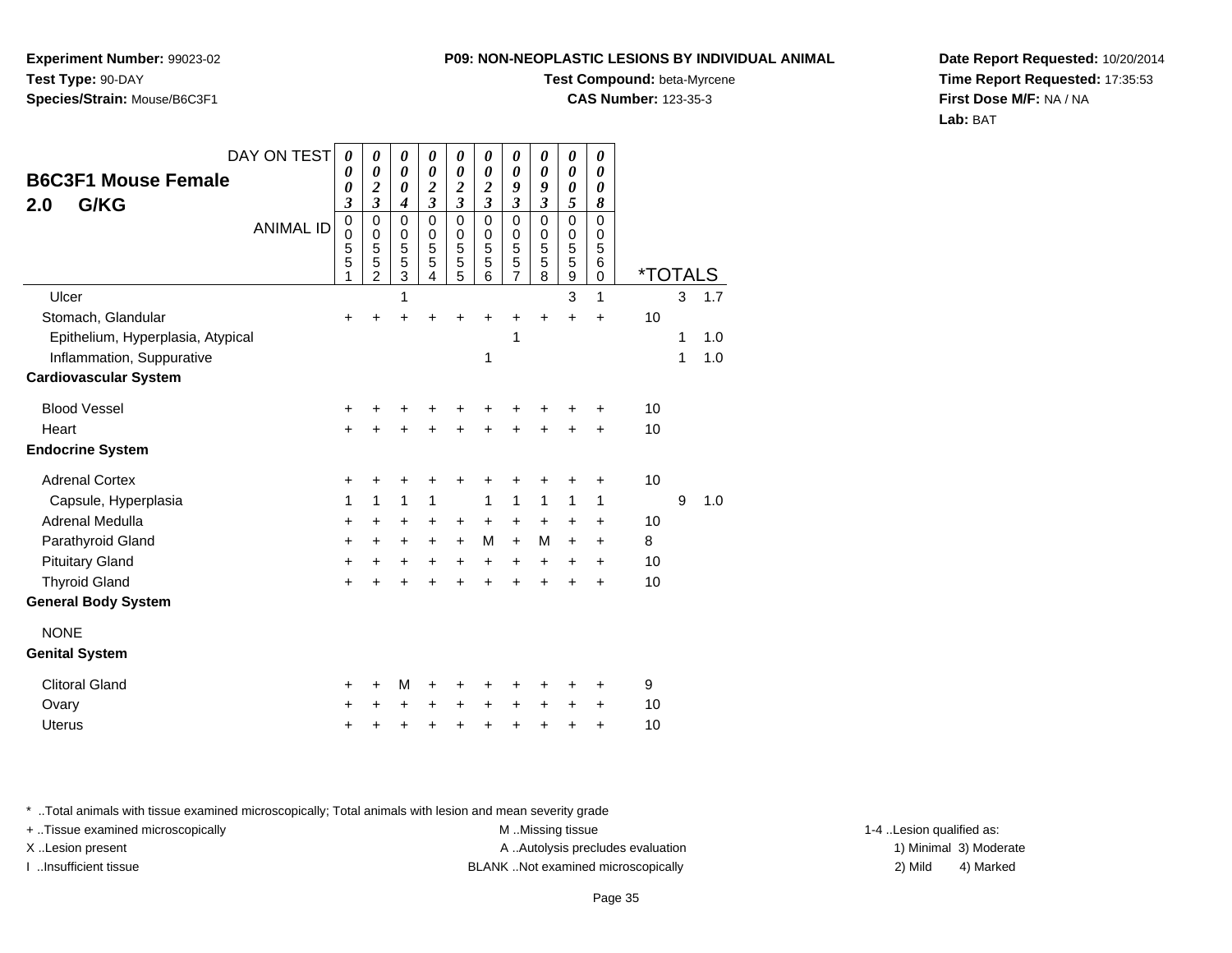**Experiment Number:** 99023-02**Test Type:** 90-DAY**Species/Strain:** Mouse/B6C3F1

#### **Test Compound:** beta-Myrcene

**CAS Number:** 123-35-3

**Date Report Requested:** 10/20/2014**Time Report Requested:** 17:35:53**First Dose M/F:** NA / NA**Lab:** BAT

| DAY ON TEST                       | $\boldsymbol{\theta}$                   | 0                                            | 0                                  | 0                                         | 0                               | 0                                         | 0                                            | 0                               | 0                                         | 0                               |                       |   |     |
|-----------------------------------|-----------------------------------------|----------------------------------------------|------------------------------------|-------------------------------------------|---------------------------------|-------------------------------------------|----------------------------------------------|---------------------------------|-------------------------------------------|---------------------------------|-----------------------|---|-----|
| <b>B6C3F1 Mouse Female</b>        | 0<br>0                                  | 0<br>2                                       | 0<br>0                             | $\boldsymbol{\theta}$<br>$\boldsymbol{2}$ | 0<br>$\overline{\mathbf{c}}$    | $\boldsymbol{\theta}$<br>$\boldsymbol{2}$ | 0<br>9                                       | 0<br>9                          | 0<br>0                                    | $\boldsymbol{\theta}$<br>0      |                       |   |     |
| G/KG<br>2.0                       | 3                                       | $\overline{\mathbf{3}}$                      | 4                                  | 3                                         | 3                               | 3                                         | $\overline{\mathbf{3}}$                      | $\overline{\mathbf{3}}$         | 5                                         | 8                               |                       |   |     |
| <b>ANIMAL ID</b>                  | $\pmb{0}$<br>$\mathbf 0$<br>5<br>5<br>1 | $\mathbf 0$<br>0<br>5<br>5<br>$\overline{2}$ | 0<br>0<br>5<br>5<br>$\overline{3}$ | $\Omega$<br>0<br>5<br>5<br>4              | $\mathbf 0$<br>0<br>5<br>5<br>5 | $\Omega$<br>0<br>5<br>5<br>6              | $\mathbf 0$<br>0<br>5<br>5<br>$\overline{7}$ | $\mathbf 0$<br>0<br>5<br>5<br>8 | $\mathbf 0$<br>0<br>5<br>5<br>$\mathsf g$ | $\mathbf 0$<br>0<br>5<br>6<br>0 | <i><b>*TOTALS</b></i> |   |     |
| Ulcer                             |                                         |                                              | 1                                  |                                           |                                 |                                           |                                              |                                 | 3                                         | 1                               |                       | 3 | 1.7 |
| Stomach, Glandular                | +                                       |                                              |                                    |                                           |                                 |                                           |                                              | +                               | $\ddot{}$                                 | $\ddot{}$                       | 10                    |   |     |
| Epithelium, Hyperplasia, Atypical |                                         |                                              |                                    |                                           |                                 |                                           | 1                                            |                                 |                                           |                                 |                       | 1 | 1.0 |
| Inflammation, Suppurative         |                                         |                                              |                                    |                                           |                                 | 1                                         |                                              |                                 |                                           |                                 |                       | 1 | 1.0 |
| <b>Cardiovascular System</b>      |                                         |                                              |                                    |                                           |                                 |                                           |                                              |                                 |                                           |                                 |                       |   |     |
| <b>Blood Vessel</b>               | +                                       |                                              |                                    |                                           |                                 |                                           |                                              | +                               | +                                         | +                               | 10                    |   |     |
| Heart                             | $\ddot{}$                               |                                              |                                    |                                           |                                 |                                           |                                              | $\ddot{}$                       | $\ddot{}$                                 | $\ddot{}$                       | 10                    |   |     |
| <b>Endocrine System</b>           |                                         |                                              |                                    |                                           |                                 |                                           |                                              |                                 |                                           |                                 |                       |   |     |
| <b>Adrenal Cortex</b>             | +                                       | +                                            | +                                  | +                                         | +                               |                                           | +                                            | +                               | +                                         | +                               | 10                    |   |     |
| Capsule, Hyperplasia              | 1                                       | $\mathbf{1}$                                 | 1                                  | 1                                         |                                 | 1                                         | $\mathbf{1}$                                 | 1                               | 1                                         | 1                               |                       | 9 | 1.0 |
| <b>Adrenal Medulla</b>            | $\ddot{}$                               | +                                            | +                                  | +                                         | +                               | $\ddot{}$                                 | $\ddot{}$                                    | $\ddot{}$                       | $\ddot{}$                                 | +                               | 10                    |   |     |
| Parathyroid Gland                 | +                                       | $\ddot{}$                                    | +                                  | +                                         | $\ddot{}$                       | M                                         | $+$                                          | M                               | $\ddot{}$                                 | +                               | 8                     |   |     |
| <b>Pituitary Gland</b>            | $\ddot{}$                               | $\ddot{}$                                    | $\ddot{}$                          | $\ddot{}$                                 | $\ddot{}$                       | $+$                                       | $+$                                          | $\ddot{}$                       | $\ddot{}$                                 | $\ddot{}$                       | 10                    |   |     |
| <b>Thyroid Gland</b>              | $\ddot{}$                               | +                                            | +                                  | +                                         | +                               |                                           | ÷                                            | $\ddot{}$                       | $\ddot{}$                                 | $\ddot{}$                       | 10                    |   |     |
| <b>General Body System</b>        |                                         |                                              |                                    |                                           |                                 |                                           |                                              |                                 |                                           |                                 |                       |   |     |
| <b>NONE</b>                       |                                         |                                              |                                    |                                           |                                 |                                           |                                              |                                 |                                           |                                 |                       |   |     |
| <b>Genital System</b>             |                                         |                                              |                                    |                                           |                                 |                                           |                                              |                                 |                                           |                                 |                       |   |     |
| <b>Clitoral Gland</b>             | ٠                                       | ٠                                            | M                                  | +                                         |                                 |                                           |                                              | ٠                               | +                                         | ٠                               | 9                     |   |     |
| Ovary                             | +                                       |                                              | +                                  | +                                         | +                               | $\div$                                    | $\ddot{}$                                    | +                               | +                                         | +                               | 10                    |   |     |
| <b>Uterus</b>                     | +                                       | +                                            | +                                  | +                                         | +                               | +                                         | +                                            | +                               | +                                         | +                               | 10                    |   |     |

\* ..Total animals with tissue examined microscopically; Total animals with lesion and mean severity grade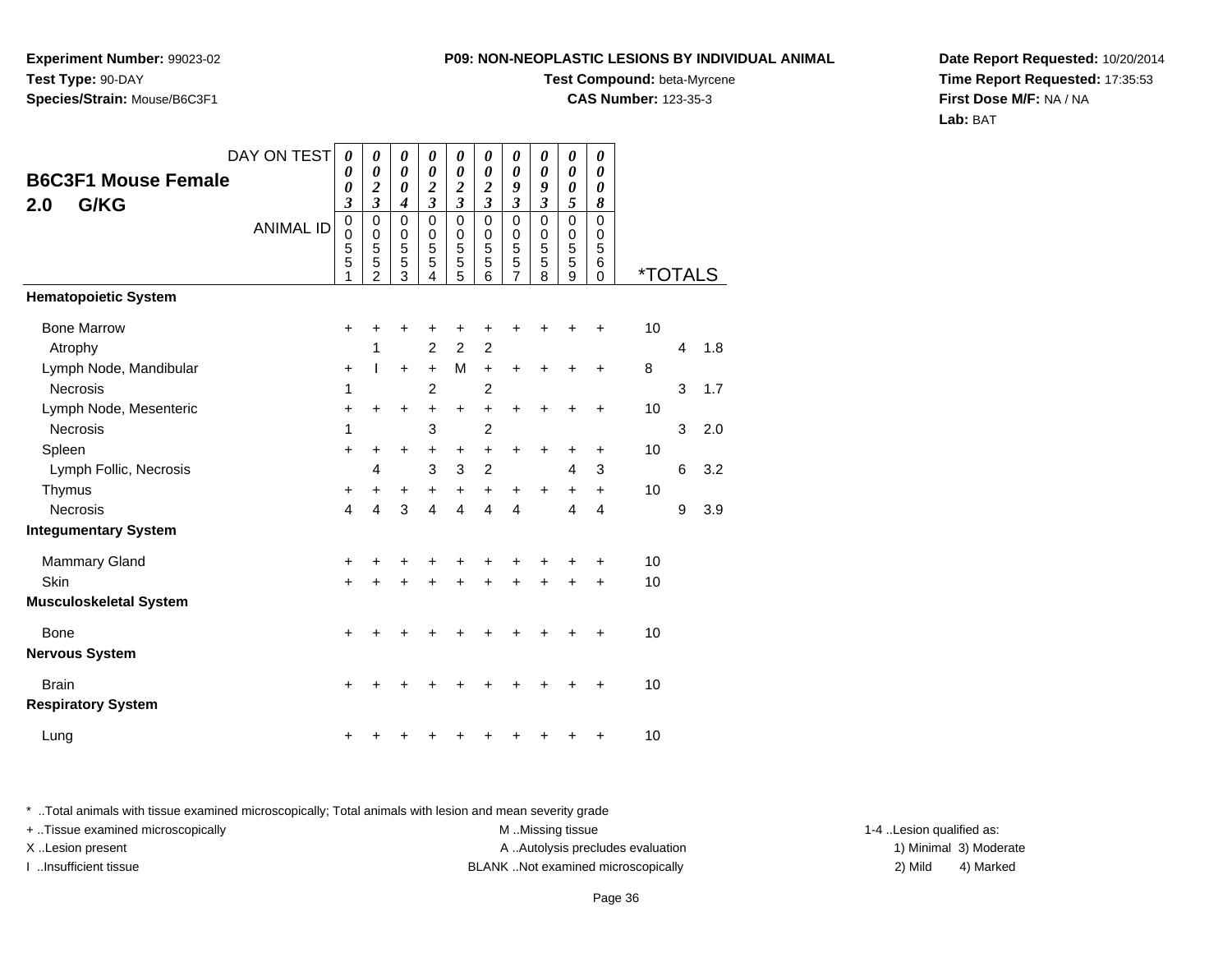**Experiment Number:** 99023-02**Test Type:** 90-DAY**Species/Strain:** Mouse/B6C3F1

#### **Test Compound:** beta-Myrcene

**CAS Number:** 123-35-3

**Date Report Requested:** 10/20/2014**Time Report Requested:** 17:35:53**First Dose M/F:** NA / NA**Lab:** BAT

| <b>B6C3F1 Mouse Female</b><br>G/KG<br>2.0      | DAY ON TEST      | 0<br>$\boldsymbol{\theta}$<br>0<br>$\overline{\mathbf{3}}$ | 0<br>0<br>$\overline{\mathbf{c}}$<br>$\overline{\mathbf{3}}$ | 0<br>$\boldsymbol{\theta}$<br>0<br>$\boldsymbol{4}$ | 0<br>0<br>$\boldsymbol{2}$<br>$\overline{\mathbf{3}}$ | $\boldsymbol{\theta}$<br>$\boldsymbol{\theta}$<br>$\boldsymbol{2}$<br>$\overline{\mathbf{3}}$ | $\boldsymbol{\theta}$<br>$\boldsymbol{\theta}$<br>$\boldsymbol{2}$<br>$\overline{\mathbf{3}}$ | 0<br>$\boldsymbol{\theta}$<br>9<br>$\mathfrak{z}$      | 0<br>$\boldsymbol{\theta}$<br>9<br>$\overline{\mathbf{3}}$ | $\boldsymbol{\theta}$<br>$\boldsymbol{\theta}$<br>$\boldsymbol{\theta}$<br>5 | $\boldsymbol{\theta}$<br>0<br>0<br>8    |                       |   |     |
|------------------------------------------------|------------------|------------------------------------------------------------|--------------------------------------------------------------|-----------------------------------------------------|-------------------------------------------------------|-----------------------------------------------------------------------------------------------|-----------------------------------------------------------------------------------------------|--------------------------------------------------------|------------------------------------------------------------|------------------------------------------------------------------------------|-----------------------------------------|-----------------------|---|-----|
|                                                | <b>ANIMAL ID</b> | $\mathbf 0$<br>0<br>5<br>5<br>1                            | 0<br>0<br>5<br>5<br>$\overline{2}$                           | $\mathbf 0$<br>0<br>5<br>5<br>3                     | $\mathbf 0$<br>0<br>5<br>5<br>4                       | $\mathbf 0$<br>$\mathbf 0$<br>5<br>5<br>5                                                     | $\Omega$<br>0<br>5<br>5<br>6                                                                  | $\mathbf 0$<br>$\mathbf 0$<br>5<br>5<br>$\overline{7}$ | $\Omega$<br>0<br>5<br>5<br>8                               | $\mathbf 0$<br>0<br>$\overline{5}$<br>5<br>9                                 | $\Omega$<br>0<br>5<br>$\,6$<br>$\Omega$ | <i><b>*TOTALS</b></i> |   |     |
| <b>Hematopoietic System</b>                    |                  |                                                            |                                                              |                                                     |                                                       |                                                                                               |                                                                                               |                                                        |                                                            |                                                                              |                                         |                       |   |     |
| <b>Bone Marrow</b><br>Atrophy                  |                  | $\ddot{}$                                                  | +<br>1                                                       | +                                                   | +<br>$\overline{2}$                                   | +<br>$\overline{2}$                                                                           | +<br>$\overline{c}$                                                                           | +                                                      |                                                            | +                                                                            | +                                       | 10                    | 4 | 1.8 |
| Lymph Node, Mandibular<br>Necrosis             |                  | +<br>1                                                     | T                                                            | $\ddot{}$                                           | $\ddot{}$<br>$\overline{2}$                           | M                                                                                             | $\ddot{}$<br>$\overline{c}$                                                                   | $\ddot{}$                                              | $\ddot{}$                                                  | +                                                                            | $\ddot{}$                               | 8                     | 3 | 1.7 |
| Lymph Node, Mesenteric                         |                  | +                                                          | $\ddot{}$                                                    | $\ddot{}$                                           | $\ddot{}$                                             | $\ddot{}$                                                                                     | $\ddot{}$                                                                                     | $\ddot{}$                                              | $\ddot{}$                                                  | +                                                                            | $\ddot{}$                               | 10                    |   |     |
| Necrosis<br>Spleen                             |                  | 1<br>+                                                     | +                                                            | $\ddot{}$                                           | 3<br>+                                                | $\ddot{}$                                                                                     | $\overline{2}$<br>$\ddot{}$                                                                   | $\ddot{}$                                              | $\ddot{}$                                                  | +                                                                            | $\ddot{}$                               | 10                    | 3 | 2.0 |
| Lymph Follic, Necrosis<br>Thymus               |                  | +                                                          | 4<br>+                                                       | $\ddot{}$                                           | 3<br>$\ddot{}$                                        | 3<br>$\ddot{}$                                                                                | $\overline{c}$<br>$\begin{array}{c} + \end{array}$                                            | $\ddot{}$                                              | +                                                          | $\overline{4}$<br>$\ddot{}$                                                  | 3<br>$\ddot{}$                          | 10                    | 6 | 3.2 |
| <b>Necrosis</b><br><b>Integumentary System</b> |                  | $\overline{\mathbf{4}}$                                    | 4                                                            | 3                                                   | $\overline{4}$                                        | $\overline{4}$                                                                                | $\overline{4}$                                                                                | $\overline{4}$                                         |                                                            | 4                                                                            | 4                                       |                       | 9 | 3.9 |
| <b>Mammary Gland</b>                           |                  | +                                                          | +                                                            | +                                                   | +                                                     | +                                                                                             | +                                                                                             | +                                                      |                                                            | +                                                                            | $\ddot{}$                               | 10                    |   |     |
| Skin<br><b>Musculoskeletal System</b>          |                  | +                                                          | +                                                            | +                                                   | +                                                     | $\ddot{}$                                                                                     | +                                                                                             | $\ddot{}$                                              | $\ddot{}$                                                  | $\ddot{}$                                                                    | $\ddot{}$                               | 10                    |   |     |
| <b>Bone</b><br><b>Nervous System</b>           |                  | $\ddot{}$                                                  | +                                                            | +                                                   | +                                                     | +                                                                                             | +                                                                                             | +                                                      | +                                                          | +                                                                            | $\ddot{}$                               | 10                    |   |     |
| <b>Brain</b><br><b>Respiratory System</b>      |                  | +                                                          |                                                              |                                                     |                                                       |                                                                                               |                                                                                               |                                                        |                                                            |                                                                              | +                                       | 10                    |   |     |
| Lung                                           |                  | +                                                          |                                                              |                                                     |                                                       |                                                                                               |                                                                                               |                                                        |                                                            |                                                                              | +                                       | 10                    |   |     |

\* ..Total animals with tissue examined microscopically; Total animals with lesion and mean severity grade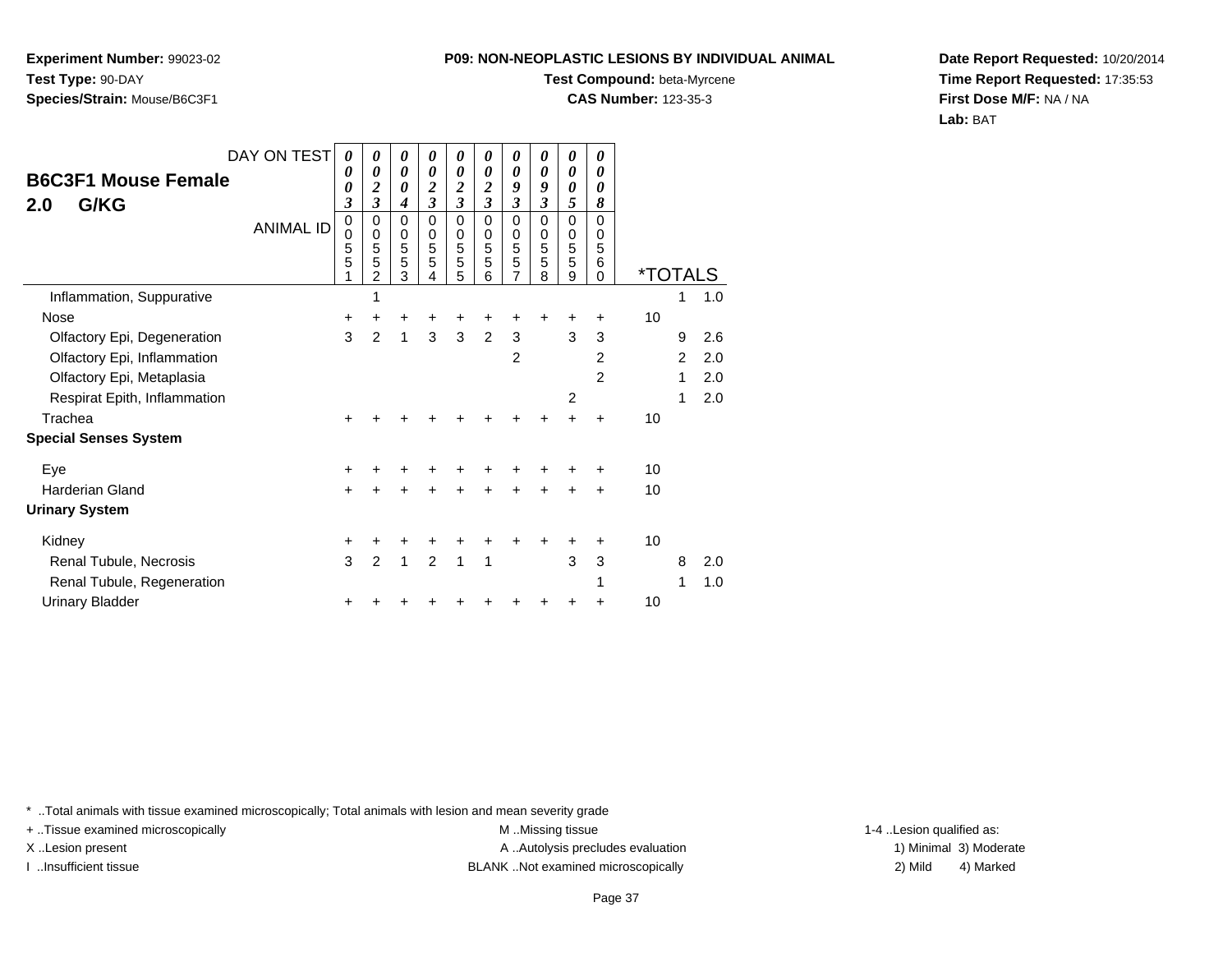**Experiment Number:** 99023-02**Test Type:** 90-DAY**Species/Strain:** Mouse/B6C3F1

#### **Test Compound:** beta-Myrcene

**CAS Number:** 123-35-3

**Date Report Requested:** 10/20/2014**Time Report Requested:** 17:35:53**First Dose M/F:** NA / NA**Lab:** BAT

|                                           | DAY ON TEST      | $\boldsymbol{\theta}$             | 0                                       | 0                               | 0                            | 0                               | 0                                                | 0                                                      | 0                                                     | 0                               | 0                                   |                       |                |     |
|-------------------------------------------|------------------|-----------------------------------|-----------------------------------------|---------------------------------|------------------------------|---------------------------------|--------------------------------------------------|--------------------------------------------------------|-------------------------------------------------------|---------------------------------|-------------------------------------|-----------------------|----------------|-----|
| <b>B6C3F1 Mouse Female</b><br>G/KG<br>2.0 |                  | 0<br>0<br>$\overline{\mathbf{3}}$ | 0<br>$\boldsymbol{2}$<br>$\mathfrak{z}$ | 0<br>0<br>$\boldsymbol{4}$      | 0<br>$\frac{2}{3}$           | 0<br>$\frac{2}{3}$              | 0<br>$\boldsymbol{2}$<br>$\overline{\mathbf{3}}$ | $\boldsymbol{\theta}$<br>9<br>3                        | $\boldsymbol{\theta}$<br>9<br>$\overline{\mathbf{3}}$ | 0<br>0<br>5                     | 0<br>0<br>8                         |                       |                |     |
|                                           | <b>ANIMAL ID</b> | 0<br>0<br>5<br>5                  | 0<br>$\mathbf 0$<br>5<br>5<br>2         | $\mathbf 0$<br>0<br>5<br>5<br>3 | $\Omega$<br>0<br>5<br>5<br>4 | $\mathbf 0$<br>0<br>5<br>5<br>5 | $\Omega$<br>$\mathbf 0$<br>5<br>5<br>6           | $\mathbf 0$<br>$\mathbf 0$<br>5<br>5<br>$\overline{7}$ | $\Omega$<br>$\mathbf 0$<br>5<br>5<br>8                | $\mathbf 0$<br>0<br>5<br>5<br>9 | $\Omega$<br>0<br>5<br>6<br>$\Omega$ | <i><b>*TOTALS</b></i> |                |     |
| Inflammation, Suppurative                 |                  |                                   | 1                                       |                                 |                              |                                 |                                                  |                                                        |                                                       |                                 |                                     |                       | 1              | 1.0 |
| Nose                                      |                  | +                                 | +                                       | +                               |                              | +                               |                                                  |                                                        |                                                       |                                 | ٠                                   | 10                    |                |     |
| Olfactory Epi, Degeneration               |                  | 3                                 | $\overline{2}$                          | 1                               | 3                            | 3                               | 2                                                | $\mathbf{3}$                                           |                                                       | 3                               | 3                                   |                       | 9              | 2.6 |
| Olfactory Epi, Inflammation               |                  |                                   |                                         |                                 |                              |                                 |                                                  | $\overline{2}$                                         |                                                       |                                 | $\overline{2}$                      |                       | $\overline{2}$ | 2.0 |
| Olfactory Epi, Metaplasia                 |                  |                                   |                                         |                                 |                              |                                 |                                                  |                                                        |                                                       |                                 | 2                                   |                       | 1              | 2.0 |
| Respirat Epith, Inflammation              |                  |                                   |                                         |                                 |                              |                                 |                                                  |                                                        |                                                       | 2                               |                                     |                       | 1              | 2.0 |
| Trachea                                   |                  | $\ddot{}$                         |                                         |                                 |                              |                                 |                                                  |                                                        |                                                       |                                 | ÷                                   | 10                    |                |     |
| <b>Special Senses System</b>              |                  |                                   |                                         |                                 |                              |                                 |                                                  |                                                        |                                                       |                                 |                                     |                       |                |     |
| Eye                                       |                  | +                                 |                                         |                                 |                              |                                 |                                                  |                                                        |                                                       |                                 |                                     | 10                    |                |     |
| <b>Harderian Gland</b>                    |                  | $\ddot{}$                         |                                         | $\ddot{}$                       |                              |                                 |                                                  | $\ddot{}$                                              |                                                       |                                 | +                                   | 10                    |                |     |
| <b>Urinary System</b>                     |                  |                                   |                                         |                                 |                              |                                 |                                                  |                                                        |                                                       |                                 |                                     |                       |                |     |
| Kidney                                    |                  | +                                 | +                                       | +                               |                              |                                 |                                                  |                                                        |                                                       |                                 | ÷                                   | 10                    |                |     |
| Renal Tubule, Necrosis                    |                  | 3                                 | $\overline{2}$                          | 1                               | 2                            | 1                               | 1                                                |                                                        |                                                       | 3                               | 3                                   |                       | 8              | 2.0 |
| Renal Tubule, Regeneration                |                  |                                   |                                         |                                 |                              |                                 |                                                  |                                                        |                                                       |                                 |                                     |                       | 1              | 1.0 |
| <b>Urinary Bladder</b>                    |                  |                                   |                                         |                                 |                              |                                 |                                                  |                                                        |                                                       |                                 | ٠                                   | 10                    |                |     |

\* ..Total animals with tissue examined microscopically; Total animals with lesion and mean severity grade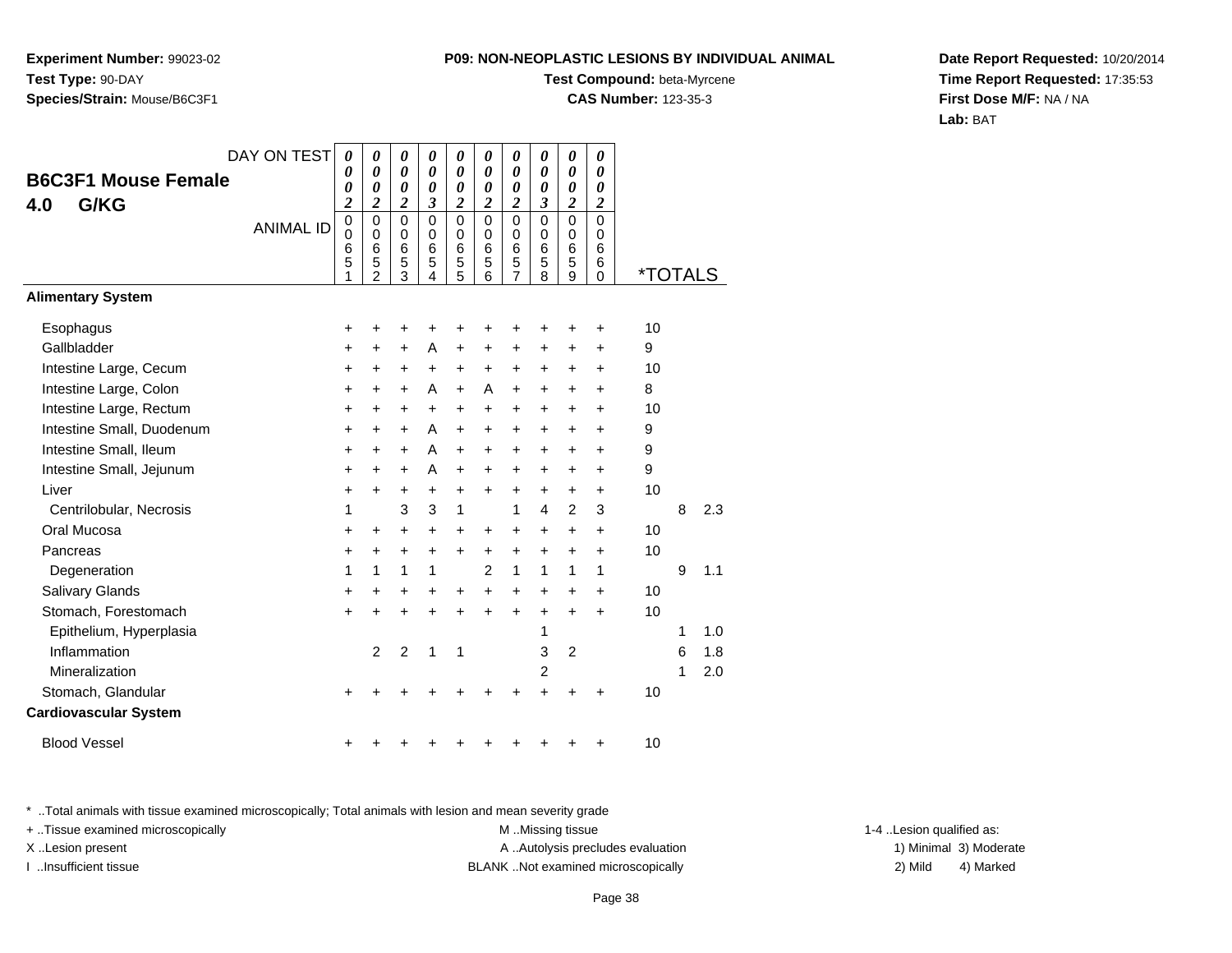**Experiment Number:** 99023-02**Test Type:** 90-DAY**Species/Strain:** Mouse/B6C3F1

### **Test Compound:** beta-Myrcene

**CAS Number:** 123-35-3

**Date Report Requested:** 10/20/2014**Time Report Requested:** 17:35:53**First Dose M/F:** NA / NA**Lab:** BAT

| DAY ON TEST                  | 0                                         | 0                                                      | 0                                            | 0                                  | 0                               | $\boldsymbol{\theta}$                                   | 0                                            | 0                                   | 0                               | 0                                         |                       |   |     |
|------------------------------|-------------------------------------------|--------------------------------------------------------|----------------------------------------------|------------------------------------|---------------------------------|---------------------------------------------------------|----------------------------------------------|-------------------------------------|---------------------------------|-------------------------------------------|-----------------------|---|-----|
| <b>B6C3F1 Mouse Female</b>   | 0<br>0                                    | 0<br>0                                                 | 0<br>0                                       | 0<br>0                             | $\boldsymbol{\theta}$<br>0      | $\boldsymbol{\theta}$<br>$\boldsymbol{\theta}$          | 0<br>0                                       | $\boldsymbol{\theta}$<br>0          | 0<br>0                          | 0<br>$\boldsymbol{\theta}$                |                       |   |     |
| G/KG<br>4.0                  | $\overline{\mathbf{c}}$                   | $\overline{\mathbf{c}}$                                | $\overline{\mathbf{c}}$                      | 3                                  | $\boldsymbol{2}$                | $\boldsymbol{2}$                                        | $\overline{2}$                               | $\overline{\mathbf{3}}$             | $\overline{\mathbf{c}}$         | $\boldsymbol{2}$                          |                       |   |     |
| <b>ANIMAL ID</b>             | $\mathbf 0$<br>$\mathbf 0$<br>6<br>5<br>1 | $\mathbf 0$<br>$\mathbf 0$<br>6<br>5<br>$\overline{2}$ | $\mathbf 0$<br>0<br>6<br>5<br>$\overline{3}$ | $\overline{0}$<br>0<br>6<br>5<br>4 | 0<br>$\mathbf 0$<br>6<br>5<br>5 | $\mathbf 0$<br>$\mathbf 0$<br>$6\phantom{1}6$<br>5<br>6 | 0<br>$\mathbf 0$<br>6<br>5<br>$\overline{7}$ | 0<br>0<br>$6\phantom{1}6$<br>5<br>8 | $\mathbf 0$<br>0<br>6<br>5<br>9 | $\mathbf 0$<br>0<br>6<br>6<br>$\mathbf 0$ | <i><b>*TOTALS</b></i> |   |     |
| <b>Alimentary System</b>     |                                           |                                                        |                                              |                                    |                                 |                                                         |                                              |                                     |                                 |                                           |                       |   |     |
| Esophagus                    | $\ddot{}$                                 | +                                                      | +                                            | +                                  | +                               |                                                         | +                                            | +                                   | +                               | +                                         | 10                    |   |     |
| Gallbladder                  | +                                         | +                                                      | $\ddot{}$                                    | A                                  | $\ddot{}$                       | $\ddot{}$                                               | $\ddot{}$                                    | $\ddot{}$                           | +                               | $\ddot{}$                                 | 9                     |   |     |
| Intestine Large, Cecum       | +                                         | $\pm$                                                  | $\pm$                                        | $\ddot{}$                          | $\ddot{}$                       | $\ddot{}$                                               | $\ddot{}$                                    | +                                   | +                               | $\ddot{}$                                 | 10                    |   |     |
| Intestine Large, Colon       | $\ddot{}$                                 | $\ddot{}$                                              | $\ddot{}$                                    | A                                  | $\ddot{}$                       | A                                                       | $\ddot{}$                                    | $\ddot{}$                           | +                               | $\ddot{}$                                 | 8                     |   |     |
| Intestine Large, Rectum      | +                                         | +                                                      | +                                            | +                                  | +                               | $\ddot{}$                                               | $\ddot{}$                                    | +                                   | +                               | +                                         | 10                    |   |     |
| Intestine Small, Duodenum    | +                                         | $\pm$                                                  | $\pm$                                        | A                                  | $\ddot{}$                       | $\ddot{}$                                               | +                                            | $\ddot{}$                           | +                               | +                                         | 9                     |   |     |
| Intestine Small, Ileum       | +                                         | +                                                      | +                                            | A                                  | +                               | +                                                       | +                                            | +                                   | +                               | +                                         | 9                     |   |     |
| Intestine Small, Jejunum     | $\ddot{}$                                 | $\ddot{}$                                              | $\ddot{}$                                    | A                                  | $\ddot{}$                       | $\ddot{}$                                               | $\ddot{}$                                    | $\ddot{}$                           | +                               | $\ddot{}$                                 | 9                     |   |     |
| Liver                        | +                                         | +                                                      | +                                            | +                                  | $\ddot{}$                       | $\ddot{}$                                               | $\ddot{}$                                    | +                                   | +                               | +                                         | 10                    |   |     |
| Centrilobular, Necrosis      | 1                                         |                                                        | 3                                            | 3                                  | 1                               |                                                         | $\mathbf{1}$                                 | 4                                   | $\overline{2}$                  | 3                                         |                       | 8 | 2.3 |
| Oral Mucosa                  | +                                         | +                                                      | +                                            | $\ddot{}$                          | +                               | +                                                       | $\ddot{}$                                    | $\ddot{}$                           | $\ddot{}$                       | $\ddot{}$                                 | 10                    |   |     |
| Pancreas                     | +                                         | +                                                      | +                                            | +                                  | +                               | +                                                       | +                                            | +                                   | +                               | $\ddot{}$                                 | 10                    |   |     |
| Degeneration                 | 1                                         | 1                                                      | 1                                            | 1                                  |                                 | 2                                                       | $\mathbf{1}$                                 | 1                                   | 1                               | 1                                         |                       | 9 | 1.1 |
| Salivary Glands              | $\ddot{}$                                 | $\ddot{}$                                              | +                                            | +                                  | +                               | $+$                                                     | $\ddot{}$                                    | $\ddot{}$                           | +                               | $\ddot{}$                                 | 10                    |   |     |
| Stomach, Forestomach         | $\ddot{}$                                 | $\ddot{}$                                              | $\ddot{}$                                    | +                                  | +                               | $\ddot{}$                                               | $\ddot{}$                                    | $\ddot{}$                           | $\ddot{}$                       | $\ddot{}$                                 | 10                    |   |     |
| Epithelium, Hyperplasia      |                                           |                                                        |                                              |                                    |                                 |                                                         |                                              | 1                                   |                                 |                                           |                       | 1 | 1.0 |
| Inflammation                 |                                           | $\overline{2}$                                         | $\overline{2}$                               | 1                                  | 1                               |                                                         |                                              | 3                                   | $\overline{2}$                  |                                           |                       | 6 | 1.8 |
| Mineralization               |                                           |                                                        |                                              |                                    |                                 |                                                         |                                              | 2                                   |                                 |                                           |                       | 1 | 2.0 |
| Stomach, Glandular           | +                                         |                                                        |                                              |                                    |                                 |                                                         |                                              | 4                                   | $\ddot{}$                       | +                                         | 10                    |   |     |
| <b>Cardiovascular System</b> |                                           |                                                        |                                              |                                    |                                 |                                                         |                                              |                                     |                                 |                                           |                       |   |     |
| <b>Blood Vessel</b>          | +                                         |                                                        |                                              |                                    |                                 |                                                         |                                              |                                     | +                               | +                                         | 10                    |   |     |

\* ..Total animals with tissue examined microscopically; Total animals with lesion and mean severity grade

+ ..Tissue examined microscopically examined microscopically examined as:  $M$  ..Missing tissue 1-4 ..Lesion qualified as: X..Lesion present **A ..Autolysis precludes evaluation** A ..Autolysis precludes evaluation 1) Minimal 3) Moderate

I ..Insufficient tissue BLANK ..Not examined microscopically 2) Mild 4) Marked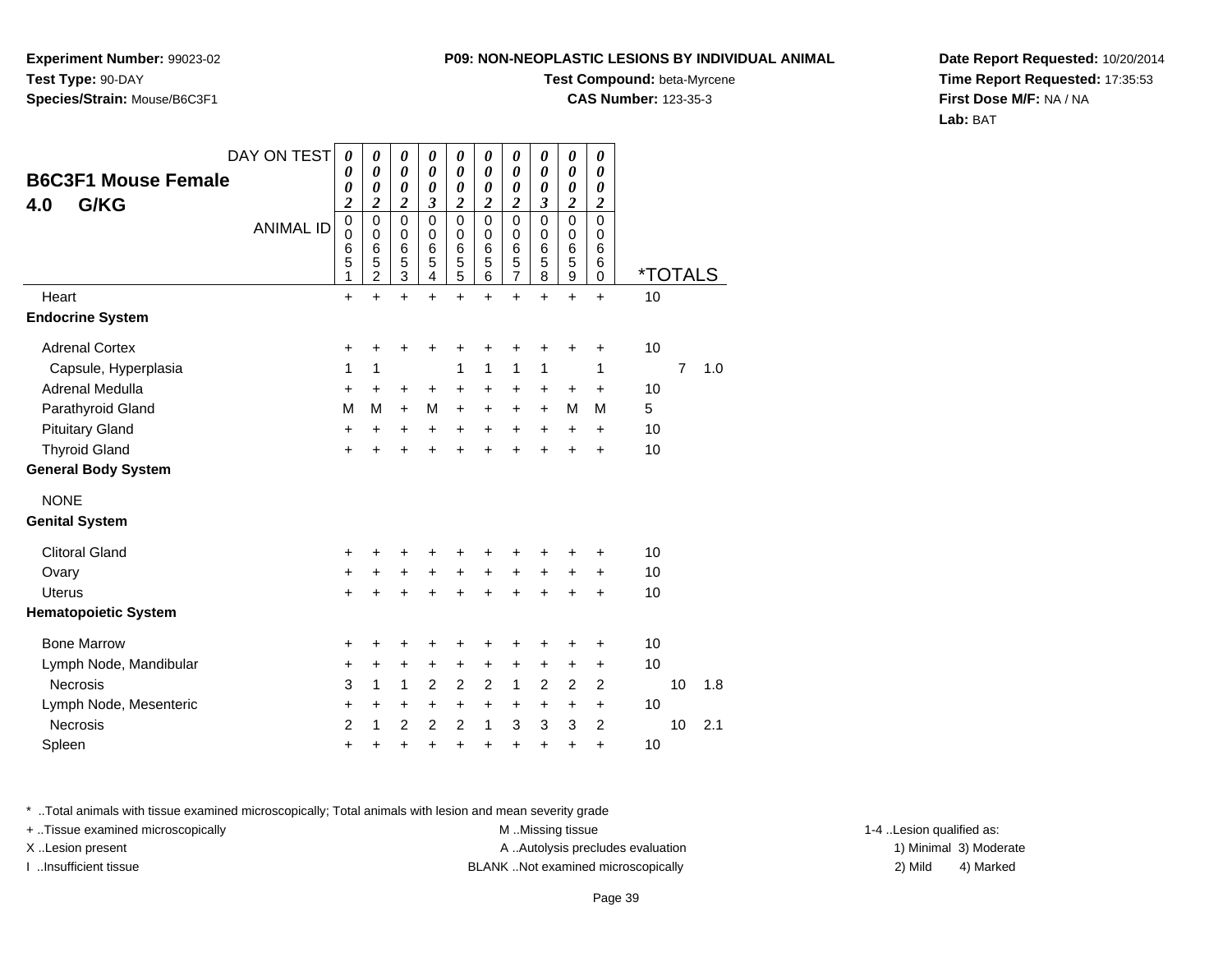**Experiment Number:** 99023-02**Test Type:** 90-DAY**Species/Strain:** Mouse/B6C3F1

#### **Test Compound:** beta-Myrcene

**CAS Number:** 123-35-3

**Date Report Requested:** 10/20/2014**Time Report Requested:** 17:35:53**First Dose M/F:** NA / NA**Lab:** BAT

| <b>B6C3F1 Mouse Female</b><br>G/KG<br>4.0<br>Heart<br><b>Endocrine System</b> | DAY ON TEST<br><b>ANIMAL ID</b> | $\boldsymbol{\theta}$<br>$\boldsymbol{\theta}$<br>$\boldsymbol{\theta}$<br>$\boldsymbol{2}$<br>$\mathbf 0$<br>$\mathbf 0$<br>$\,6$<br>5<br>1<br>$\ddot{}$ | 0<br>0<br>0<br>$\boldsymbol{2}$<br>$\mathbf 0$<br>0<br>6<br>5<br>$\overline{2}$<br>$\ddot{}$ | 0<br>0<br>0<br>$\overline{\mathbf{c}}$<br>$\mathbf 0$<br>0<br>6<br>5<br>3<br>$\ddot{}$ | 0<br>$\boldsymbol{\theta}$<br>$\boldsymbol{\theta}$<br>3<br>$\Omega$<br>0<br>6<br>5<br>4<br>$\ddot{}$ | $\boldsymbol{\theta}$<br>0<br>$\boldsymbol{\theta}$<br>$\overline{\mathbf{c}}$<br>$\mathbf 0$<br>0<br>6<br>5<br>5<br>$\ddot{}$ | 0<br>0<br>0<br>$\overline{\mathbf{c}}$<br>$\mathbf 0$<br>$\mathbf 0$<br>6<br>5<br>6<br>$+$ | 0<br>0<br>0<br>$\overline{\mathbf{c}}$<br>$\mathbf 0$<br>0<br>6<br>5<br>7<br>$\ddot{}$ | 0<br>0<br>$\boldsymbol{\theta}$<br>$\boldsymbol{\beta}$<br>$\mathbf 0$<br>0<br>6<br>5<br>8<br>$\ddot{}$ | 0<br>0<br>0<br>$\boldsymbol{2}$<br>$\mathbf 0$<br>0<br>$6\phantom{1}6$<br>5<br>9<br>$\ddot{}$ | 0<br>$\boldsymbol{\theta}$<br>$\boldsymbol{\theta}$<br>$\boldsymbol{2}$<br>$\mathbf 0$<br>0<br>6<br>6<br>0<br>$\ddot{}$ | <i><b>*TOTALS</b></i><br>10 |                |     |
|-------------------------------------------------------------------------------|---------------------------------|-----------------------------------------------------------------------------------------------------------------------------------------------------------|----------------------------------------------------------------------------------------------|----------------------------------------------------------------------------------------|-------------------------------------------------------------------------------------------------------|--------------------------------------------------------------------------------------------------------------------------------|--------------------------------------------------------------------------------------------|----------------------------------------------------------------------------------------|---------------------------------------------------------------------------------------------------------|-----------------------------------------------------------------------------------------------|-------------------------------------------------------------------------------------------------------------------------|-----------------------------|----------------|-----|
| <b>Adrenal Cortex</b>                                                         |                                 | +                                                                                                                                                         | +                                                                                            | +                                                                                      | +                                                                                                     | +                                                                                                                              | +                                                                                          | +                                                                                      | +                                                                                                       | +                                                                                             | +                                                                                                                       | 10                          |                |     |
| Capsule, Hyperplasia<br>Adrenal Medulla                                       |                                 | 1<br>$\ddot{}$                                                                                                                                            | 1<br>$\ddot{}$                                                                               | +                                                                                      | +                                                                                                     | 1<br>$\ddot{}$                                                                                                                 | 1<br>$\ddot{}$                                                                             | 1<br>$\ddot{}$                                                                         | 1<br>+                                                                                                  | $\ddot{}$                                                                                     | 1<br>$\ddot{}$                                                                                                          | 10                          | $\overline{7}$ | 1.0 |
| Parathyroid Gland                                                             |                                 | M                                                                                                                                                         | М                                                                                            | $\ddot{}$                                                                              | М                                                                                                     | $\ddot{}$                                                                                                                      | $\ddot{}$                                                                                  | $\ddot{}$                                                                              | $\ddot{}$                                                                                               | М                                                                                             | м                                                                                                                       | 5                           |                |     |
| <b>Pituitary Gland</b>                                                        |                                 | $\ddot{}$                                                                                                                                                 | $\ddot{}$                                                                                    | +                                                                                      | $\ddot{}$                                                                                             | $\ddot{}$                                                                                                                      | $+$                                                                                        | $\ddot{}$                                                                              | $\ddot{}$                                                                                               | $\ddot{}$                                                                                     | $\ddot{}$                                                                                                               | 10                          |                |     |
| <b>Thyroid Gland</b><br><b>General Body System</b>                            |                                 | $\ddot{}$                                                                                                                                                 | $\ddot{}$                                                                                    | $\ddot{}$                                                                              | $\ddot{}$                                                                                             | $\ddot{}$                                                                                                                      | $\ddot{}$                                                                                  | $\ddot{}$                                                                              | +                                                                                                       | +                                                                                             | $\ddot{}$                                                                                                               | 10                          |                |     |
| <b>NONE</b>                                                                   |                                 |                                                                                                                                                           |                                                                                              |                                                                                        |                                                                                                       |                                                                                                                                |                                                                                            |                                                                                        |                                                                                                         |                                                                                               |                                                                                                                         |                             |                |     |
| <b>Genital System</b>                                                         |                                 |                                                                                                                                                           |                                                                                              |                                                                                        |                                                                                                       |                                                                                                                                |                                                                                            |                                                                                        |                                                                                                         |                                                                                               |                                                                                                                         |                             |                |     |
| <b>Clitoral Gland</b>                                                         |                                 | $\ddot{}$                                                                                                                                                 |                                                                                              | +                                                                                      | +                                                                                                     |                                                                                                                                |                                                                                            |                                                                                        | +                                                                                                       | +                                                                                             | ٠                                                                                                                       | 10                          |                |     |
| Ovary                                                                         |                                 | +                                                                                                                                                         | $\ddot{}$                                                                                    | $\ddot{}$                                                                              | $\ddot{}$                                                                                             | $\ddot{}$                                                                                                                      | $\ddot{}$                                                                                  | $\ddot{}$                                                                              | $\ddot{}$                                                                                               | +                                                                                             | $\ddot{}$                                                                                                               | 10                          |                |     |
| <b>Uterus</b>                                                                 |                                 | $\ddot{}$                                                                                                                                                 | ÷                                                                                            | ÷                                                                                      | $\ddot{}$                                                                                             | $\ddot{}$                                                                                                                      | $\ddot{}$                                                                                  | $\ddot{}$                                                                              | $\ddot{}$                                                                                               | $\ddot{}$                                                                                     | $\ddot{}$                                                                                                               | 10                          |                |     |
| <b>Hematopoietic System</b>                                                   |                                 |                                                                                                                                                           |                                                                                              |                                                                                        |                                                                                                       |                                                                                                                                |                                                                                            |                                                                                        |                                                                                                         |                                                                                               |                                                                                                                         |                             |                |     |
| <b>Bone Marrow</b>                                                            |                                 | +                                                                                                                                                         | ٠                                                                                            | +                                                                                      | +                                                                                                     | +                                                                                                                              | ٠                                                                                          | +                                                                                      | ٠                                                                                                       | +                                                                                             | +                                                                                                                       | 10                          |                |     |
| Lymph Node, Mandibular                                                        |                                 | +                                                                                                                                                         | +                                                                                            | +                                                                                      | +                                                                                                     | +                                                                                                                              | +                                                                                          | +                                                                                      | +                                                                                                       | +                                                                                             | $\ddot{}$                                                                                                               | 10                          |                |     |
| <b>Necrosis</b>                                                               |                                 | 3                                                                                                                                                         | $\mathbf{1}$                                                                                 | $\mathbf{1}$                                                                           | $\overline{2}$                                                                                        | $\overline{2}$                                                                                                                 | $\overline{c}$                                                                             | $\mathbf{1}$                                                                           | $\overline{c}$                                                                                          | $\overline{c}$                                                                                | 2                                                                                                                       |                             | 10             | 1.8 |
| Lymph Node, Mesenteric                                                        |                                 | $\ddot{}$                                                                                                                                                 | $\ddot{}$                                                                                    | +                                                                                      | $\ddot{}$                                                                                             | $\ddot{}$                                                                                                                      | $\ddot{}$                                                                                  | $\ddot{}$                                                                              | $\ddot{}$                                                                                               | $\ddot{}$                                                                                     | $\ddot{}$                                                                                                               | 10                          |                |     |
| Necrosis                                                                      |                                 | $\overline{2}$                                                                                                                                            | 1                                                                                            | $\overline{2}$                                                                         | $\overline{2}$                                                                                        | $\overline{2}$                                                                                                                 | 1                                                                                          | 3                                                                                      | 3                                                                                                       | 3                                                                                             | 2                                                                                                                       |                             | 10             | 2.1 |
| Spleen                                                                        |                                 | +                                                                                                                                                         | +                                                                                            | +                                                                                      | +                                                                                                     | $\ddot{}$                                                                                                                      | $\ddot{}$                                                                                  | +                                                                                      | +                                                                                                       | +                                                                                             | $\ddot{}$                                                                                                               | 10                          |                |     |

\* ..Total animals with tissue examined microscopically; Total animals with lesion and mean severity grade

+ ..Tissue examined microscopically M ...Missing tissue 1-4 ... M ...Missing tissue

X..Lesion present **A ..Autolysis precludes evaluation** A ..Autolysis precludes evaluation 1) Minimal 3) Moderate I ..Insufficient tissue BLANK ..Not examined microscopically 2) Mild 4) Marked

1-4 ..Lesion qualified as: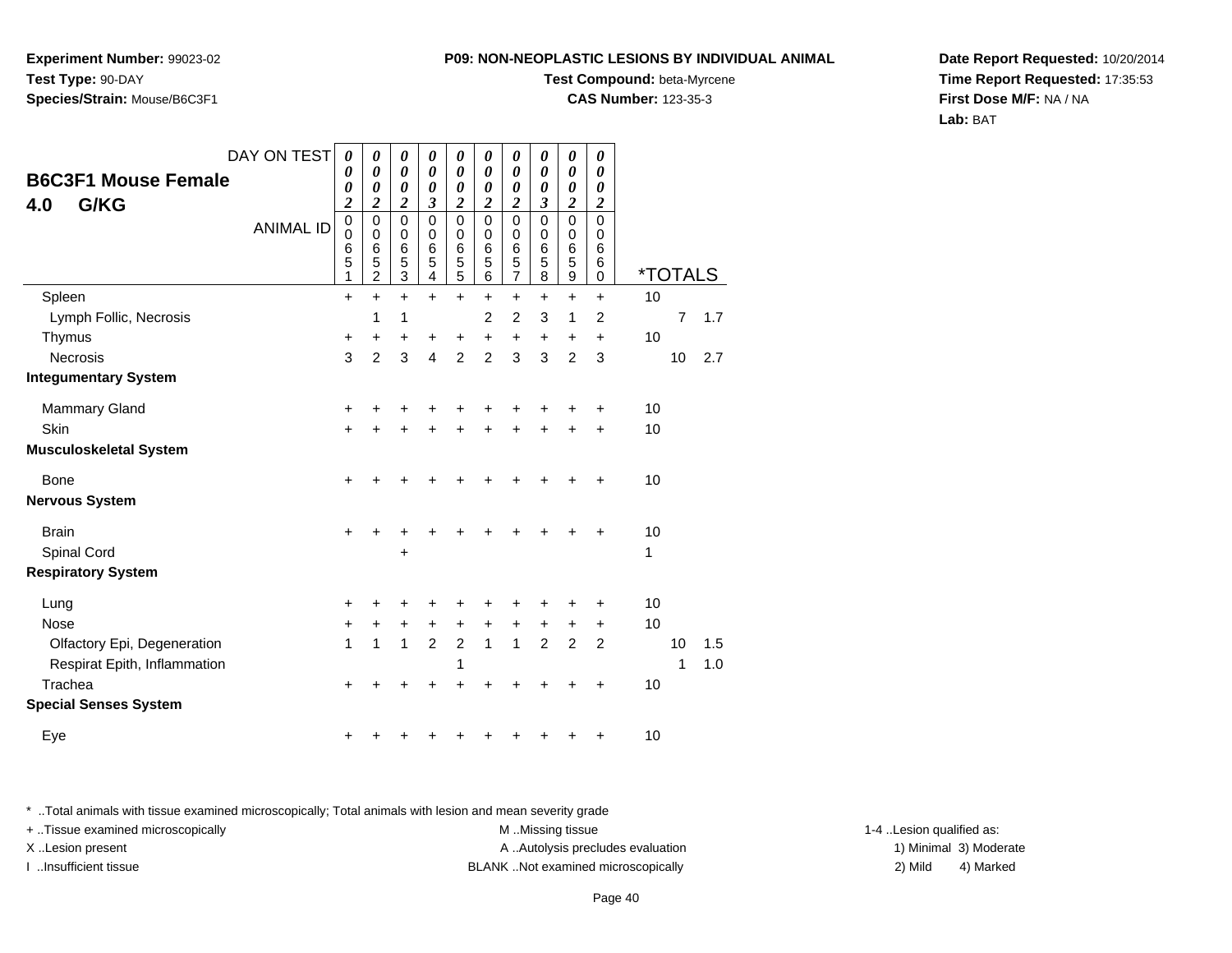**Experiment Number:** 99023-02**Test Type:** 90-DAY**Species/Strain:** Mouse/B6C3F1

#### **Test Compound:** beta-Myrcene

**CAS Number:** 123-35-3

**Date Report Requested:** 10/20/2014**Time Report Requested:** 17:35:53**First Dose M/F:** NA / NA**Lab:** BAT

| DAY ON TEST                     | 0<br>0                                                   | 0<br>0                                            | 0<br>$\boldsymbol{\theta}$           | $\boldsymbol{\theta}$<br>$\boldsymbol{\theta}$ | 0<br>0                                                            | 0<br>0                               | 0<br>0                                                 | 0<br>$\boldsymbol{\theta}$                              | 0<br>0                                                            | $\boldsymbol{\theta}$<br>$\boldsymbol{\theta}$                |         |                |     |
|---------------------------------|----------------------------------------------------------|---------------------------------------------------|--------------------------------------|------------------------------------------------|-------------------------------------------------------------------|--------------------------------------|--------------------------------------------------------|---------------------------------------------------------|-------------------------------------------------------------------|---------------------------------------------------------------|---------|----------------|-----|
| <b>B6C3F1 Mouse Female</b>      | 0                                                        | 0                                                 | 0                                    | 0                                              | 0                                                                 | 0                                    | 0                                                      | 0                                                       | 0                                                                 | 0                                                             |         |                |     |
| G/KG<br>4.0<br><b>ANIMAL ID</b> | $\overline{\mathbf{c}}$<br>$\pmb{0}$<br>0<br>6<br>5<br>1 | 2<br>$\mathbf 0$<br>0<br>6<br>5<br>$\overline{c}$ | 2<br>$\mathbf 0$<br>0<br>6<br>5<br>3 | 3<br>$\mathbf 0$<br>$\mathbf 0$<br>6<br>5<br>4 | $\boldsymbol{2}$<br>$\mathbf 0$<br>$\mathbf 0$<br>$\,6$<br>5<br>5 | 2<br>$\mathbf 0$<br>0<br>6<br>5<br>6 | $\boldsymbol{2}$<br>0<br>0<br>6<br>5<br>$\overline{7}$ | $\boldsymbol{\beta}$<br>$\mathbf 0$<br>0<br>6<br>5<br>8 | $\boldsymbol{2}$<br>$\mathbf 0$<br>0<br>$6\phantom{1}6$<br>5<br>9 | $\boldsymbol{2}$<br>$\mathbf 0$<br>0<br>6<br>6<br>$\mathbf 0$ | *TOTALS |                |     |
| Spleen                          | $\ddot{}$                                                | $\ddot{}$                                         | $\ddot{}$                            | $\ddot{}$                                      | $+$                                                               | $\ddot{}$                            | $\ddot{}$                                              | $\ddot{}$                                               | $\ddot{}$                                                         | $\ddot{}$                                                     | 10      |                |     |
| Lymph Follic, Necrosis          |                                                          | 1                                                 | 1                                    |                                                |                                                                   | $\overline{2}$                       | $\overline{c}$                                         | 3                                                       | 1                                                                 | $\overline{2}$                                                |         | $\overline{7}$ | 1.7 |
| Thymus                          | +                                                        | +                                                 | +                                    | +                                              | +                                                                 | $\ddot{}$                            | $\boldsymbol{+}$                                       | +                                                       | +                                                                 | +                                                             | 10      |                |     |
| <b>Necrosis</b>                 | 3                                                        | $\overline{2}$                                    | 3                                    | $\overline{4}$                                 | $\overline{2}$                                                    | $\overline{2}$                       | 3                                                      | 3                                                       | $\overline{2}$                                                    | 3                                                             |         | 10             | 2.7 |
| <b>Integumentary System</b>     |                                                          |                                                   |                                      |                                                |                                                                   |                                      |                                                        |                                                         |                                                                   |                                                               |         |                |     |
| <b>Mammary Gland</b>            | +                                                        |                                                   |                                      |                                                |                                                                   |                                      |                                                        |                                                         | +                                                                 | +                                                             | 10      |                |     |
| Skin                            | $\ddot{}$                                                |                                                   | +                                    |                                                | +                                                                 | ÷                                    | +                                                      | +                                                       | +                                                                 | $\ddot{}$                                                     | 10      |                |     |
| <b>Musculoskeletal System</b>   |                                                          |                                                   |                                      |                                                |                                                                   |                                      |                                                        |                                                         |                                                                   |                                                               |         |                |     |
| <b>Bone</b>                     | +                                                        |                                                   |                                      |                                                |                                                                   |                                      |                                                        | +                                                       | +                                                                 | +                                                             | 10      |                |     |
| <b>Nervous System</b>           |                                                          |                                                   |                                      |                                                |                                                                   |                                      |                                                        |                                                         |                                                                   |                                                               |         |                |     |
| <b>Brain</b>                    | +                                                        |                                                   |                                      |                                                |                                                                   |                                      |                                                        |                                                         | +                                                                 | +                                                             | 10      |                |     |
| Spinal Cord                     |                                                          |                                                   | +                                    |                                                |                                                                   |                                      |                                                        |                                                         |                                                                   |                                                               | 1       |                |     |
| <b>Respiratory System</b>       |                                                          |                                                   |                                      |                                                |                                                                   |                                      |                                                        |                                                         |                                                                   |                                                               |         |                |     |
| Lung                            | +                                                        |                                                   |                                      |                                                |                                                                   |                                      | +                                                      | +                                                       | +                                                                 | +                                                             | 10      |                |     |
| <b>Nose</b>                     | +                                                        | +                                                 | +                                    | $\ddot{}$                                      | $\ddot{}$                                                         | $\ddot{}$                            | $\ddot{}$                                              | +                                                       | +                                                                 | $\ddot{}$                                                     | 10      |                |     |
| Olfactory Epi, Degeneration     | 1                                                        | $\mathbf{1}$                                      | $\mathbf{1}$                         | $\overline{2}$                                 | $\overline{c}$                                                    | $\mathbf{1}$                         | $\mathbf{1}$                                           | $\overline{2}$                                          | 2                                                                 | $\overline{2}$                                                |         | 10             | 1.5 |
| Respirat Epith, Inflammation    |                                                          |                                                   |                                      |                                                | 1                                                                 |                                      |                                                        |                                                         |                                                                   |                                                               |         | 1              | 1.0 |
| Trachea                         | +                                                        |                                                   |                                      |                                                |                                                                   |                                      |                                                        |                                                         |                                                                   | ÷                                                             | 10      |                |     |
| <b>Special Senses System</b>    |                                                          |                                                   |                                      |                                                |                                                                   |                                      |                                                        |                                                         |                                                                   |                                                               |         |                |     |
| Eye                             | +                                                        |                                                   |                                      |                                                |                                                                   |                                      |                                                        | +                                                       | +                                                                 | +                                                             | 10      |                |     |

\* ..Total animals with tissue examined microscopically; Total animals with lesion and mean severity grade